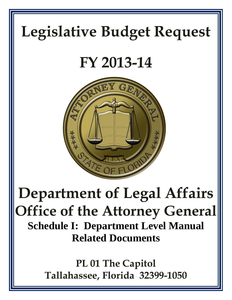# **Legislative Budget Request**

## **FY 2013-14**



## **Department of Legal Affairs Office of the Attorney General Schedule I: Department Level Manual Related Documents**

**PL 01 The Capitol Tallahassee, Florida 32399-1050**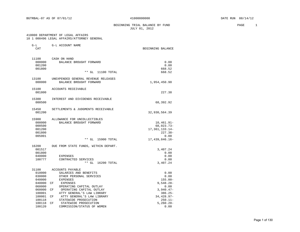## BEGINNING TRIAL BALANCE BY FUND **PAGE** 1 JULY 01, 2012

## 410000 DEPARTMENT OF LEGAL AFFAIRS

## 10 1 000496 LEGAL AFFAIRS/ATTORNEY GENERAL

| $G-L$            | G-L ACCOUNT NAME                     |                   |
|------------------|--------------------------------------|-------------------|
| CAT              |                                      | BEGINNING BALANCE |
| 11100            | CASH ON HAND                         |                   |
| 000000           | BALANCE BROUGHT FORWARD              | 0.00              |
| 001200           |                                      | 0.00              |
| 001800           |                                      | 668.52            |
|                  | $**$ GL<br>11100 TOTAL               | 668.52            |
| 13100            | UNEXPENDED GENERAL REVENUE RELEASES  |                   |
| 000000           | BALANCE BROUGHT FORWARD              | 1,954,450.90      |
| 15100            | ACCOUNTS RECEIVABLE                  |                   |
| 001800           |                                      | 227.38            |
| 15300            | INTEREST AND DIVIDENDS RECEIVABLE    |                   |
| 000500           |                                      | 68,392.92         |
| 15450            | SETTLEMENTS & JUDGMENTS RECEIVABLE   |                   |
| 001200           |                                      | 32,930,564.39     |
| 15900            | ALLOWANCE FOR UNCOLLECTIBLES         |                   |
| 000000           | BALANCE BROUGHT FORWARD              | 10,461.91-        |
| 000500           |                                      | 68,023.73-        |
| 001200           |                                      | 17, 361, 133. 14- |
| 001800           |                                      | $227.38-$         |
| 005001           | $**$ GL<br>15900 TOTAL               | 0.00              |
|                  |                                      | 17,439,846.16-    |
| 16200            | DUE FROM STATE FUNDS, WITHIN DEPART. |                   |
| 001517           |                                      | 3,407.24          |
| 001800<br>040000 | EXPENSES                             | 0.00<br>0.00      |
| 100777           | CONTRACTED SERVICES                  | 0.00              |
|                  | $**$ GL<br>16200 TOTAL               | 3,407.24          |
| 31100            | ACCOUNTS PAYABLE                     |                   |
| 010000           | SALARIES AND BENEFITS                | 0.00              |
| 030000           | OTHER PERSONAL SERVICES              | 0.00              |
| 040000           | <b>EXPENSES</b>                      | $155.00 -$        |
| 040000           | CF<br>EXPENSES                       | $9,548.28 -$      |
| 060000           | OPERATING CAPITAL OUTLAY             | 0.00              |
| 060000           | OPERATING CAPITAL OUTLAY<br>CF       | $3,940.47-$       |
| 100001           | ATTY GENERAL'S LAW LIBRARY           | $386.25 -$        |
| 100001           | ATTY GENERAL'S LAW LIBRARY<br>CF     | 34, 428.97-       |
| 100118           | STATEWIDE PROSECUTION                | $250.11 -$        |
| 100118           | STATEWIDE PROSECUTION<br>CF          | $5,260.20 -$      |
| 100120           | COMMISSION/STATUS OF WOMEN           | 0.00              |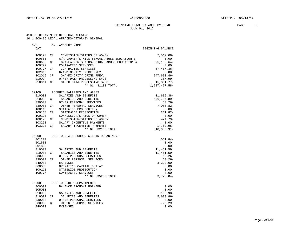#### BEGINNING TRIAL BALANCE BY FUND **PAGE** 2 JULY 01, 2012

#### 410000 DEPARTMENT OF LEGAL AFFAIRS 10 1 000496 LEGAL AFFAIRS/ATTORNEY GENERAL

|  |  | TA T AAATAA MEALMATIKA UTTOKURT ARMEKUM |  |
|--|--|-----------------------------------------|--|
|  |  |                                         |  |
|  |  |                                         |  |

| $G-L$  |     | G-L ACCOUNT NAME                                          |                   |
|--------|-----|-----------------------------------------------------------|-------------------|
| CAT    |     |                                                           | BEGINNING BALANCE |
| 100120 | CF  | COMMISSION/STATUS OF WOMEN                                | 7,512.08-         |
| 100605 |     | G/A-LAUREN'S KIDS-SEXUAL ABUSE EDUCATION &                | 0.00              |
| 100605 | CF  | G/A-LAUREN'S KIDS-SEXUAL ABUSE EDUCATION &                | 825, 158.64-      |
| 100777 |     | CONTRACTED SERVICES                                       | 0.00              |
| 100777 | CF. | CONTRACTED SERVICES                                       | $87,407.36 -$     |
| 102015 |     | G/A-MINORITY CRIME PREV.                                  | 0.00              |
| 102015 | CF  | G/A-MINORITY CRIME PREV.                                  | 247,680.46-       |
| 210014 |     | OTHER DATA PROCESSING SVCS                                | $387.99 -$        |
| 210014 |     | CF OTHER DATA PROCESSING SVCS                             | $15,361.77-$      |
|        |     | ** GL 31100 TOTAL                                         | 1,237,477.58-     |
| 32100  |     | ACCRUED SALARIES AND WAGES                                |                   |
| 010000 |     | SALARIES AND BENEFITS                                     | 11,689.38-        |
| 010000 | CF  | SALARIES AND BENEFITS                                     | 596,787.89-       |
| 030000 |     | OTHER PERSONAL SERVICES                                   | $53.26 -$         |
| 030000 |     | CF OTHER PERSONAL SERVICES                                | $7,055.82-$       |
| 100118 |     | STATEWIDE PROSECUTION                                     | 0.00              |
| 100118 | CF  | STATEWIDE PROSECUTION                                     | $211.82 -$        |
| 100120 |     | COMMISSION/STATUS OF WOMEN                                | 0.00              |
|        |     | 100120 CF COMMISSION/STATUS OF WOMEN                      | $474.79-$         |
|        |     |                                                           |                   |
| 103290 |     | SALARY INCENTIVE PAYMENTS<br>CF SALARY INCENTIVE PAYMENTS | 0.00              |
| 103290 |     |                                                           | $1,762.95-$       |
|        |     | ** GL 32100 TOTAL                                         | 618,035.91-       |
| 35200  |     | DUE TO STATE FUNDS, WITHIN DEPARTMENT                     |                   |
| 001200 |     |                                                           | $551.84-$         |
| 001500 |     |                                                           | 0.00              |
| 001800 |     |                                                           | 0.00              |
| 010000 |     | SALARIES AND BENEFITS                                     | 11,451.59         |
| 010000 |     | CF SALARIES AND BENEFITS                                  | 11,451.59-        |
| 030000 |     | OTHER PERSONAL SERVICES                                   | 53.26             |
| 030000 | CF  | OTHER PERSONAL SERVICES                                   | $53.26-$          |
| 040000 |     | <b>EXPENSES</b>                                           | $3,222.00-$       |
| 060000 |     | OPERATING CAPITAL OUTLAY                                  | 0.00              |
| 100118 |     | STATEWIDE PROSECUTION                                     | 0.00              |
| 100777 |     | CONTRACTED SERVICES                                       | 0.00              |
|        |     | ** GL 35200 TOTAL                                         | $3,773.84-$       |
| 35300  |     | DUE TO OTHER DEPARTMENTS                                  |                   |
| 000000 |     | BALANCE BROUGHT FORWARD                                   | 0.00              |
| 005001 |     |                                                           | 0.00              |
| 010000 |     | SALARIES AND BENEFITS                                     | $168.98 -$        |
|        |     | 010000 CF SALARIES AND BENEFITS                           | $5,633.86-$       |
| 030000 |     | OTHER PERSONAL SERVICES                                   | 0.00              |
| 030000 | CF  | OTHER PERSONAL SERVICES                                   | $723.29 -$        |
| 040000 |     | <b>EXPENSES</b>                                           | 0.00              |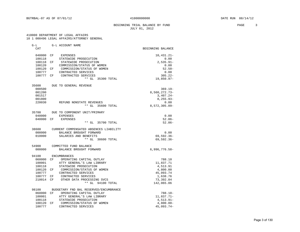#### BEGINNING TRIAL BALANCE BY FUND **PAGE** 3 JULY 01, 2012

#### 410000 DEPARTMENT OF LEGAL AFFAIRS 10 1 000496 LEGAL AFFAIRS/ATTORNEY GENERAL

54900 COMMITTED FUND BALANCE

| $G-L$  |    | G-L ACCOUNT NAME           |                   |
|--------|----|----------------------------|-------------------|
| CAT    |    |                            | BEGINNING BALANCE |
|        |    |                            |                   |
| 040000 | CF | <b>EXPENSES</b>            | $10,431.21-$      |
| 100118 |    | STATEWIDE PROSECUTION      | 0.00              |
| 100118 | CF | STATEWIDE PROSECUTION      | $2,535.91-$       |
| 100120 |    | COMMISSION/STATUS OF WOMEN | 0.00              |
| 100120 | CF | COMMISSION/STATUS OF WOMEN | $52.50 -$         |
| 100777 |    | CONTRACTED SERVICES        | 0.00              |
| 100777 | CF | CONTRACTED SERVICES        | $305.22 -$        |
|        |    | $* *$<br>GL<br>35300 TOTAL | $19,850.97 -$     |

| 35600  | DUE TO GENERAL REVENUE        |                  |
|--------|-------------------------------|------------------|
| 000500 |                               | $369.19 -$       |
| 001200 |                               | 8,560,272.73-    |
| 001517 |                               | $3,407.24-$      |
| 001800 |                               | $8, 255.93 -$    |
| 220030 | REFUND NONSTATE REVENUES      | 0.00             |
|        | GL<br>35600 TOTAL<br>* *      | $8,572,305.09 -$ |
| 35700  | DUE TO COMPONENT UNIT/PRIMARY |                  |

| 040000    | EXPENSES |  |                   | 0.00     |
|-----------|----------|--|-------------------|----------|
| 040000 CF | EXPENSES |  |                   | $52.86-$ |
|           |          |  | ** GL 35700 TOTAL | $52.86-$ |

| 38600  | CURRENT COMPENSATED ABSENCES LIABILITY |            |
|--------|----------------------------------------|------------|
| 000000 | BALANCE BROUGHT FORWARD                | 0.00       |
| 010000 | SALARIES AND BENEFITS                  | 69,592.36- |
|        | ** GL 38600 TOTAL                      | 69,592.36- |

| 000000 | BALANCE BROUGHT FORWARD   |                                        | $6,996,776.58-$ |
|--------|---------------------------|----------------------------------------|-----------------|
| 94100  | <b>ENCUMBRANCES</b>       |                                        |                 |
| 060000 | CF                        | OPERATING CAPITAL OUTLAY               | 788.10          |
| 100001 |                           | ATTY GENERAL'S LAW LIBRARY             | 11,837.71       |
| 100118 | STATEWIDE PROSECUTION     |                                        | 4,513.91        |
| 100120 | CF                        | COMMISSION/STATUS OF WOMEN             | 4,800.00        |
| 100777 | CONTRACTED SERVICES       |                                        | 45,093.74       |
| 100777 | CF<br>CONTRACTED SERVICES |                                        | 1,638.76        |
| 210014 | CF                        | OTHER DATA PROCESSING SVCS             | 73,392.84       |
|        |                           | 94100 TOTAL<br>$**$ GL                 | 142,065.06      |
| 98100  |                           | BUDGETARY FND BAL RESERVED/ENCUMBRANCE |                 |

| -------- |     |                            |              |
|----------|-----|----------------------------|--------------|
| 060000   | 一〇円 | OPERATING CAPITAL OUTLAY   | $788.10 -$   |
| 100001   |     | ATTY GENERAL'S LAW LIBRARY | 11,837.71-   |
| 100118   |     | STATEWIDE PROSECUTION      | 4,513.91-    |
| 100120   | 「一下 | COMMISSION/STATUS OF WOMEN | $4,800.00-$  |
| 100777   |     | CONTRACTED SERVICES        | $45.093.74-$ |
|          |     |                            |              |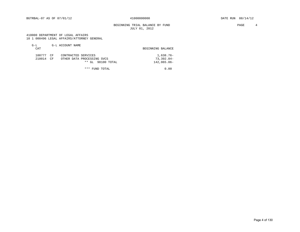## BEGINNING TRIAL BALANCE BY FUND **PAGE** 4 JULY 01, 2012

 410000 DEPARTMENT OF LEGAL AFFAIRS 10 1 000496 LEGAL AFFAIRS/ATTORNEY GENERAL

| $G-L$<br>CAT     |                      | G-L ACCOUNT NAME                                                       | BEGINNING BALANCE                      |
|------------------|----------------------|------------------------------------------------------------------------|----------------------------------------|
| 100777<br>210014 | CF<br>CF <sup></sup> | CONTRACTED SERVICES<br>OTHER DATA PROCESSING SVCS<br>** GL 98100 TOTAL | 1,638.76-<br>73,392.84-<br>142,065.06- |
|                  |                      | * * *<br>FUND TOTAL                                                    | 0.00                                   |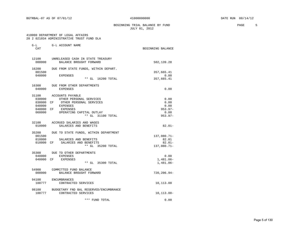BEGINNING TRIAL BALANCE BY FUND **PAGE** 5 JULY 01, 2012

#### 410000 DEPARTMENT OF LEGAL AFFAIRS 20 2 021034 ADMINISTRATIVE TRUST FUND DLA

| $G-L$<br>CAT     | G-L ACCOUNT NAME                                     | BEGINNING BALANCE          |
|------------------|------------------------------------------------------|----------------------------|
|                  | 12100 UNRELEASED CASH IN STATE TREASURY              |                            |
| 000000           | BALANCE BROUGHT FORWARD                              | 502,139.28                 |
| 16200            | DUE FROM STATE FUNDS, WITHIN DEPART.                 |                            |
| 001500<br>040000 |                                                      | 357,665.41<br>0.00         |
|                  | EXPENSES<br>** GL 16200 TOTAL                        | 357,665.41                 |
| 16300            | DUE FROM OTHER DEPARTMENTS                           |                            |
| 040000           | <b>EXPENSES</b>                                      | 0.00                       |
|                  | 31100 ACCOUNTS PAYABLE                               |                            |
|                  | 030000 OTHER PERSONAL SERVICES                       | 0.00                       |
|                  | 030000 CF OTHER PERSONAL SERVICES<br>040000 EXPENSES | 0.00                       |
|                  |                                                      | 0.00                       |
| 060000           | 040000 CF EXPENSES                                   | $953.97 -$                 |
|                  | OPERATING CAPITAL OUTLAY<br>** GL 31100 TOTAL        | 0.00<br>$953.97 -$         |
|                  | 32100 ACCRUED SALARIES AND WAGES                     |                            |
| 010000           | SALARIES AND BENEFITS                                | $82.01 -$                  |
| 35200            | DUE TO STATE FUNDS, WITHIN DEPARTMENT                |                            |
| 001500           |                                                      | 137,080.71-                |
|                  | 010000 SALARIES AND BENEFITS                         | 82.01                      |
|                  | 010000 CF SALARIES AND BENEFITS<br>** GL 35200 TOTAL | $82.01 -$<br>$137,080.71-$ |
|                  | 35300 DUE TO OTHER DEPARTMENTS                       |                            |
| 040000           | EXPENSES                                             | 0.00                       |
|                  | 040000 CF EXPENSES<br>** GL 35300 TOTAL              | $1,481.06-$<br>1,481.06-   |
|                  | 54900 COMMITTED FUND BALANCE                         |                            |
| 000000           | BALANCE BROUGHT FORWARD                              | 720,206.94-                |
| 94100            | <b>ENCUMBRANCES</b>                                  |                            |
| 100777           | CONTRACTED SERVICES                                  | 10,113.00                  |
|                  | 98100 BUDGETARY FND BAL RESERVED/ENCUMBRANCE         |                            |
| 100777           | CONTRACTED SERVICES                                  | 10,113.00-                 |
|                  | *** FUND TOTAL                                       | 0.00                       |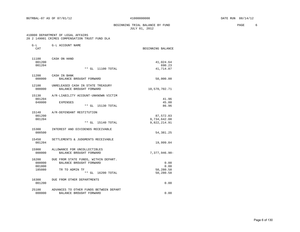#### BEGINNING TRIAL BALANCE BY FUND **EXAMPLE 1999** PAGE 6 JULY 01, 2012

#### 410000 DEPARTMENT OF LEGAL AFFAIRS 20 2 149001 CRIMES COMPENSATION TRUST FUND DLA

|  |  | 20 Z 149001 CRIMES COMPENSATION IROSI FOND DLA |  |  |
|--|--|------------------------------------------------|--|--|
|  |  |                                                |  |  |

| $G-L$            | G-L ACCOUNT NAME                       |                              |
|------------------|----------------------------------------|------------------------------|
| CAT              |                                        | BEGINNING BALANCE            |
| 11100            | CASH ON HAND                           |                              |
| 001200<br>001204 |                                        | 41,024.64<br>690.23          |
|                  | $***$ GL<br>11100 TOTAL                | 41,714.87                    |
| 11200            | CASH IN BANK                           |                              |
| 000000           | BALANCE BROUGHT FORWARD                | 50,000.00                    |
| 12100            | UNRELEASED CASH IN STATE TREASURY      |                              |
| 000000           | BALANCE BROUGHT FORWARD                | 10,570,702.71                |
| 15130            | A/R-LIABILITY ACCOUNT-UNKNOWN VICTIM   |                              |
| 001204           |                                        | 41.96                        |
| 040000           | EXPENSES                               | 45.00                        |
|                  | ** GL 15130 TOTAL                      | 86.96                        |
| 15140            | A/R-DEFENDANT RESTITUTION              |                              |
| 001200           |                                        | 87,572.83                    |
| 001204           | ** GL 15140 TOTAL                      | 9,734,642.08<br>9,822,214.91 |
|                  |                                        |                              |
| 15300            | INTEREST AND DIVIDENDS RECEIVABLE      |                              |
| 000500           |                                        | 54, 381.25                   |
| 15450            | SETTLEMENTS & JUDGMENTS RECEIVABLE     |                              |
| 001204           |                                        | 19,999.84                    |
| 15900            | ALLOWANCE FOR UNCOLLECTIBLES           |                              |
| 000000           | BALANCE BROUGHT FORWARD                | 7,377,946.90-                |
| 16200            | DUE FROM STATE FUNDS, WITHIN DEPART.   |                              |
| 000000           | BALANCE BROUGHT FORWARD                | 0.00                         |
| 001800           |                                        | 0.00                         |
| 185080           | TR TO ADMIN TF                         | 50,280.58                    |
|                  | $***$ GL<br>16200 TOTAL                | 50,280.58                    |
| 16300            | DUE FROM OTHER DEPARTMENTS             |                              |
| 001200           |                                        | 0.00                         |
| 25100            | ADVANCES TO OTHER FUNDS BETWEEN DEPART |                              |
| 000000           | BALANCE BROUGHT FORWARD                | 0.00                         |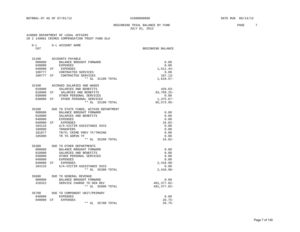#### BEGINNING TRIAL BALANCE BY FUND **PAGE** 7 JULY 01, 2012

#### 410000 DEPARTMENT OF LEGAL AFFAIRS 20 2 149001 CRIMES COMPENSATION TRUST FUND DLA

| G-L<br>CAT | G-L ACCOUNT NAME                                | BEGINNING BALANCE |
|------------|-------------------------------------------------|-------------------|
| 31100      | ACCOUNTS PAYABLE                                |                   |
| 000000     | BALANCE BROUGHT FORWARD                         | 0.00              |
| 040000     | EXPENSES                                        | 0.00              |
| 040000     | CF<br>EXPENSES                                  | 1,511.44-         |
| 100777     | CONTRACTED SERVICES                             | 0.00              |
|            | 100777 CF CONTRACTED SERVICES                   | $107.13-$         |
|            | ** GL 31100 TOTAL                               | $1,618.57-$       |
| 32100      | ACCRUED SALARIES AND WAGES                      |                   |
| 010000     | SALARIES AND BENEFITS                           | $429.03 -$        |
| 010000     | SALARIES AND BENEFITS<br>CF                     | $83,769.25 -$     |
| 030000     | OTHER PERSONAL SERVICES                         | 0.00              |
| 030000     | CF OTHER PERSONAL SERVICES                      | $1.375.67-$       |
|            | ** GL 32100 TOTAL                               | $85,573.95 -$     |
| 35200      | DUE TO STATE FUNDS, WITHIN DEPARTMENT           |                   |
| 000000     | BALANCE BROUGHT FORWARD                         | 0.00              |
| 010000     | SALARIES AND BENEFITS                           | 0.00              |
| 040000     | EXPENSES                                        | 0.00              |
| 040000     | CF EXPENSES                                     | $16.02-$          |
| 104133     | G/A-VICTIM ASSISTANCE SVCS                      | 0.00              |
| 180000     | TRANSFERS                                       | 0.00              |
| 181077     | TR/FL CRIME PREV TF/TRAING                      | 0.00              |
| 185080     | TR TO ADMIN TF                                  | 0.00              |
|            | ** GL 35200 TOTAL                               | $16.02-$          |
| 35300      | DUE TO OTHER DEPARTMENTS                        |                   |
| 000000     | BALANCE BROUGHT FORWARD                         | 0.00              |
| 010000     | SALARIES AND BENEFITS                           | 0.00              |
| 030000     | OTHER PERSONAL SERVICES                         | 0.00              |
| 040000     | EXPENSES                                        | 0.00              |
|            | 040000 CF EXPENSES                              | $2.418.90 -$      |
| 104133     | G/A-VICTIM ASSISTANCE SVCS<br>** GL 35300 TOTAL | 0.00              |
|            |                                                 | $2,418.90 -$      |
| 35600      | DUE TO GENERAL REVENUE                          |                   |
| 000000     | BALANCE BROUGHT FORWARD                         | 0.00              |
| 310322     | SERVICE CHARGE TO GEN REV                       | 401, 377.02-      |
|            | $***$ GL<br>35600 TOTAL                         | 401, 377.02-      |

| 35700     |          | DUE TO COMPONENT UNIT/PRIMARY |          |
|-----------|----------|-------------------------------|----------|
| 040000    | EXPENSES |                               | 0.00     |
| 040000 CF | EXPENSES |                               | $26.75-$ |
|           |          | ** GL 35700 TOTAL             | $26.75-$ |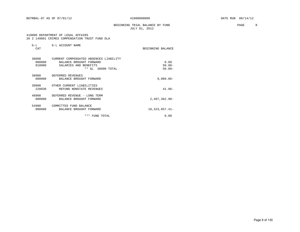## BEGINNING TRIAL BALANCE BY FUND **PAGE 8** JULY 01, 2012

 410000 DEPARTMENT OF LEGAL AFFAIRS 20 2 149001 CRIMES COMPENSATION TRUST FUND DLA

| $G-L$<br>CAT              | G-L ACCOUNT NAME                                                                                                | BEGINNING BALANCE              |
|---------------------------|-----------------------------------------------------------------------------------------------------------------|--------------------------------|
| 38600<br>000000<br>010000 | CURRENT COMPENSATED ABSENCES LIABILITY<br>BALANCE BROUGHT FORWARD<br>SALARIES AND BENEFITS<br>** GL 38600 TOTAL | 0.00<br>$50.88 -$<br>$50.88 -$ |
| 38900<br>000000           | DEFERRED REVENUES<br>BALANCE BROUGHT FORWARD                                                                    | $9,089.86 -$                   |
| 39900<br>220030           | OTHER CURRENT LIABILITIES<br>REFUND NONSTATE REVENUES                                                           | $41.96 -$                      |
| 48900<br>000000           | DEFERRED REVENUE - LONG TERM<br>BALANCE BROUGHT FORWARD                                                         | $2,407,362.90-$                |
| 54900<br>000000           | COMMITTED FUND BALANCE<br>BALANCE BROUGHT FORWARD                                                               | $10,323,857.41-$               |
|                           | ***<br>FUND TOTAL                                                                                               | 0.00                           |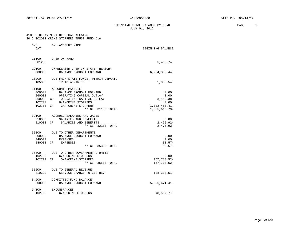BEGINNING TRIAL BALANCE BY FUND **PAGE** 9 JULY 01, 2012

#### 410000 DEPARTMENT OF LEGAL AFFAIRS 20 2 202001 CRIME STOPPERS TRUST FUND DLA

| $G-L$<br>CAT              | G-L ACCOUNT NAME                                                                                                                                                                                | BEGINNING BALANCE                                                        |
|---------------------------|-------------------------------------------------------------------------------------------------------------------------------------------------------------------------------------------------|--------------------------------------------------------------------------|
| 11100<br>001200           | CASH ON HAND                                                                                                                                                                                    | 5,455.74                                                                 |
| 000000                    | 12100 UNRELEASED CASH IN STATE TREASURY<br>BALANCE BROUGHT FORWARD                                                                                                                              | 6,964,308.44                                                             |
| 16200<br>185080           | DUE FROM STATE FUNDS, WITHIN DEPART.<br>TR TO ADMIN TF                                                                                                                                          | 1,058.54                                                                 |
| 31100<br>000000<br>102700 | ACCOUNTS PAYABLE<br>BALANCE BROUGHT FORWARD<br>060000 OPERATING CAPITAL OUTLAY<br>060000 CF OPERATING CAPITAL OUTLAY<br>G/A-CRIME STOPPERS<br>102700 CF G/A-CRIME STOPPERS<br>** GL 31100 TOTAL | 0.00<br>0.00<br>$3.152.38 -$<br>0.00<br>$1,302,463.41-$<br>1,305,615.79- |
| 010000                    | 32100 ACCRUED SALARIES AND WAGES<br>SALARIES AND BENEFITS<br>010000 CF SALARIES AND BENEFITS<br>** GL 32100 TOTAL                                                                               | 0.00<br>$2,475.92-$<br>$2,475.92-$                                       |
| 040000                    | 35300 DUE TO OTHER DEPARTMENTS<br>000000 BALANCE BROUGHT FORWARD<br>EXPENSES<br>040000 CF EXPENSES<br>** GL 35300 TOTAL                                                                         | 0.00<br>0.00<br>$30.57-$<br>$30.57-$                                     |
|                           | 35500 DUE TO OTHER GOVERNMENTAL UNITS<br>102700 G/A-CRIME STOPPERS<br>102700 CF G/A-CRIME STOPPERS<br>** GL 35500 TOTAL                                                                         | 0.00<br>157, 718.52-<br>157, 718.52-                                     |
| 310322                    | 35600 DUE TO GENERAL REVENUE<br>SERVICE CHARGE TO GEN REV                                                                                                                                       | 108,310.51-                                                              |
| 54900                     | COMMITTED FUND BALANCE<br>000000 BALANCE BROUGHT FORWARD                                                                                                                                        | $5,396,671.41-$                                                          |
| 94100<br>102700           | ENCUMBRANCES<br>G/A-CRIME STOPPERS                                                                                                                                                              | 48,557.77                                                                |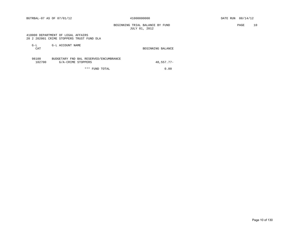BEGINNING TRIAL BALANCE BY FUND **PAGE** 10 JULY 01, 2012

#### 410000 DEPARTMENT OF LEGAL AFFAIRS 20 2 202001 CRIME STOPPERS TRUST FUND DLA

| $G-L$<br><b>CAT</b> | G-L ACCOUNT NAME                       | BEGINNING BALANCE |
|---------------------|----------------------------------------|-------------------|
| 98100               | BUDGETARY FND BAL RESERVED/ENCUMBRANCE |                   |

| ----   |                    | population inp pap necessary phochomatics |               |
|--------|--------------------|-------------------------------------------|---------------|
| 102700 | G/A-CRIME STOPPERS |                                           | $48.557.77 -$ |
|        |                    | *** FUND TOTAL                            | 0.00          |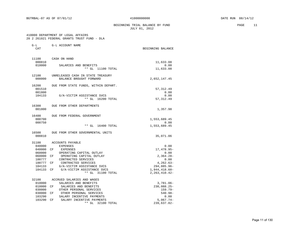BEGINNING TRIAL BALANCE BY FUND PAGE 11 JULY 01, 2012

#### 410000 DEPARTMENT OF LEGAL AFFAIRS 20 2 261021 FEDERAL GRANTS TRUST FUND - DLA

| $G-L$<br>CAT    | G-L ACCOUNT NAME                     | BEGINNING BALANCE    |
|-----------------|--------------------------------------|----------------------|
|                 |                                      |                      |
| 11100<br>000810 | CASH ON HAND                         |                      |
| 010000          | SALARIES AND BENEFITS                | 11,633.08<br>0.00    |
|                 | ** GL 11100 TOTAL                    | 11,633.08            |
| 12100           | UNRELEASED CASH IN STATE TREASURY    |                      |
| 000000          | BALANCE BROUGHT FORWARD              | 2,652,147.45         |
| 16200           | DUE FROM STATE FUNDS, WITHIN DEPART. |                      |
| 001510          |                                      | 57, 312.49           |
| 001800          |                                      | 0.00                 |
| 104133          | G/A-VICTIM ASSISTANCE SVCS           | 0.00                 |
|                 | ** GL 16200 TOTAL                    | 57, 312.49           |
| 16300           | DUE FROM OTHER DEPARTMENTS           |                      |
| 001800          |                                      | 1,357.98             |
| 16400           | DUE FROM FEDERAL GOVERNMENT          |                      |
| 000700          |                                      | 1,553,689.45         |
| 000750          | $**$ GL<br>16400 TOTAL               | 0.00<br>1,553,689.45 |
|                 |                                      |                      |
| 16500<br>000810 | DUE FROM OTHER GOVERNMENTAL UNITS    | 35,071.06            |
| 31100           | ACCOUNTS PAYABLE                     |                      |
| 040000          | EXPENSES                             | 0.00                 |
| 040000          | CF<br>EXPENSES                       | 17, 478.95-          |
| 060000          | OPERATING CAPITAL OUTLAY             | 0.00                 |
| 060000          | CF<br>OPERATING CAPITAL OUTLAY       | $2,364.28-$          |
| 100777          | CONTRACTED SERVICES                  | 0.00                 |
| 100777          | CONTRACTED SERVICES<br>CF            | $4, 262.63 -$        |
| 104133          | G/A-VICTIM ASSISTANCE SVCS           | 294,885.96-          |
| 104133          | CF<br>G/A-VICTIM ASSISTANCE SVCS     | $1,944,418.60-$      |
|                 | ** GL 31100 TOTAL                    | $2, 263, 410.42 -$   |
| 32100           | ACCRUED SALARIES AND WAGES           |                      |
| 010000          | SALARIES AND BENEFITS                | $3,781.06 -$         |
| 010000          | CF<br>SALARIES AND BENEFITS          | 230,088.25-          |
| 030000          | OTHER PERSONAL SERVICES              | $159.79 -$           |
| 030000          | OTHER PERSONAL SERVICES<br>CF        | $540.98 -$           |
| 103290          | SALARY INCENTIVE PAYMENTS            | 0.00                 |
| 103290          | SALARY INCENTIVE PAYMENTS<br>CF      | $5,067.74-$          |
|                 | ** GL<br>32100 TOTAL                 | 239,637.82-          |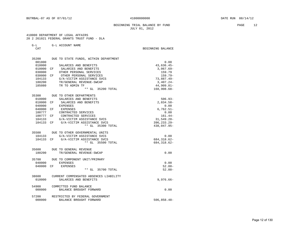BEGINNING TRIAL BALANCE BY FUND **PAGE** 12 JULY 01, 2012

 410000 DEPARTMENT OF LEGAL AFFAIRS 20 2 261021 FEDERAL GRANTS TRUST FUND - DLA

G-L G-L ACCOUNT NAME

CAT BEGINNING BALANCE

| 35200  | DUE TO STATE FUNDS, WITHIN DEPARTMENT  |                 |
|--------|----------------------------------------|-----------------|
| 001800 |                                        | 0.00            |
| 010000 | SALARIES AND BENEFITS                  | $43,636.45-$    |
| 010000 | SALARIES AND BENEFITS<br>CF            | $3,067.69-$     |
| 030000 | OTHER PERSONAL SERVICES                | 159.79          |
| 030000 | OTHER PERSONAL SERVICES<br>CF          | $159.79 -$      |
| 104133 | G/A-VICTIM ASSISTANCE SVCS             | $73,887.49-$    |
| 180200 | TR/GENERAL REVENUE-SWCAP               | $3,407.24-$     |
| 185080 | TR TO ADMIN TF                         | $44,909.81-$    |
|        | ** GL 35200 TOTAL                      | 168,908.68-     |
| 35300  | DUE TO OTHER DEPARTMENTS               |                 |
| 010000 | SALARIES AND BENEFITS                  | $506.93 -$      |
| 010000 | CF SALARIES AND BENEFITS               | $2,834.58-$     |
| 040000 | EXPENSES                               | 0.00            |
| 040000 | CF<br>EXPENSES                         | $6,762.51-$     |
| 100777 | CONTRACTED SERVICES                    | 0.00            |
| 100777 | CF CONTRACTED SERVICES                 | $161.44-$       |
| 104133 | G/A-VICTIM ASSISTANCE SVCS             | $31,549.20 -$   |
| 104133 | G/A-VICTIM ASSISTANCE SVCS<br>CF.      | $396, 233.29 -$ |
|        | ** GL 35300 TOTAL                      | 438,047.95-     |
|        | 35500 DUE TO OTHER GOVERNMENTAL UNITS  |                 |
| 104133 | G/A-VICTIM ASSISTANCE SVCS             | 0.00            |
| 104133 | CF G/A-VICTIM ASSISTANCE SVCS          | 684, 318.62-    |
|        | ** GL 35500 TOTAL                      | 684, 318.62-    |
| 35600  | DUE TO GENERAL REVENUE                 |                 |
| 180200 | TR/GENERAL REVENUE-SWCAP               | 0.00            |
| 35700  | DUE TO COMPONENT UNIT/PRIMARY          |                 |
| 040000 | <b>EXPENSES</b>                        | 0.00            |
| 040000 | EXPENSES<br>CF.                        | $52.88 -$       |
|        | $**$ GL<br>35700 TOTAL                 | $52.88 -$       |
| 38600  | CURRENT COMPENSATED ABSENCES LIABILITY |                 |
| 010000 | SALARIES AND BENEFITS                  | $9,976.66 -$    |
| 54900  | COMMITTED FUND BALANCE                 |                 |
| 000000 | BALANCE BROUGHT FORWARD                | 0.00            |
| 57200  | RESTRICTED BY FEDERAL GOVERNMENT       |                 |
| 000000 | BALANCE BROUGHT FORWARD                | $506.858.48 -$  |

Page 12 of 130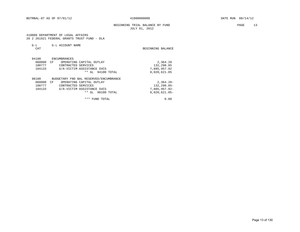## BEGINNING TRIAL BALANCE BY FUND **PAGE** 13 JULY 01, 2012

 410000 DEPARTMENT OF LEGAL AFFAIRS 20 2 261021 FEDERAL GRANTS TRUST FUND - DLA

| $G-L$  | G-L ACCOUNT NAME                       |                   |
|--------|----------------------------------------|-------------------|
| CAT    |                                        | BEGINNING BALANCE |
|        |                                        |                   |
| 94100  | ENCUMBRANCES                           |                   |
| 060000 | CF<br>OPERATING CAPITAL OUTLAY         | 2,364.28          |
| 100777 | CONTRACTED SERVICES                    | 132,298.85        |
| 104133 | G/A-VICTIM ASSISTANCE SVCS             | 7,885,957.92      |
|        | 94100 TOTAL<br>** GL                   | 8,020,621.05      |
| 98100  | BUDGETARY FND BAL RESERVED/ENCUMBRANCE |                   |
| 060000 | CF<br>OPERATING CAPITAL OUTLAY         | $2,364.28-$       |
| 100777 | CONTRACTED SERVICES                    | $132, 298.85 -$   |
| 104133 | G/A-VICTIM ASSISTANCE SVCS             | 7,885,957.92-     |
|        | $**$ GL<br>98100 TOTAL                 | $8,020,621.05 -$  |
|        | ***<br>FUND TOTAL                      | 0.00              |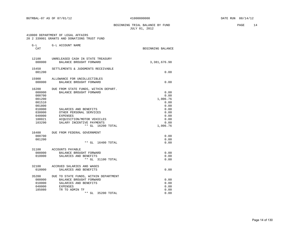BEGINNING TRIAL BALANCE BY FUND **PAGE** 14 JULY 01, 2012

#### 410000 DEPARTMENT OF LEGAL AFFAIRS 20 2 339001 GRANTS AND DONATIONS TRUST FUND

| $G-L$<br>CAT                                                                | G-L ACCOUNT NAME                                                                                                                                       | BEGINNING BALANCE                                        |
|-----------------------------------------------------------------------------|--------------------------------------------------------------------------------------------------------------------------------------------------------|----------------------------------------------------------|
| 12100<br>000000                                                             | UNRELEASED CASH IN STATE TREASURY<br>BALANCE BROUGHT FORWARD                                                                                           | 3,381,676.98                                             |
| 15450<br>001200                                                             | SETTLEMENTS & JUDGMENTS RECEIVABLE                                                                                                                     | 0.00                                                     |
| 15900<br>000000                                                             | ALLOWANCE FOR UNCOLLECTIBLES<br>BALANCE BROUGHT FORWARD                                                                                                | 0.00                                                     |
| 16200<br>000000<br>000700<br>001200<br>001510<br>001800<br>010000<br>030000 | DUE FROM STATE FUNDS, WITHIN DEPART.<br>BALANCE BROUGHT FORWARD<br>SALARIES AND BENEFITS<br>OTHER PERSONAL SERVICES                                    | 0.00<br>0.00<br>1,006.76<br>0.00<br>0.00<br>0.00<br>0.00 |
| 040000<br>100021<br>103290                                                  | EXPENSES<br>ACQUISITION/MOTOR VEHICLES<br>SALARY INCENTIVE PAYMENTS<br>** GL 16200 TOTAL                                                               | 0.00<br>0.00<br>0.00<br>1,006.76                         |
| 16400<br>000700<br>001200                                                   | DUE FROM FEDERAL GOVERNMENT<br>** GL 16400 TOTAL                                                                                                       | 0.00<br>0.00<br>0.00                                     |
| 31100<br>000000<br>010000                                                   | ACCOUNTS PAYABLE<br>BALANCE BROUGHT FORWARD<br>SALARIES AND BENEFITS<br>** GL 31100 TOTAL                                                              | 0.00<br>0.00<br>0.00                                     |
| 32100<br>010000                                                             | ACCRUED SALARIES AND WAGES<br>SALARIES AND BENEFITS                                                                                                    | 0.00                                                     |
| 35200<br>000000<br>010000<br>040000<br>185080                               | DUE TO STATE FUNDS, WITHIN DEPARTMENT<br>BALANCE BROUGHT FORWARD<br>SALARIES AND BENEFITS<br><b>EXPENSES</b><br>TR TO ADMIN TF<br>** GL<br>35200 TOTAL | 0.00<br>0.00<br>0.00<br>0.00<br>0.00                     |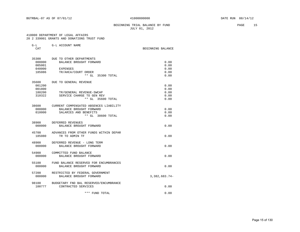## BEGINNING TRIAL BALANCE BY FUND **PAGE** 15 JULY 01, 2012

#### 410000 DEPARTMENT OF LEGAL AFFAIRS 20 2 339001 GRANTS AND DONATIONS TRUST FUND

|  |  | AN A SSYNUI GRANIS AND DONAIIONS IRUSI FUND |  |
|--|--|---------------------------------------------|--|
|  |  |                                             |  |

| G-L              | G-L ACCOUNT NAME                                                  |                   |
|------------------|-------------------------------------------------------------------|-------------------|
| CAT              |                                                                   | BEGINNING BALANCE |
| 35300            | DUE TO OTHER DEPARTMENTS                                          |                   |
| 000000           | BALANCE BROUGHT FORWARD                                           | 0.00              |
| 005001           |                                                                   | 0.00              |
| 040000           | EXPENSES                                                          | 0.00              |
| 185086           | TR/AHCA/COURT ORDER                                               | 0.00              |
|                  | $***$ GL<br>35300 TOTAL                                           | 0.00              |
| 35600            | DUE TO GENERAL REVENUE                                            |                   |
| 001200           |                                                                   | 0.00              |
| 001800           |                                                                   | 0.00              |
| 180200<br>310322 | TR/GENERAL REVENUE-SWCAP                                          | 0.00              |
|                  | SERVICE CHARGE TO GEN REV<br>** GL 35600 TOTAL                    | 0.00<br>0.00      |
|                  |                                                                   |                   |
|                  | 38600 CURRENT COMPENSATED ABSENCES LIABILITY                      |                   |
| 000000           | BALANCE BROUGHT FORWARD                                           | 0.00              |
| 010000           | SALARIES AND BENEFITS                                             | 0.00              |
|                  | ** GL 38600 TOTAL                                                 | 0.00              |
| 38900            | DEFERRED REVENUES                                                 |                   |
| 000000           | BALANCE BROUGHT FORWARD                                           | 0.00              |
| 45700            | ADVANCES FROM OTHER FUNDS WITHIN DEPAR                            |                   |
| 185080           | TR TO ADMIN TF                                                    | 0.00              |
| 48900            | DEFERRED REVENUE - LONG TERM                                      |                   |
| 000000           | BALANCE BROUGHT FORWARD                                           | 0.00              |
| 54900            | COMMITTED FUND BALANCE                                            |                   |
| 000000           | BALANCE BROUGHT FORWARD                                           | 0.00              |
|                  |                                                                   |                   |
| 55100<br>000000  | FUND BALANCE RESERVED FOR ENCUMBRANCES<br>BALANCE BROUGHT FORWARD | 0.00              |
|                  |                                                                   |                   |
| 57200            | RESTRICTED BY FEDERAL GOVERNMENT                                  |                   |
| 000000           | BALANCE BROUGHT FORWARD                                           | $3,382,683.74-$   |
| 98100            | BUDGETARY FND BAL RESERVED/ENCUMBRANCE                            |                   |
| 100777           | CONTRACTED SERVICES                                               | 0.00              |
|                  | *** FUND TOTAL                                                    | 0.00              |
|                  |                                                                   |                   |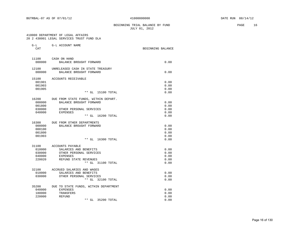## BEGINNING TRIAL BALANCE BY FUND **PAGE** 16 JULY 01, 2012

 410000 DEPARTMENT OF LEGAL AFFAIRS 20 2 438001 LEGAL SERVICES TRUST FUND DLA

| $G-L$<br>CAT | G-L ACCOUNT NAME                      | BEGINNING BALANCE |
|--------------|---------------------------------------|-------------------|
|              |                                       |                   |
| 11100        | CASH ON HAND                          |                   |
| 000000       | BALANCE BROUGHT FORWARD               | 0.00              |
| 12100        | UNRELEASED CASH IN STATE TREASURY     |                   |
| 000000       | BALANCE BROUGHT FORWARD               | 0.00              |
| 15100        | ACCOUNTS RECEIVABLE                   |                   |
| 001901       |                                       | 0.00              |
| 001903       |                                       | 0.00              |
| 001905       |                                       | 0.00              |
|              | ** GL 15100 TOTAL                     | 0.00              |
| 16200        | DUE FROM STATE FUNDS, WITHIN DEPART.  |                   |
| 000000       | BALANCE BROUGHT FORWARD               | 0.00              |
| 001800       |                                       | 0.00              |
| 030000       | OTHER PERSONAL SERVICES               | 0.00              |
| 040000       | <b>EXPENSES</b>                       | 0.00              |
|              | ** GL 16200 TOTAL                     | 0.00              |
| 16300        | DUE FROM OTHER DEPARTMENTS            |                   |
| 000000       | BALANCE BROUGHT FORWARD               | 0.00              |
| 000100       |                                       | 0.00              |
| 001800       |                                       | 0.00              |
| 001903       |                                       | 0.00              |
|              | ** GL 16300 TOTAL                     | 0.00              |
|              | 31100 ACCOUNTS PAYABLE                |                   |
| 010000       | SALARIES AND BENEFITS                 | 0.00              |
| 030000       | OTHER PERSONAL SERVICES               | 0.00              |
| 040000       | EXPENSES                              | 0.00              |
| 220020       | REFUND STATE REVENUES                 | 0.00              |
|              | ** GL 31100 TOTAL                     | 0.00              |
|              | 32100 ACCRUED SALARIES AND WAGES      |                   |
| 010000       | SALARIES AND BENEFITS                 | 0.00              |
| 030000       | OTHER PERSONAL SERVICES               | 0.00              |
|              | ** GL 32100 TOTAL                     | 0.00              |
| 35200        | DUE TO STATE FUNDS, WITHIN DEPARTMENT |                   |
| 040000       | <b>EXPENSES</b>                       | 0.00              |
| 180000       | TRANSFERS                             | 0.00              |
| 220000       | REFUND                                | 0.00              |
|              | $**$ GL<br>35200 TOTAL                | 0.00              |
|              |                                       |                   |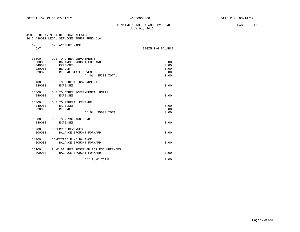## BEGINNING TRIAL BALANCE BY FUND **PAGE** 17 JULY 01, 2012

#### 410000 DEPARTMENT OF LEGAL AFFAIRS 20 2 438001 LEGAL SERVICES TRUST FUND DLA

| $G-T$ | G-L ACCOUNT NAME |
|-------|------------------|

| CAT                                  |                                                                                                                                      | BEGINNING BALANCE                    |
|--------------------------------------|--------------------------------------------------------------------------------------------------------------------------------------|--------------------------------------|
| 000000<br>040000<br>220000<br>220020 | 35300 DUE TO OTHER DEPARTMENTS<br>BALANCE BROUGHT FORWARD<br><b>EXPENSES</b><br>REFUND<br>REFUND STATE REVENUES<br>** GL 35300 TOTAL | 0.00<br>0.00<br>0.00<br>0.00<br>0.00 |
| 35400<br>040000                      | DUE TO FEDERAL GOVERNMENT<br><b>EXPENSES</b>                                                                                         | 0.00                                 |
| 35500<br>040000                      | DUE TO OTHER GOVERNMENTAL UNITS<br><b>EXPENSES</b>                                                                                   | 0.00                                 |
| 35600<br>040000<br>220000            | DUE TO GENERAL REVENUE<br><b>EXPENSES</b><br>REFUND<br>** GL 35600 TOTAL                                                             | 0.00<br>0.00<br>0.00                 |
| 040000                               | 35800 DUE TO REVOLVING FUND<br><b>EXPENSES</b>                                                                                       | 0.00                                 |
| 38900<br>000000                      | DEFERRED REVENUES<br>BALANCE BROUGHT FORWARD                                                                                         | 0.00                                 |
| 54900<br>000000                      | COMMITTED FUND BALANCE<br>BALANCE BROUGHT FORWARD                                                                                    | 0.00                                 |
| 55100<br>000000                      | FUND BALANCE RESERVED FOR ENCUMBRANCES<br>BALANCE BROUGHT FORWARD                                                                    | 0.00                                 |
|                                      | *** FUND TOTAL                                                                                                                       | 0.00                                 |
|                                      |                                                                                                                                      |                                      |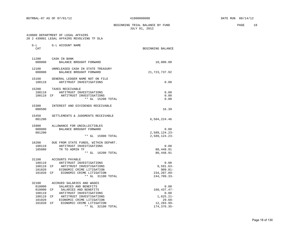BEGINNING TRIAL BALANCE BY FUND **PAGE** 18 JULY 01, 2012

#### 410000 DEPARTMENT OF LEGAL AFFAIRS 20 2 439001 LEGAL AFFAIRS REVOLVING TF DLA

| $G-L$<br>CAT                                                         | G-L ACCOUNT NAME                                                                                                                                                                                                                   | BEGINNING BALANCE                                                                          |
|----------------------------------------------------------------------|------------------------------------------------------------------------------------------------------------------------------------------------------------------------------------------------------------------------------------|--------------------------------------------------------------------------------------------|
| 11200<br>000000                                                      | CASH IN BANK<br>BALANCE BROUGHT FORWARD                                                                                                                                                                                            | 10,000.00                                                                                  |
| 12100<br>000000                                                      | UNRELEASED CASH IN STATE TREASURY<br>BALANCE BROUGHT FORWARD                                                                                                                                                                       | 21,723,737.92                                                                              |
| 15160<br>100119                                                      | GENERAL LEDGER NAME NOT ON FILE<br>ANTITRUST INVESTIGATIONS                                                                                                                                                                        | 0.00                                                                                       |
| 15200<br>100119                                                      | TAXES RECEIVABLE<br>ANTITRUST INVESTIGATIONS<br>100119 CF ANTITRUST INVESTIGATIONS<br>** GL 15200 TOTAL                                                                                                                            | 0.00<br>0.00<br>0.00                                                                       |
| 15300<br>000500                                                      | INTEREST AND DIVIDENDS RECEIVABLE                                                                                                                                                                                                  | 16.39                                                                                      |
| 15450<br>001200                                                      | SETTLEMENTS & JUDGMENTS RECEIVABLE                                                                                                                                                                                                 | 6,504,224.46                                                                               |
| 15900<br>000000<br>001200                                            | ALLOWANCE FOR UNCOLLECTIBLES<br>BALANCE BROUGHT FORWARD<br>** GL 15900 TOTAL                                                                                                                                                       | 0.00<br>$2,589,124.23-$<br>$2,589,124.23-$                                                 |
| 16200<br>100119<br>185080                                            | DUE FROM STATE FUNDS, WITHIN DEPART.<br>ANTITRUST INVESTIGATIONS<br>TR TO ADMIN TF<br>** GL 16200 TOTAL                                                                                                                            | 0.00<br>80,448.91<br>80,448.91                                                             |
| 100119<br>100119 CF<br>101020<br>101020 CF                           | 31100 ACCOUNTS PAYABLE<br>ANTITRUST INVESTIGATIONS<br>ANTITRUST INVESTIGATIONS<br>ECONOMIC CRIME LITIGATION<br>ECONOMIC CRIME LITIGATION<br>** GL 31100 TOTAL                                                                      | 0.00<br>$9,591.63-$<br>$909.81 -$<br>234, 207.89-<br>$244,709.33-$                         |
| 32100<br>010000<br>010000<br>100119<br>100119 CF<br>101020<br>101020 | ACCRUED SALARIES AND WAGES<br>SALARIES AND BENEFITS<br>CF<br>SALARIES AND BENEFITS<br>ANTITRUST INVESTIGATIONS<br>ANTITRUST INVESTIGATIONS<br>ECONOMIC CRIME LITIGATION<br>CF<br>ECONOMIC CRIME LITIGATION<br>** GL<br>32100 TOTAL | 0.00<br>160, 437. 47-<br>0.00<br>$1,625.21-$<br>$29.68-$<br>$12, 283.99 -$<br>174, 376.35- |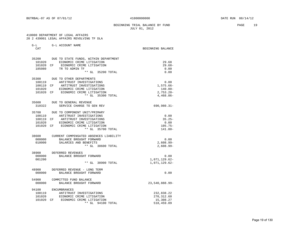#### BEGINNING TRIAL BALANCE BY FUND **PAGE** 19 JULY 01, 2012

 410000 DEPARTMENT OF LEGAL AFFAIRS 20 2 439001 LEGAL AFFAIRS REVOLVING TF DLA

| G-L<br>CAT | G-L ACCOUNT NAME                            | BEGINNING BALANCE |
|------------|---------------------------------------------|-------------------|
|            | 35200 DUE TO STATE FUNDS, WITHIN DEPARTMENT |                   |
| 101020     | ECONOMIC CRIME LITIGATION                   | 29.68             |
| 101020 CF  | ECONOMIC CRIME LITIGATION                   | $29.68-$          |
| 185080     | TR TO ADMIN TF                              | 0.00              |
|            | ** GL 35200 TOTAL                           | 0.00              |
|            |                                             |                   |
| 35300      | DUE TO OTHER DEPARTMENTS                    |                   |
| 100119     | ANTITRUST INVESTIGATIONS                    | 0.00              |
|            | 100119 CF ANTITRUST INVESTIGATIONS          | $1,575.66-$       |
| 101020     | ECONOMIC CRIME LITIGATION                   | $140.00 -$        |
| 101020 CF  | ECONOMIC CRIME LITIGATION                   | $2,753.20-$       |
|            | ** GL 35300 TOTAL                           | $4,468.86-$       |
| 35600      | DUE TO GENERAL REVENUE                      |                   |
| 310322     | SERVICE CHARGE TO GEN REV                   | $690,980.31 -$    |
|            | 35700 DUE TO COMPONENT UNIT/PRIMARY         |                   |
| 100119     | ANTITRUST INVESTIGATIONS                    | 0.00              |
| 100119 CF  | ANTITRUST INVESTIGATIONS                    | $35.25 -$         |
| 101020     | ECONOMIC CRIME LITIGATION                   | 0.00              |
| 101020 CF  | ECONOMIC CRIME LITIGATION                   | $105.75-$         |
|            | ** GL 35700 TOTAL                           | $141.00 -$        |
| 38600      | CURRENT COMPENSATED ABSENCES LIABILITY      |                   |
| 000000     | BALANCE BROUGHT FORWARD                     | 0.00              |
| 010000     | SALARIES AND BENEFITS                       | $2,608.99 -$      |
|            | ** GL 38600 TOTAL                           | $2,608.99 -$      |
|            |                                             |                   |
| 38900      | DEFERRED REVENUES                           |                   |
| 000000     | BALANCE BROUGHT FORWARD                     | 0.00              |
| 001200     |                                             | 1,071,129.62-     |
|            | ** GL 38900 TOTAL                           | 1,071,129.62-     |
| 48900      | DEFERRED REVENUE - LONG TERM                |                   |
| 000000     | BALANCE BROUGHT FORWARD                     | 0.00              |
| 54900      | COMMITTED FUND BALANCE                      |                   |
| 000000     | BALANCE BROUGHT FORWARD                     | 23,540,888.99-    |
| 94100      | ENCUMBRANCES                                |                   |
| 100119     | ANTITRUST INVESTIGATIONS                    | 232,838.22        |
| 101020     | ECONOMIC CRIME LITIGATION                   | 270,312.60        |
| 101020     | CF ECONOMIC CRIME LITIGATION                | 15,308.27         |
|            | ** GL 94100 TOTAL                           | 518,459.09        |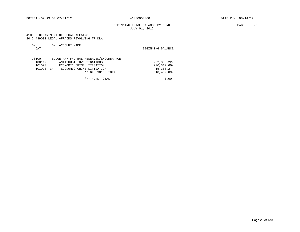## BEGINNING TRIAL BALANCE BY FUND PAGE 20 JULY 01, 2012

 410000 DEPARTMENT OF LEGAL AFFAIRS 20 2 439001 LEGAL AFFAIRS REVOLVING TF DLA

| $G-L$<br>CAT | G-L ACCOUNT NAME                       | BEGINNING BALANCE |
|--------------|----------------------------------------|-------------------|
| 98100        | BUDGETARY FND BAL RESERVED/ENCUMBRANCE |                   |
| 100119       | ANTITRUST INVESTIGATIONS               | $232,838.22-$     |
| 101020       | ECONOMIC CRIME LITIGATION              | $270.312.60 -$    |
| 101020       | ECONOMIC CRIME LITIGATION<br>CΕ        | $15,308,27-$      |
|              | $***$<br>98100 TOTAL<br>GL             | $518, 459.09 -$   |

\*\*\* FUND TOTAL 0.00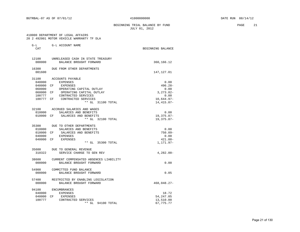## BEGINNING TRIAL BALANCE BY FUND **PAGE** 21 JULY 01, 2012

 410000 DEPARTMENT OF LEGAL AFFAIRS 20 2 492001 MOTOR VEHICLE WARRANTY TF DLA

| $G-L$<br>CAT    | G-L ACCOUNT NAME                                             | BEGINNING BALANCE |
|-----------------|--------------------------------------------------------------|-------------------|
|                 |                                                              |                   |
| 12100<br>000000 | UNRELEASED CASH IN STATE TREASURY<br>BALANCE BROUGHT FORWARD | 360,166.12        |
| 16300<br>001600 | DUE FROM OTHER DEPARTMENTS                                   | 147,127.01        |
| 31100           | ACCOUNTS PAYABLE                                             |                   |
| 040000          | EXPENSES                                                     | 0.00              |
| 040000 CF       | EXPENSES                                                     | $496.28 -$        |
| 060000          | OPERATING CAPITAL OUTLAY                                     | 0.00              |
| 060000 CF       | OPERATING CAPITAL OUTLAY                                     | $3, 273.82 -$     |
| 100777          | CONTRACTED SERVICES                                          | 0.00              |
| 100777 CF       | CONTRACTED SERVICES                                          | $10,644.97-$      |
|                 | ** GL 31100 TOTAL                                            | 14, 415.07-       |
|                 | 32100 ACCRUED SALARIES AND WAGES                             |                   |
| 010000          | SALARIES AND BENEFITS                                        | 0.00              |
|                 | 010000 CF SALARIES AND BENEFITS                              | 19, 375.87-       |
|                 | ** GL 32100 TOTAL                                            | 19,375.87-        |
| 35300           | DUE TO OTHER DEPARTMENTS                                     |                   |
|                 | 010000 SALARIES AND BENEFITS                                 | 0.00              |
|                 | 010000 CF SALARIES AND BENEFITS                              | $750.09 -$        |
| 040000          | <b>EXPENSES</b>                                              | 0.00              |
| 040000 CF       | <b>EXPENSES</b>                                              | $421.88 -$        |
|                 | ** GL 35300 TOTAL                                            | 1,171.97-         |
| 35600           | DUE TO GENERAL REVENUE                                       |                   |
| 310322          | SERVICE CHARGE TO GEN REV                                    | $4,282.00-$       |
| 38600           | CURRENT COMPENSATED ABSENCES LIABILITY                       |                   |
| 000000          | BALANCE BROUGHT FORWARD                                      | 0.00              |
| 54900           | COMMITTED FUND BALANCE                                       |                   |
| 000000          | BALANCE BROUGHT FORWARD                                      | 0.05              |
| 57400           | RESTRICTED BY ENABLING LEGISLATION                           |                   |
| 000000          | BALANCE BROUGHT FORWARD                                      | 468,048.27-       |
| 94100           | ENCUMBRANCES                                                 |                   |
| 040000          | EXPENSES                                                     | 18.72             |
| 040000 CF       | EXPENSES                                                     | 54, 247.05        |
| 100777          | CONTRACTED SERVICES                                          | 13,510.00         |
|                 | ** GL<br>94100 TOTAL                                         | 67, 775. 77       |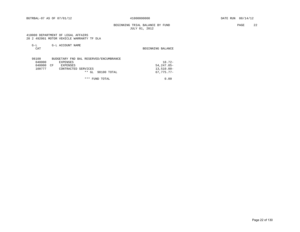## BEGINNING TRIAL BALANCE BY FUND **PAGE** 22 JULY 01, 2012

 410000 DEPARTMENT OF LEGAL AFFAIRS 20 2 492001 MOTOR VEHICLE WARRANTY TF DLA

| $G-L$  | G-L ACCOUNT NAME                       |                   |
|--------|----------------------------------------|-------------------|
| CAT    |                                        | BEGINNING BALANCE |
|        |                                        |                   |
|        |                                        |                   |
| 98100  | BUDGETARY FND BAL RESERVED/ENCUMBRANCE |                   |
| 040000 | EXPENSES                               | $18.72 -$         |
| 040000 | EXPENSES<br>CF                         | $54.247.05 -$     |
| 100777 | CONTRACTED SERVICES                    | $13,510.00 -$     |
|        | * *<br>98100 TOTAL<br>GL               | $67.775.77 -$     |

\*\*\* FUND TOTAL 0.00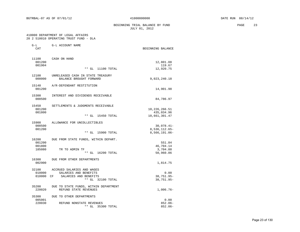#### BEGINNING TRIAL BALANCE BY FUND **PAGE** 23 JULY 01, 2012

## 410000 DEPARTMENT OF LEGAL AFFAIRS

|                           | 410000 DEPARIMENI OF LEGAL AFFAIRS<br>20 2 510010 OPERATING TRUST FUND - DLA |                                                   |
|---------------------------|------------------------------------------------------------------------------|---------------------------------------------------|
| $G-L$<br>CAT              | G-L ACCOUNT NAME                                                             | BEGINNING BALANCE                                 |
| 11100<br>001200<br>001904 | CASH ON HAND<br>$**$ GL<br>11100 TOTAL                                       | 12,801.08<br>119.67<br>12,920.75                  |
| 12100<br>000000           | UNRELEASED CASH IN STATE TREASURY<br>BALANCE BROUGHT FORWARD                 | 9,023,240.18                                      |
| 15140<br>001200           | A/R-DEFENDANT RESTITUTION                                                    | 14,901.98                                         |
| 15300<br>000500           | INTEREST AND DIVIDENDS RECEIVABLE                                            | 84,786.97                                         |
| 15450<br>001200<br>001800 | SETTLEMENTS & JUDGMENTS RECEIVABLE<br>** GL 15450 TOTAL                      | 10,226,266.51<br>435,034.96<br>10,661,301.47      |
| 15900<br>000500<br>001200 | ALLOWANCE FOR UNCOLLECTIBLES<br>** CI. 15900 TOTAL                           | $30,078.41-$<br>$8,536,112.65-$<br>$9.56610106 -$ |

|        | ** GL 15900 TOTAL                    | $8,566,191.06-$ |
|--------|--------------------------------------|-----------------|
| 16200  | DUE FROM STATE FUNDS, WITHIN DEPART. |                 |
| 001200 |                                      | 551.84          |
| 001800 |                                      | 46,704.14       |
| 185080 | TR TO ADMIN TF                       | 3,704.88        |
|        | ** GL<br>16200 TOTAL                 | 50,960.86       |
| 16300  | DUE FROM OTHER DEPARTMENTS           |                 |
| 002900 |                                      | 1,814.75        |
| 32100  | ACCRITED SALARIES AND WAGES          |                 |

| .         |                                       |            |
|-----------|---------------------------------------|------------|
| 010000    | SALARIES AND BENEFITS                 | 0.00       |
| 010000 CF | SALARIES AND BENEFITS                 | 38,751.95- |
|           | ** GL 32100 TOTAL                     | 38,751.95- |
| 35200     | DUE TO STATE FUNDS, WITHIN DEPARTMENT |            |
| 220020    | REFUND STATE REVENUES                 | 1,006.76-  |

| 35300  | DUE TO OTHER DEPARTMENTS |            |
|--------|--------------------------|------------|
| 005001 |                          | 0.00       |
| 220030 | REFUND NONSTATE REVENUES | $852.06 -$ |
|        | ** GL 35300 TOTAL        | $852.06 -$ |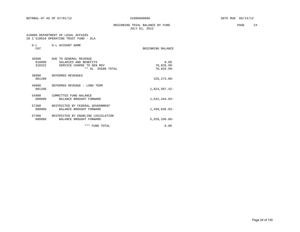BEGINNING TRIAL BALANCE BY FUND **PAGE** 24 JULY 01, 2012

## 410000 DEPARTMENT OF LEGAL AFFAIRS 20 2 510010 OPERATING TRUST FUND - DLA

| $G-L$<br>CAT              | G-L ACCOUNT NAME                                                                                        | BEGINNING BALANCE                      |
|---------------------------|---------------------------------------------------------------------------------------------------------|----------------------------------------|
| 35600<br>010000<br>310322 | DUE TO GENERAL REVENUE<br>SALARIES AND BENEFITS<br>SERVICE CHARGE TO GEN REV<br>$***$ GL<br>35600 TOTAL | 0.00<br>$70,826.99 -$<br>$70,826.99 -$ |
| 38900<br>001200           | DEFERRED REVENUES                                                                                       | $326, 273.00 -$                        |
| 48900<br>001200           | DEFERRED REVENUE - LONG TERM                                                                            | 1,824,507.42-                          |
| 54900<br>000000           | COMMITTED FUND BALANCE<br>BALANCE BROUGHT FORWARD                                                       | $1,642,344.03-$                        |
| 57200<br>000000           | RESTRICTED BY FEDERAL GOVERNMENT<br>BALANCE BROUGHT FORWARD                                             | $1,458,836.83-$                        |
| 57400<br>000000           | RESTRICTED BY ENABLING LEGISLATION<br>BALANCE BROUGHT FORWARD                                           | $5,920,336.86 -$                       |
|                           | *** FUND TOTAL                                                                                          | 0.00                                   |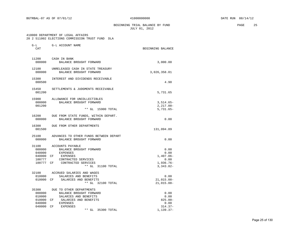BEGINNING TRIAL BALANCE BY FUND **PAGE 25** JULY 01, 2012

#### 410000 DEPARTMENT OF LEGAL AFFAIRS 20 2 511002 ELECTIONS COMMISSION TRUST FUND DLA

| G-L<br>CAT                                              | G-L ACCOUNT NAME                                                                                                                                                         | BEGINNING BALANCE                                                  |
|---------------------------------------------------------|--------------------------------------------------------------------------------------------------------------------------------------------------------------------------|--------------------------------------------------------------------|
| 11200<br>000000                                         | CASH IN BANK<br>BALANCE BROUGHT FORWARD                                                                                                                                  | 3,000.00                                                           |
| 12100<br>000000                                         | UNRELEASED CASH IN STATE TREASURY<br>BALANCE BROUGHT FORWARD                                                                                                             | 3,026,358.01                                                       |
| 15300<br>000500                                         | INTEREST AND DIVIDENDS RECEIVABLE                                                                                                                                        | 4.90                                                               |
| 15450<br>001200                                         | SETTLEMENTS & JUDGMENTS RECEIVABLE                                                                                                                                       | 5,731.65                                                           |
| 15900<br>000000<br>001200                               | ALLOWANCE FOR UNCOLLECTIBLES<br>BALANCE BROUGHT FORWARD<br>** GL 15900 TOTAL                                                                                             | $3,514.65-$<br>$2,217.00-$<br>$5,731.65-$                          |
| 16200<br>000000                                         | DUE FROM STATE FUNDS, WITHIN DEPART.<br>BALANCE BROUGHT FORWARD                                                                                                          | 0.00                                                               |
| 16300<br>001500                                         | DUE FROM OTHER DEPARTMENTS                                                                                                                                               | 131,094.89                                                         |
| 25100<br>000000                                         | ADVANCES TO OTHER FUNDS BETWEEN DEPART<br>BALANCE BROUGHT FORWARD                                                                                                        | 0.00                                                               |
| 31100<br>000000<br>040000<br>040000 CF<br>100777        | ACCOUNTS PAYABLE<br>BALANCE BROUGHT FORWARD<br>EXPENSES<br>EXPENSES<br>CONTRACTED SERVICES<br>100777 CF CONTRACTED SERVICES<br>** GL 31100 TOTAL                         | 0.00<br>0.00<br>$1,407.06 -$<br>0.00<br>$1,936.76-$<br>$3,343.82-$ |
| 32100<br>010000<br>010000                               | ACCRUED SALARIES AND WAGES<br>SALARIES AND BENEFITS<br>CF<br>SALARIES AND BENEFITS<br>** GL 32100 TOTAL                                                                  | 0.00<br>$21,015.08-$<br>$21,015.08 -$                              |
| 35300<br>000000<br>010000<br>010000<br>040000<br>040000 | DUE TO OTHER DEPARTMENTS<br>BALANCE BROUGHT FORWARD<br>SALARIES AND BENEFITS<br>SALARIES AND BENEFITS<br>CF<br>EXPENSES<br><b>EXPENSES</b><br>CF<br>35300 TOTAL<br>** GL | 0.00<br>0.00<br>$825.00 -$<br>0.00<br>$314.37-$<br>$1,139.37-$     |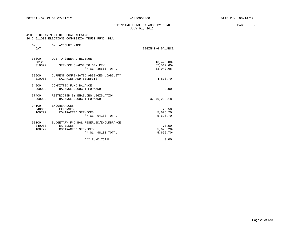## BEGINNING TRIAL BALANCE BY FUND **PAGE** 26 JULY 01, 2012

#### 410000 DEPARTMENT OF LEGAL AFFAIRS 20 2 511002 ELECTIONS COMMISSION TRUST FUND DLA

| $G-L$<br>CAT              | G-L ACCOUNT NAME                                                                                      | BEGINNING BALANCE                        |
|---------------------------|-------------------------------------------------------------------------------------------------------|------------------------------------------|
| 35600<br>001200           | DUE TO GENERAL REVENUE                                                                                | $16, 425.00 -$                           |
| 310322                    | SERVICE CHARGE TO GEN REV<br>** GL 35600 TOTAL                                                        | $67, 517.65 -$<br>83, 942.65-            |
| 38600<br>010000           | CURRENT COMPENSATED ABSENCES LIABILITY<br>SALARIES AND BENEFITS                                       | $4.813.70 -$                             |
| 54900<br>000000           | COMMITTED FUND BALANCE<br>BALANCE BROUGHT FORWARD                                                     | 0.00                                     |
| 57400<br>000000           | RESTRICTED BY ENABLING LEGISLATION<br>BALANCE BROUGHT FORWARD                                         | $3,046,203.18-$                          |
| 94100<br>040000<br>100777 | <b>ENCUMBRANCES</b><br>EXPENSES<br>CONTRACTED SERVICES<br>** GL 94100 TOTAL                           | 70.50<br>5,626.20<br>5,696.70            |
| 98100<br>040000<br>100777 | BUDGETARY FND BAL RESERVED/ENCUMBRANCE<br><b>EXPENSES</b><br>CONTRACTED SERVICES<br>** GL 98100 TOTAL | $70.50 -$<br>$5,626.20 -$<br>$5,696.70-$ |
|                           | *** FUND TOTAL                                                                                        | 0.00                                     |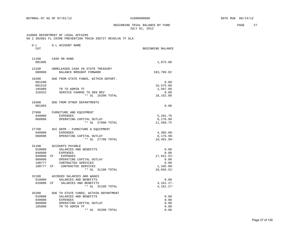BEGINNING TRIAL BALANCE BY FUND **PAGE** 27 JULY 01, 2012

#### 410000 DEPARTMENT OF LEGAL AFFAIRS 50 2 302001 FL CRIME PREVENTION TRAIN INSTIT REVOLVG TF DLA

| $G-L$<br>CAT                                                            | G-L ACCOUNT NAME                                                                                                                                                       | BEGINNING BALANCE                                                        |
|-------------------------------------------------------------------------|------------------------------------------------------------------------------------------------------------------------------------------------------------------------|--------------------------------------------------------------------------|
| 001905                                                                  | 11100 CASH ON HAND                                                                                                                                                     | 1,875.00                                                                 |
| 12100<br>000000                                                         | UNRELEASED CASH IN STATE TREASURY<br>BALANCE BROUGHT FORWARD                                                                                                           | 183,706.02                                                               |
| 16200<br>001500<br>001510<br>185080<br>310322                           | DUE FROM STATE FUNDS, WITHIN DEPART.<br>TR TO ADMIN TF<br>SERVICE CHARGE TO GEN REV<br>** GL 16200 TOTAL                                                               | 0.00<br>16,575.00<br>1,587.80<br>0.00<br>18,162.80                       |
| 16300<br>001903                                                         | DUE FROM OTHER DEPARTMENTS                                                                                                                                             | 0.00                                                                     |
| 27600<br>040000<br>060000                                               | FURNITURE AND EQUIPMENT<br><b>EXPENSES</b><br>OPERATING CAPITAL OUTLAY<br>** GL 27600 TOTAL                                                                            | 5,291.76<br>6,176.99<br>11,468.75                                        |
| 27700<br>040000<br>060000                                               | ACC DEPR - FURNITURE & EQUIPMENT<br>EXPENSES<br>OPERATING CAPITAL OUTLAY<br>** GL 27700 TOTAL                                                                          | $4,305.00 -$<br>$6, 176.99 -$<br>10,481.99-                              |
| 31100<br>010000<br>040000<br>040000 CF<br>060000<br>100777<br>100777 CF | ACCOUNTS PAYABLE<br>SALARIES AND BENEFITS<br>EXPENSES<br>EXPENSES<br>OPERATING CAPITAL OUTLAY<br>CONTRACTED SERVICES<br>CONTRACTED SERVICES<br>$***$ GL<br>31100 TOTAL | 0.00<br>0.00<br>17,551.52-<br>0.00<br>0.00<br>$1,105.00 -$<br>18,656.52- |
| 32100<br>010000<br>010000                                               | ACCRUED SALARIES AND WAGES<br>SALARIES AND BENEFITS<br>CF<br>SALARIES AND BENEFITS<br>** GL 32100 TOTAL                                                                | 0.00<br>$4, 161.27 -$<br>$4,161.27-$                                     |
| 35200<br>010000<br>040000<br>060000<br>185080                           | DUE TO STATE FUNDS, WITHIN DEPARTMENT<br>SALARIES AND BENEFITS<br>EXPENSES<br>OPERATING CAPITAL OUTLAY<br>TR TO ADMIN TF<br>** GL<br>35200 TOTAL                       | 0.00<br>0.00<br>0.00<br>0.00<br>0.00                                     |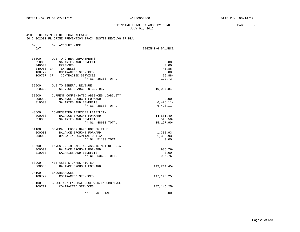G-L G-L ACCOUNT NAME

#### BEGINNING TRIAL BALANCE BY FUND **PAGE 28** JULY 01, 2012

 410000 DEPARTMENT OF LEGAL AFFAIRS 50 2 302001 FL CRIME PREVENTION TRAIN INSTIT REVOLVG TF DLA

| CAT       |                                        | BEGINNING BALANCE |
|-----------|----------------------------------------|-------------------|
| 35300     | DUE TO OTHER DEPARTMENTS               |                   |
| 010000    | SALARIES AND BENEFITS                  | 0.00              |
| 040000    | EXPENSES                               | 0.00              |
| 040000 CF | EXPENSES                               | $45.85-$          |
| 100777    | CONTRACTED SERVICES                    | 0.00              |
| 100777 CF | CONTRACTED SERVICES                    | $76.88 -$         |
|           | ** GL 35300 TOTAL                      | $122.73-$         |
|           | 35600 DUE TO GENERAL REVENUE           |                   |
| 310322    | SERVICE CHARGE TO GEN REV              | $10,034.84-$      |
| 38600     | CURRENT COMPENSATED ABSENCES LIABILITY |                   |
| 000000    | BALANCE BROUGHT FORWARD                | 0.00              |
| 010000    | SALARIES AND BENEFITS                  | $6,426.11-$       |
|           | ** GL 38600 TOTAL                      | $6,426.11-$       |
|           | 48600 COMPENSATED ABSENCES LIABILITY   |                   |
| 000000    | BALANCE BROUGHT FORWARD                | 14,581.40-        |
| 010000    | SALARIES AND BENEFITS                  | $546.50 -$        |
|           | ** GL 48600 TOTAL                      | $15, 127.90 -$    |
| 51100     | GENERAL LEDGER NAME NOT ON FILE        |                   |
| 000000    | BALANCE BROUGHT FORWARD                | 1,388.93          |
| 060000    | OPERATING CAPITAL OUTLAY               | 1,388.93-         |
|           | ** GL 51100 TOTAL                      | 0.00              |
| 53600     | INVESTED IN CAPITAL ASSETS NET OF RELA |                   |
| 000000    | BALANCE BROUGHT FORWARD                | $986.76 -$        |
| 010000    | SALARIES AND BENEFITS                  | 0.00              |
|           | ** GL 53600 TOTAL                      | $986.76 -$        |
| 53900     | NET ASSETS UNRESTRICTED                |                   |
| 000000    | BALANCE BROUGHT FORWARD                | 149,214.45-       |
| 94100     | <b>ENCUMBRANCES</b>                    |                   |
| 100777    | CONTRACTED SERVICES                    | 147,145.25        |
| 98100     | BUDGETARY FND BAL RESERVED/ENCUMBRANCE |                   |
| 100777    | CONTRACTED SERVICES                    | 147,145.25-       |
|           | *** FUND TOTAL                         | 0.00              |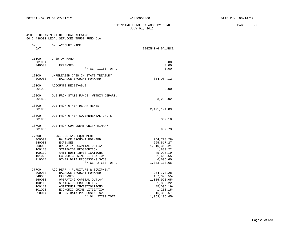BEGINNING TRIAL BALANCE BY FUND **EXAMPLE 29** PAGE 29 JULY 01, 2012

#### 410000 DEPARTMENT OF LEGAL AFFAIRS 60 2 438001 LEGAL SERVICES TRUST FUND DLA

| $G-L$<br>CAT                                                                | G-L ACCOUNT NAME                                                                                                                                                                                                                                      | BEGINNING BALANCE                                                                                                            |
|-----------------------------------------------------------------------------|-------------------------------------------------------------------------------------------------------------------------------------------------------------------------------------------------------------------------------------------------------|------------------------------------------------------------------------------------------------------------------------------|
| 11100<br>001904<br>040000                                                   | CASH ON HAND<br><b>EXPENSES</b><br>$***$ GL<br>11100 TOTAL                                                                                                                                                                                            | 0.00<br>0.00<br>0.00                                                                                                         |
| 12100<br>000000                                                             | UNRELEASED CASH IN STATE TREASURY<br>BALANCE BROUGHT FORWARD                                                                                                                                                                                          | 854,084.12                                                                                                                   |
| 15100<br>001903                                                             | ACCOUNTS RECEIVABLE                                                                                                                                                                                                                                   | 0.00                                                                                                                         |
| 16200<br>001800                                                             | DUE FROM STATE FUNDS, WITHIN DEPART.                                                                                                                                                                                                                  | 3,238.02                                                                                                                     |
| 16300<br>001903                                                             | DUE FROM OTHER DEPARTMENTS                                                                                                                                                                                                                            | 2,491,194.89                                                                                                                 |
| 16500<br>001903                                                             | DUE FROM OTHER GOVERNMENTAL UNITS                                                                                                                                                                                                                     | 359.10                                                                                                                       |
| 16700<br>001905                                                             | DUE FROM COMPONENT UNIT/PRIMARY                                                                                                                                                                                                                       | 989.73                                                                                                                       |
| 27600<br>000000<br>040000<br>060000<br>100118<br>100119<br>101020<br>210014 | FURNITURE AND EQUIPMENT<br>BALANCE BROUGHT FORWARD<br><b>EXPENSES</b><br>OPERATING CAPITAL OUTLAY<br>STATEWIDE PROSECUTION<br>ANTITRUST INVESTIGATIONS<br>ECONOMIC CRIME LITIGATION<br>OTHER DATA PROCESSING SVCS<br>** GL 27600 TOTAL                | 254,778.28-<br>295,517.27<br>1,310,363.21<br>1,889.22<br>45,095.19<br>$21,663.55-$<br>6,695.60<br>1,383,118.66               |
| 27700<br>000000<br>040000<br>060000<br>100118<br>100119<br>101020<br>210014 | ACC DEPR - FURNITURE & EQUIPMENT<br>BALANCE BROUGHT FORWARD<br><b>EXPENSES</b><br>OPERATING CAPITAL OUTLAY<br>STATEWIDE PROSECUTION<br>ANTITRUST INVESTIGATIONS<br>ECONOMIC CRIME LITIGATION<br>OTHER DATA PROCESSING SVCS<br>$***$ GL<br>27700 TOTAL | 254,778.28<br>167, 393.55-<br>1,085,923.05-<br>$1,889.22-$<br>$45,095.19-$<br>$1,230.15-$<br>$16, 353.57 -$<br>1,063,106.45- |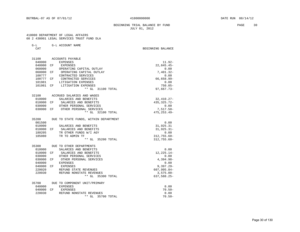## BEGINNING TRIAL BALANCE BY FUND **PAGE** 30 JULY 01, 2012

#### 410000 DEPARTMENT OF LEGAL AFFAIRS 60 2 438001 LEGAL SERVICES TRUST FUND DLA

CAT BEGINNING BALANCE

| 31100  |    | ACCOUNTS PAYABLE                              |                             |
|--------|----|-----------------------------------------------|-----------------------------|
| 040000 |    | EXPENSES                                      | $11.92 -$                   |
| 040000 |    | CF EXPENSES                                   | $22,845.45-$                |
| 060000 |    | OPERATING CAPITAL OUTLAY                      | 0.00                        |
| 060000 | CF | OPERATING CAPITAL OUTLAY                      | $7,401.32-$                 |
| 100777 |    | CONTRACTED SERVICES                           | 0.00                        |
|        |    | 100777 CF CONTRACTED SERVICES                 | 66,658.99-                  |
| 101981 |    | LITIGATION EXPENSES                           | 0.00                        |
|        |    | 101981 CF LITIGATION EXPENSES                 | $750.05 -$                  |
|        |    | ** GL 31100 TOTAL                             | $97,667.73-$                |
|        |    | 32100 ACCRUED SALARIES AND WAGES              |                             |
| 010000 |    | SALARIES AND BENEFITS                         | $32,410.27-$                |
| 010000 | CF | SALARIES AND BENEFITS                         | 435, 325. 72-               |
| 030000 |    | OTHER PERSONAL SERVICES                       | 0.00                        |
|        |    | 030000 CF OTHER PERSONAL SERVICES             | $7,517.50-$                 |
|        |    | ** GL 32100 TOTAL                             | $475, 253.49 -$             |
| 35200  |    | DUE TO STATE FUNDS, WITHIN DEPARTMENT         |                             |
| 001500 |    |                                               | 0.00                        |
| 010000 |    | SALARIES AND BENEFITS                         | 31,925.31                   |
|        |    | 010000 CF SALARIES AND BENEFITS               | $31, 925.31 -$              |
| 180205 |    | TR OTHER FUNDS W/I AGY                        | 0.00                        |
| 185080 |    | TR TO ADMIN TF                                | $312,755.60 -$              |
|        |    | ** GL 35200 TOTAL                             | $312,755.60 -$              |
| 35300  |    | DUE TO OTHER DEPARTMENTS                      |                             |
| 010000 |    | SALARIES AND BENEFITS                         | 0.00                        |
| 010000 |    | CF SALARIES AND BENEFITS                      | $12, 225.14 -$              |
| 030000 |    | OTHER PERSONAL SERVICES                       | 0.00                        |
| 030000 |    | CF OTHER PERSONAL SERVICES                    | $4,394.98-$                 |
| 040000 |    | <b>EXPENSES</b>                               | 0.00                        |
| 040000 | CF | EXPENSES                                      | $9,397.29 -$                |
| 220020 |    | REFUND STATE REVENUES                         | $607, 995.84 -$             |
| 220030 |    | REFUND NONSTATE REVENUES<br>** GL 35300 TOTAL | $3.575.00 -$<br>637,588.25- |
|        |    |                                               |                             |
| 35700  |    | DUE TO COMPONENT UNIT/PRIMARY                 |                             |
| 040000 |    | EXPENSES                                      | 0.00                        |
| 040000 |    | CF EXPENSES                                   | $70.50 -$                   |
| 220030 |    | REFUND NONSTATE REVENUES                      | 0.00                        |
|        |    | $**$ GL<br>35700 TOTAL                        | $70.50 -$                   |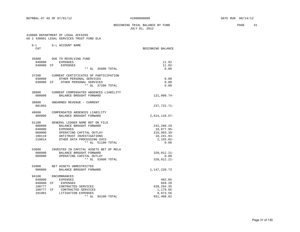BEGINNING TRIAL BALANCE BY FUND **PAGE** 31 JULY 01, 2012

#### 410000 DEPARTMENT OF LEGAL AFFAIRS 60 2 438001 LEGAL SERVICES TRUST FUND DLA

| $G-L$<br>CAT                                               | G-L ACCOUNT NAME                                                                                                                                                                  | BEGINNING BALANCE                                                                 |
|------------------------------------------------------------|-----------------------------------------------------------------------------------------------------------------------------------------------------------------------------------|-----------------------------------------------------------------------------------|
| 35800<br>040000<br>040000                                  | DUE TO REVOLVING FUND<br><b>EXPENSES</b><br>CF<br><b>EXPENSES</b><br>** GL<br>35800 TOTAL                                                                                         | 11.92<br>$11.92 -$<br>0.00                                                        |
| 37200<br>030000<br>030000 CF                               | CURRENT CERTIFICATES OF PARTICIPATION<br>OTHER PERSONAL SERVICES<br>OTHER PERSONAL SERVICES<br>** GL 37200 TOTAL                                                                  | 0.00<br>0.00<br>0.00                                                              |
| 38600<br>000000                                            | CURRENT COMPENSATED ABSENCES LIABILITY<br>BALANCE BROUGHT FORWARD                                                                                                                 | 121,909.74-                                                                       |
| 38800<br>001903                                            | UNEARNED REVENUE - CURRENT                                                                                                                                                        | $237,722.71-$                                                                     |
| 48600<br>000000                                            | COMPENSATED ABSENCES LIABILITY<br>BALANCE BROUGHT FORWARD                                                                                                                         | $2,614,118.57-$                                                                   |
| 51100<br>000000<br>040000<br>060000<br>100119<br>210014    | GENERAL LEDGER NAME NOT ON FILE<br>BALANCE BROUGHT FORWARD<br>EXPENSES<br>OPERATING CAPITAL OUTLAY<br>ANTITRUST INVESTIGATIONS<br>OTHER DATA PROCESSING SVCS<br>** GL 51100 TOTAL | 242, 268. 29<br>18,877.95-<br>$210,993.39 -$<br>10,241.93-<br>$2,155.02-$<br>0.00 |
| 53600<br>000000<br>060000                                  | INVESTED IN CAPITAL ASSETS NET OF RELA<br>BALANCE BROUGHT FORWARD<br>OPERATING CAPITAL OUTLAY<br>** GL 53600 TOTAL                                                                | 320,012.21-<br>0.00<br>320,012.21-                                                |
| 53900<br>000000                                            | NET ASSETS UNRESTRICTED<br>BALANCE BROUGHT FORWARD                                                                                                                                | 1,147,220.73                                                                      |
| 94100<br>040000<br>040000<br>100777<br>100777 CF<br>101981 | <b>ENCUMBRANCES</b><br>EXPENSES<br>CF<br>EXPENSES<br>CONTRACTED SERVICES<br>CONTRACTED SERVICES<br>LITIGATION EXPENSES<br>** GL<br>94100 TOTAL                                    | 402.05<br>659.20<br>639, 294.35<br>1,179.66<br>9,873.56<br>651,408.82             |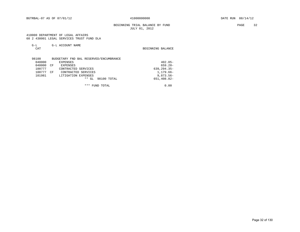BEGINNING TRIAL BALANCE BY FUND PAGE 32 JULY 01, 2012

#### 410000 DEPARTMENT OF LEGAL AFFAIRS 60 2 438001 LEGAL SERVICES TRUST FUND DLA

| $\rightarrow$ $-$ | G-L ACCOUNT NAME |                   |  |
|-------------------|------------------|-------------------|--|
| ⌒⊼冖               |                  | BEGINNING BALANCE |  |

| 98100  | BUDGETARY FND BAL RESERVED/ENCUMBRANCE |                 |
|--------|----------------------------------------|-----------------|
| 040000 | EXPENSES                               | $402.05 -$      |
| 040000 | CF<br><b>EXPENSES</b>                  | $659.20 -$      |
| 100777 | CONTRACTED SERVICES                    | $639, 294.35 -$ |
| 100777 | CONTRACTED SERVICES<br>CΕ              | $1.179.66-$     |
| 101981 | LITIGATION EXPENSES                    | $9,873.56 -$    |
|        | 98100 TOTAL<br>$**$ GL                 | 651,408.82-     |
|        |                                        |                 |

\*\*\* FUND TOTAL 0.00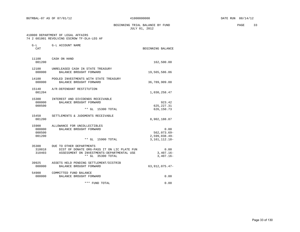BEGINNING TRIAL BALANCE BY FUND **PAGE** 33 JULY 01, 2012

#### 410000 DEPARTMENT OF LEGAL AFFAIRS 74 2 601001 REVOLVING ESCROW TF-DLA-LEG AF

| $G-L$<br><b>CAT</b>                 | G-L ACCOUNT NAME                                                                                                                           | BEGINNING BALANCE                                             |
|-------------------------------------|--------------------------------------------------------------------------------------------------------------------------------------------|---------------------------------------------------------------|
| 11100<br>001200                     | CASH ON HAND                                                                                                                               | 162,500.00                                                    |
| 12100<br>000000                     | UNRELEASED CASH IN STATE TREASURY<br>BALANCE BROUGHT FORWARD                                                                               | 19,565,586.86                                                 |
| 14100<br>000000                     | POOLED INVESTMENTS WITH STATE TREASURY<br>BALANCE BROUGHT FORWARD                                                                          | 36,789,909.88                                                 |
| 15140<br>001204                     | A/R-DEFENDANT RESTITUTION                                                                                                                  | 1,030,258.47                                                  |
| 15300<br>000000<br>000500           | INTEREST AND DIVIDENDS RECEIVABLE<br>BALANCE BROUGHT FORWARD<br>$**$ GL<br>15300 TOTAL                                                     | 923.42<br>625, 227.31<br>626,150.73                           |
| 15450<br>001200                     | SETTLEMENTS & JUDGMENTS RECEIVABLE                                                                                                         | 8,902,188.87                                                  |
| 15900<br>000000<br>000500<br>001200 | ALLOWANCE FOR UNCOLLECTIBLES<br>BALANCE BROUGHT FORWARD<br>** GL 15900 TOTAL                                                               | 0.00<br>$562,073.69 -$<br>$2,599,038.49-$<br>3, 161, 112. 18- |
| 35300<br>310018<br>310403           | DUE TO OTHER DEPARTMENTS<br>DIST OF DONATE ORG-PASS IT ON LIC PLATE FUN<br>ASSESSMENT ON INVESTMENTS-DEPARTMENTAL USE<br>** GL 35300 TOTAL | 0.00<br>$3,407.16 -$<br>$3,407.16 -$                          |
| 39925<br>000000                     | ASSETS HELD PENDING SETTLEMENT/DISTRIB<br>BALANCE BROUGHT FORWARD                                                                          | 63, 912, 075. 47-                                             |
| 54900<br>000000                     | COMMITTED FUND BALANCE<br>BALANCE BROUGHT FORWARD                                                                                          | 0.00                                                          |
|                                     | *** FUND TOTAL                                                                                                                             | 0.00                                                          |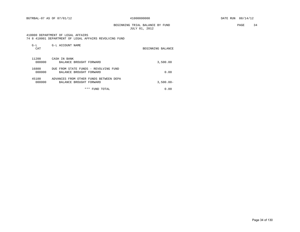BGTRBAL-07 AS OF 07/01/12  $410000000000$  DATE RUN 08/14/12

## BEGINNING TRIAL BALANCE BY FUND **PAGE** 34 JULY 01, 2012

#### 410000 DEPARTMENT OF LEGAL AFFAIRS 74 8 410001 DEPARTMENT OF LEGAL AFFAIRS REVOLVING FUND

| $G-L$<br>CAT    | G-L ACCOUNT NAME                                                  | BEGINNING BALANCE |
|-----------------|-------------------------------------------------------------------|-------------------|
| 11200<br>000000 | CASH IN BANK<br>BALANCE BROUGHT FORWARD                           | 3,500.00          |
| 16800<br>000000 | DUE FROM STATE FUNDS - REVOLVING FUND<br>BALANCE BROUGHT FORWARD  | 0.00              |
| 45100<br>000000 | ADVANCES FROM OTHER FUNDS BETWEEN DEPA<br>BALANCE BROUGHT FORWARD | $3,500.00 -$      |
|                 | ***<br>TOTAL<br>FUND                                              | 0.00              |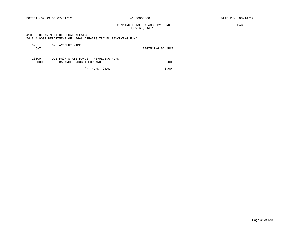BEGINNING TRIAL BALANCE BY FUND **PAGE 35** JULY 01, 2012

 410000 DEPARTMENT OF LEGAL AFFAIRS 74 8 410002 DEPARTMENT OF LEGAL AFFAIRS TRAVEL REVOLVING FUND

| $G-L$  | G-L ACCOUNT NAME                      |                   |      |
|--------|---------------------------------------|-------------------|------|
| CAT    |                                       | BEGINNING BALANCE |      |
|        |                                       |                   |      |
| 16800  | DUE FROM STATE FUNDS - REVOLVING FUND |                   |      |
| 000000 | BALANCE BROUGHT FORWARD               |                   | 0.00 |
|        |                                       |                   |      |

\*\*\* FUND TOTAL 0.00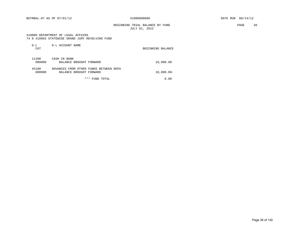BGTRBAL-07 AS OF 07/01/12  $410000000000$  DATE RUN 08/14/12

 BEGINNING TRIAL BALANCE BY FUND PAGE 36 JULY 01, 2012

#### 410000 DEPARTMENT OF LEGAL AFFAIRS 74 8 410003 STATEWIDE GRAND JURY REVOLVING FUND

| $G-L$<br>CAT    | G-L ACCOUNT NAME                                                  | BEGINNING BALANCE |
|-----------------|-------------------------------------------------------------------|-------------------|
| 11200<br>000000 | CASH IN BANK<br>BALANCE BROUGHT FORWARD                           | 10,000.00         |
| 45100<br>000000 | ADVANCES FROM OTHER FUNDS BETWEEN DEPA<br>BALANCE BROUGHT FORWARD | $10,000.00 -$     |
|                 | ***<br>FUND TOTAL                                                 | 0.00              |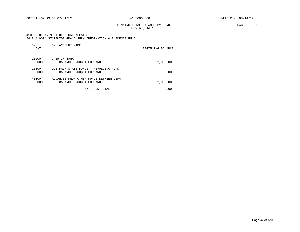BGTRBAL-07 AS OF 07/01/12 41000000000 DATE RUN 08/14/12

BEGINNING TRIAL BALANCE BY FUND **PAGE** 37 JULY 01, 2012

#### 410000 DEPARTMENT OF LEGAL AFFAIRS

|  |  |  |  |  | 74 8 410004 STATEWIDE GRAND JURY INFORMATION & EVIDENCE FUND |  |  |  |
|--|--|--|--|--|--------------------------------------------------------------|--|--|--|
|--|--|--|--|--|--------------------------------------------------------------|--|--|--|

| $G-L$<br>CAT    | G-L ACCOUNT NAME                                                  | BEGINNING BALANCE |
|-----------------|-------------------------------------------------------------------|-------------------|
| 11200<br>000000 | CASH IN BANK<br>BALANCE BROUGHT FORWARD                           | 2,000.00          |
| 16800<br>000000 | DUE FROM STATE FUNDS - REVOLVING FUND<br>BALANCE BROUGHT FORWARD  | 0.00              |
| 45100<br>000000 | ADVANCES FROM OTHER FUNDS BETWEEN DEPA<br>BALANCE BROUGHT FORWARD | $2,000.00 -$      |
|                 | * * *<br>FUND TOTAL                                               | 0.00              |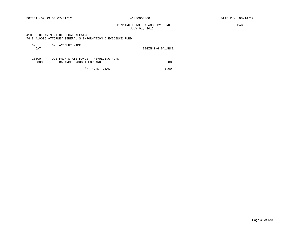#### BEGINNING TRIAL BALANCE BY FUND PAGE 38 JULY 01, 2012

#### 410000 DEPARTMENT OF LEGAL AFFAIRS 74 8 410005 ATTORNEY GENERAL'S INFORMATION & EVIDENCE FUND

| G-L<br>CAT      | G-L ACCOUNT NAME                                                 | BEGINNING BALANCE |
|-----------------|------------------------------------------------------------------|-------------------|
| 16800<br>000000 | DUE FROM STATE FUNDS - REVOLVING FUND<br>BALANCE BROUGHT FORWARD | 0.00              |

\*\*\* FUND TOTAL 0.00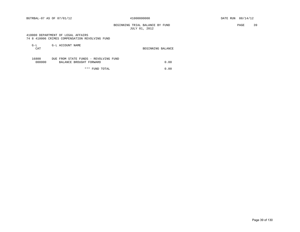BGTRBAL-07 AS OF 07/01/12  $410000000000$  DATE RUN 08/14/12

 BEGINNING TRIAL BALANCE BY FUND PAGE 39 JULY 01, 2012

#### 410000 DEPARTMENT OF LEGAL AFFAIRS 74 8 410006 CRIMES COMPENSATION REVOLVING FUND

| G-L<br><b>CAT</b> | G-L ACCOUNT NAME                                                 | BEGINNING BALANCE |
|-------------------|------------------------------------------------------------------|-------------------|
| 16800<br>000000   | DUE FROM STATE FUNDS - REVOLVING FUND<br>BALANCE BROUGHT FORWARD | 0.00              |

\*\*\* FUND TOTAL 0.00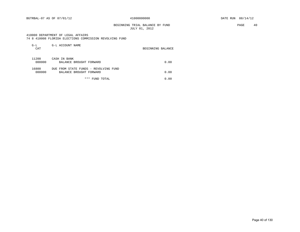#### BEGINNING TRIAL BALANCE BY FUND **PAGE** 40 JULY 01, 2012

#### 410000 DEPARTMENT OF LEGAL AFFAIRS

74 8 410008 FLORIDA ELECTIONS COMMISSION REVOLVING FUND

| $G-L$<br>CAT    | G-L ACCOUNT NAME                                                 | BEGINNING BALANCE |
|-----------------|------------------------------------------------------------------|-------------------|
| 11200<br>000000 | CASH IN BANK<br>BALANCE BROUGHT FORWARD                          | 0.00              |
| 16800<br>000000 | DUE FROM STATE FUNDS - REVOLVING FUND<br>BALANCE BROUGHT FORWARD | 0.00              |
|                 | * * *<br>FUND TOTAL                                              | 0.00              |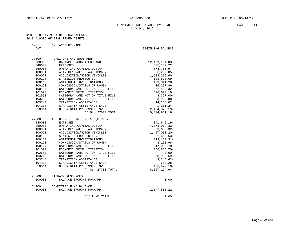#### BEGINNING TRIAL BALANCE BY FUND **PAGE 41** JULY 01, 2012

#### 410000 DEPARTMENT OF LEGAL AFFAIRS 80 9 410005 GENERAL FIXED ASSETS

| G-L ACCOUNT NAME |
|------------------|
|------------------|

CAT GENERAL BEGINNING BALANCE

 27600 FURNITURE AND EQUIPMENT 000000 BALANCE BROUGHT FORWARD 12, 159, 134.03 040000 EXPENSES 535,187.22 060000 OPERATING CAPITAL OUTLAY 674,788.97- 100001 ATTY GENERAL'S LAW LIBRARY 6,289.05- 100021 ACQUISITION/MOTOR VEHICLES 1,503,295.60 100118 STATEWIDE PROSECUTION 103,813.09 100119 ANTITRUST INVESTIGATIONS 129,341.28- 100120 COMMISSION/STATUS OF WOMEN 16,267.46 100124 CATEGORY NAME NOT ON TITLE FILE 262,412.32- 101020 ECONOMIC CRIME LITIGATION 526,690.19 102550 CATEGORY NAME NOT ON TITLE FILE 3,327.00- 103220 CATEGORY NAME NOT ON TITLE FILE 583,910.88- 103744 TRANSITION ASSISTANCE 14,258.02 104133 G/A-VICTIM ASSISTANCE SVCS 1,261.24 210014 OTHER DATA PROCESSING SVCS 2,124,876.19- \*\* GL 27600 TOTAL 10,874,961.16 27700 ACC DEPR - FURNITURE & EQUIPMENT 040000 EXPENSES 341,646.19- 060000 OPERATING CAPITAL OUTLAY 4,873,004.32- 100001 ATTY GENERAL'S LAW LIBRARY 3,686.32- 100021 ACQUISITION/MOTOR VEHICLES 1,457,050.20- 100118 STATEWIDE PROSECUTION 221,660.63- 100119 ANTITRUST INVESTIGATIONS 41 AND 100119 100120 COMMISSION/STATUS OF WOMEN 6,163.98-100124 CATEGORY NAME NOT ON TITLE FILE 17,055.70- 101020 ECONOMIC CRIME LITIGATION 356,866.70- 102550 CATEGORY NAME NOT ON TITLE FILE 60.00 103220 CATEGORY NAME NOT ON TITLE FILE 273,962.59- 103744 TRANSITION ASSISTANCE 3,246.62- 104133 G/A-VICTIM ASSISTANCE SVCS 683.28- 210014 OTHER DATA PROCESSING SVCS 456,929.10- \*\* GL 27700 TOTAL 8,327,124.94- 28200 LIBRARY RESOURCES 000000 BALANCE BROUGHT FORWARD **1000000** 0.00

### 54900 COMMITTED FUND BALANCE 000000 BALANCE BROUGHT FORWARD 2,547,836.22-

\*\*\* FUND TOTAL 0.00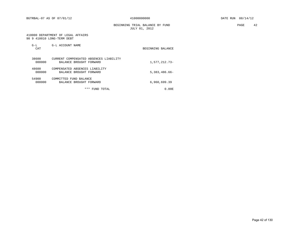BEGINNING TRIAL BALANCE BY FUND **PAGE** 42 JULY 01, 2012

#### 410000 DEPARTMENT OF LEGAL AFFAIRS 90 9 410010 LONG-TERM DEBT

| $G-L$<br>CAT    | G-L ACCOUNT NAME                                                  | BEGINNING BALANCE |
|-----------------|-------------------------------------------------------------------|-------------------|
| 38600<br>000000 | CURRENT COMPENSATED ABSENCES LIABILITY<br>BALANCE BROUGHT FORWARD | 1,577,212.73-     |
| 48600<br>000000 | COMPENSATED ABSENCES LIABILITY<br>BALANCE BROUGHT FORWARD         | $5,383,486.66 -$  |
| 54900<br>000000 | COMMITTED FUND BALANCE<br>BALANCE BROUGHT FORWARD                 | 6,960,699.39      |
|                 | ***<br>FUND TOTAL                                                 | $0.00$ E          |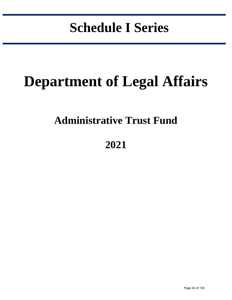# **Schedule I Series**

in the control of the control of the control of the control of the control of the control of the control of the control of the control of the control of the control of the control of the control of the control of the contr

# **Department of Legal Affairs**

## **Administrative Trust Fund**

## **2021**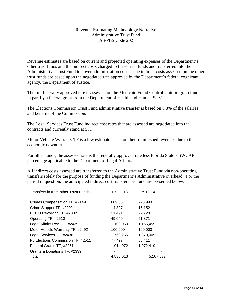### Revenue Estimating Methodology Narrative Administrative Trust Fund LAS/PBS Code 2021

Revenue estimates are based on current and projected operating expenses of the Department's other trust funds and the indirect costs charged to these trust funds and transferred into the Administrative Trust Fund to cover administration costs. The indirect costs assessed on the other trust funds are based upon the negotiated rate approved by the Department's federal cognizant agency, the Department of Justice.

The full federally approved rate is assessed on the Medicaid Fraud Control Unit program funded in part by a federal grant from the Department of Health and Human Services.

The Elections Commission Trust Fund administrative transfer is based on 8.3% of the salaries and benefits of the Commission.

The Legal Services Trust Fund indirect cost rates that are assessed are negotiated into the contracts and currently stand at 5%.

Motor Vehicle Warranty TF is a low estimate based on their diminished revenues due to the economic downturn.

For other funds, the assessed rate is the federally approved rate less Florida State's SWCAP percentage applicable to the Department of Legal Affairs.

All indirect costs assessed are transferred to the Administrative Trust Fund via non-operating transfers solely for the purpose of funding the Department's Administrative overhead. For the period in question, the anticipated indirect cost transfers per fund are presented below:

| Transfers in from other Trust Funds | FY 12-13  | FY 13-14  |
|-------------------------------------|-----------|-----------|
| Crimes Compensation TF, #2149       | 689,331   | 728,993   |
| Crime Stopper TF, #2202             | 14,327    | 15,152    |
| FCPTI Revolving TF, #2302           | 21,491    | 22,728    |
| Operating TF, #2510                 | 49,049    | 51,871    |
| Legal Affairs Rev. TF, #2439        | 1,102,050 | 1,165,459 |
| Motor Vehicle Warranty TF, #2492    | 100,000   | 100,000   |
| Legal Services TF, #2438            | 1,768,265 | 1,870,005 |
| FL Elections Commission TF, #2511   | 77,427    | 80,411    |
| Federal Grants TF, #2261            | 1,014,072 | 1,072,419 |
| Grants & Donations TF, #2339        |           |           |
| Total                               | 4.836.013 | 5,107,037 |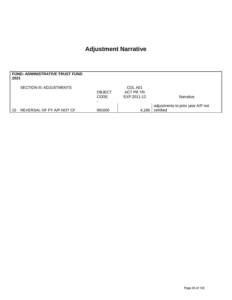## **Adjustment Narrative**

| 2021 | <b>FUND: ADMINISTRATIVE TRUST FUND</b> |                              |                                     |                                                |
|------|----------------------------------------|------------------------------|-------------------------------------|------------------------------------------------|
|      | <b>SECTION III: ADJUSTMENTS</b>        | <b>OBJECT</b><br><b>CODE</b> | COL A01<br>ACT PR YR<br>EXP 2011-12 | Narrative                                      |
| 15   | REVERSAL OF PY A/P NOT CF              | 991000                       | 4,188                               | adjustments to prior year A/P not<br>certified |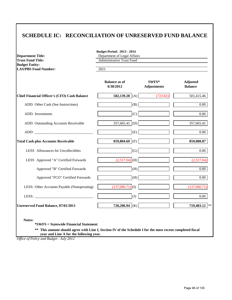### **SCHEDULE IC: RECONCILIATION OF UNRESERVED FUND BALANCE**

| <b>Trust Fund Title:</b>                             | <b>Administrative Trust Fund</b>  |                             |                                   |
|------------------------------------------------------|-----------------------------------|-----------------------------|-----------------------------------|
| <b>Budget Entity:</b><br><b>LAS/PBS Fund Number:</b> | 2021                              |                             |                                   |
|                                                      | <b>Balance as of</b><br>6/30/2012 | SWFS*<br><b>Adjustments</b> | <b>Adjusted</b><br><b>Balance</b> |
| <b>Chief Financial Officer's (CFO) Cash Balance</b>  | 502,139.28 (A)                    | (723.82)                    | 501,415.46                        |
| ADD: Other Cash (See Instructions)                   | (B)                               |                             | 0.00                              |
| ADD: Investments                                     | (C)                               |                             | $0.00\,$                          |
| ADD: Outstanding Accounts Receivable                 | (D)<br>357,665.41                 |                             | 357,665.41                        |
|                                                      | (E)                               |                             | $0.00\,$                          |
| <b>Total Cash plus Accounts Receivable</b>           | 859,804.69<br>(F)                 |                             | 859,080.87                        |
| LESS Allowances for Uncollectibles                   | (G)                               |                             | $0.00\,$                          |
| LESS Approved "A" Certified Forwards                 | $(2,517.04)$ (H)                  |                             | (2,517.04)                        |
| Approved "B" Certified Forwards                      | (H)                               |                             | $0.00\,$                          |
| Approved "FCO" Certified Forwards                    | (H)                               |                             | $0.00\,$                          |
| LESS: Other Accounts Payable (Nonoperating)          | $(137,080.71)$ (I)                |                             | (137,080.71)                      |
| LESS: $\qquad \qquad$                                | (J)                               |                             | 0.00                              |
| <b>Unreserved Fund Balance, 07/01/2011</b>           | 720,206.94 (K)                    |                             | 719,483.12 **                     |

**= Statewide Financial Statement** 

**\*\* This amount should agree with Line I, Section IV of the Schedule I for the most recent completed fiscal year and Line A for the following year.**

*Office of Policy and Budget - July 2012*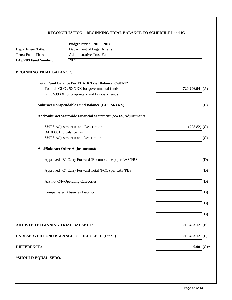#### **RECONCILIATION: BEGINNING TRIAL BALANCE TO SCHEDULE I and IC**

|                                          | <b>Budget Period: 2013 - 2014</b>                              |                  |
|------------------------------------------|----------------------------------------------------------------|------------------|
| <b>Department Title:</b>                 | Department of Legal Affairs                                    |                  |
| <b>Trust Fund Title:</b>                 | <b>Administrative Trust Fund</b>                               |                  |
| 2021<br><b>LAS/PBS Fund Number:</b>      |                                                                |                  |
| <b>BEGINNING TRIAL BALANCE:</b>          |                                                                |                  |
|                                          | <b>Total Fund Balance Per FLAIR Trial Balance, 07/01/12</b>    |                  |
|                                          | Total all GLC's 5XXXX for governmental funds;                  | 720,206.94       |
|                                          | GLC 539XX for proprietary and fiduciary funds                  |                  |
|                                          | <b>Subtract Nonspendable Fund Balance (GLC 56XXX)</b>          | (B)              |
|                                          | Add/Subtract Statewide Financial Statement (SWFS)Adjustments : |                  |
|                                          | SWFS Adjustment # and Description                              | (723.82<br>(C)   |
|                                          | B4100001 to balance cash                                       |                  |
|                                          | SWFS Adjustment # and Description                              | (C)              |
|                                          | <b>Add/Subtract Other Adjustment(s):</b>                       |                  |
|                                          | Approved "B" Carry Forward (Encumbrances) per LAS/PBS          | (D)              |
|                                          | Approved "C" Carry Forward Total (FCO) per LAS/PBS             | (D)              |
|                                          | A/P not C/F-Operating Categories                               | (D)              |
|                                          | <b>Compensated Absences Liability</b>                          | (D)              |
|                                          |                                                                | (D)              |
|                                          |                                                                | (D)              |
| <b>ADJUSTED BEGINNING TRIAL BALANCE:</b> |                                                                | $719,483.12$ (E) |
|                                          | UNRESERVED FUND BALANCE, SCHEDULE IC (Line I)                  | $719,483.12$ (F) |
| <b>DIFFERENCE:</b>                       |                                                                | $(G)*$<br>0.00   |
| *SHOULD EQUAL ZERO.                      |                                                                |                  |
|                                          |                                                                |                  |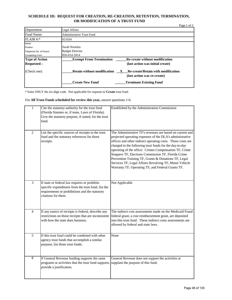#### **SCHEDULE ID: REQUEST FOR CREATION, RE-CREATION, RETENTION, TERMINATION, OR MODIFICATION OF A TRUST FUND**

| Department:             | Legal Affairs                                                                   |
|-------------------------|---------------------------------------------------------------------------------|
| Fund Name:              | <b>Administrative Trust Fund</b>                                                |
| FLAIR #:                | 021034                                                                          |
| Name                    |                                                                                 |
| Position                | Sarah Nortelus                                                                  |
| Telephone No. of Person | <b>Budget Director</b>                                                          |
| Completing Form:        | 850-414-3414                                                                    |
| <b>Type of Action</b>   | <b>Re-create without modification</b><br><b>Exempt From Termination</b>         |
| <b>Requested:</b>       | (last action was initial create)                                                |
| (Check one)             | <b>Retain without modification</b><br><b>Re-create/Retain with modification</b> |
|                         | (last action was re-create)                                                     |
|                         | <b>Create New Fund</b><br><b>Terminate Existing Fund</b>                        |

\* Enter ONLY the six-digit code. Not applicable for requests to **Create** trust fund.

For **All Trust Funds scheduled for review this year,** answer questions 1-6.

| $\mathbf{1}$   | Cite the statutory authority for the trust fund<br>(Florida Statutes or, if none, Laws of Florida).<br>Give the statutory purpose, if stated, for the trust<br>fund.          | Established by the Administration Commission                                                                                                                                                                                                                                                                                                                                                                                                                                                                                            |
|----------------|-------------------------------------------------------------------------------------------------------------------------------------------------------------------------------|-----------------------------------------------------------------------------------------------------------------------------------------------------------------------------------------------------------------------------------------------------------------------------------------------------------------------------------------------------------------------------------------------------------------------------------------------------------------------------------------------------------------------------------------|
| $\overline{2}$ | List the specific sources of receipts to the trust<br>fund and the statutory references for those<br>receipts.                                                                | The Administrative TF's revenues are based on current and<br>projected operating expenses of the DLA's administrative<br>offices and other indirect operating costs. Those costs are<br>charged to the following trust funds for the day-to-day<br>operating of the office: Crimes Compensation TF, Crime<br>Stoppers TF, Elections Commission TF, Florida Crime<br>Prevention Training TF, Grants & Donations TF, Legal<br>Services TF, Legal Affairs Revolving TF, Motor Vehicle<br>Warranty TF, Operating TF, and Federal Grants TF. |
| $\overline{3}$ | If state or federal law requires or prohibits<br>specific expenditures from the trust fund, list the<br>requirements or prohibitions and the statutory<br>citations for them. | Not Applicable                                                                                                                                                                                                                                                                                                                                                                                                                                                                                                                          |
| $\overline{4}$ | If any source of receipts is federal, describe any<br>restrictions on those receipts that are inconsistent<br>with how the state does business.                               | The indirect cost assessments made on the Medicaid Fraud<br>federal grant, a cost reimbursement grant, are deposited<br>into this trust fund. These indirect costs assessments are<br>allowed by federal and state laws.                                                                                                                                                                                                                                                                                                                |
| 5              | If this trust fund could be combined with other<br>agency trust funds that accomplish a similar<br>purpose, list those trust funds.                                           | None                                                                                                                                                                                                                                                                                                                                                                                                                                                                                                                                    |
| 6              | If General Revenue funding supports the same<br>programs or activities that the trust fund supports,<br>provide a justification.                                              | General Revenue does not support the activities or<br>supplant the purpose of this fund.                                                                                                                                                                                                                                                                                                                                                                                                                                                |

Page 1 of 2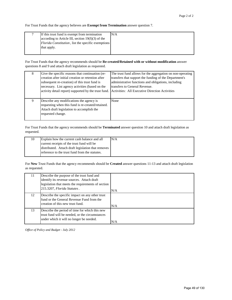For Trust Funds that the agency believes are **Exempt from Termination** answer question 7.

| If this trust fund is exempt from termination              | N/A |
|------------------------------------------------------------|-----|
| according to Article III, section $19(f)(3)$ of the        |     |
| <i>Florida Constitution</i> , list the specific exemptions |     |
| that apply.                                                |     |
|                                                            |     |

For Trust Funds that the agency recommends should be **Re-created/Retained with or without modification** answer questions 8 and 9 and attach draft legislation as requested.

| 8 | Give the specific reasons that continuation (re-<br>creation after initial creation or retention after<br>subsequent re-creation) of this trust fund is<br>necessary. List agency activities (based on the<br>activity detail report) supported by the trust fund. | The trust fund allows for the aggregation on non-operating<br>transfers that support the funding of the Department's<br>administrative functions and obligations, including<br>transfers to General Revenue.<br>Activities: All Executive Direction Activities |
|---|--------------------------------------------------------------------------------------------------------------------------------------------------------------------------------------------------------------------------------------------------------------------|----------------------------------------------------------------------------------------------------------------------------------------------------------------------------------------------------------------------------------------------------------------|
| 9 | Describe any modifications the agency is<br>requesting when this fund is re-created/retained.<br>Attach draft legislation to accomplish the<br>requested change.                                                                                                   | None                                                                                                                                                                                                                                                           |

For Trust Funds that the agency recommends should be **Terminated** answer question 10 and attach draft legislation as requested.

| 10 | Explain how the current cash balance and all       | N/A |
|----|----------------------------------------------------|-----|
|    | current receipts of the trust fund will be         |     |
|    | distributed. Attach draft legislation that removes |     |
|    | reference to the trust fund from the statutes.     |     |
|    |                                                    |     |

For **New** Trust Funds that the agency recommends should be **Created** answer questions 11-13 and attach draft legislation as requested.

| 11 | Describe the purpose of the trust fund and<br>identify its revenue sources. Attach draft<br>legislation that meets the requirements of section<br>215.3207, Florida Statutes. | N/A |
|----|-------------------------------------------------------------------------------------------------------------------------------------------------------------------------------|-----|
| 12 | Describe the specific impact on any other trust<br>fund or the General Revenue Fund from the<br>creation of this new trust fund.                                              | N/A |
| 13 | Describe the period of time for which this new<br>trust fund will be needed, or the circumstances<br>under which it will no longer be needed.                                 | N/A |

*Office of Policy and Budget - July 2012*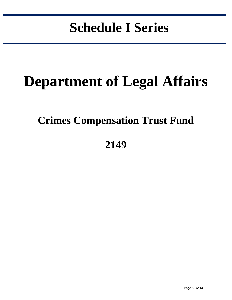# **Schedule I Series**

in the control of the control of the control of the control of the control of the control of the control of the control of the control of the control of the control of the control of the control of the control of the contr

# **Department of Legal Affairs**

## **Crimes Compensation Trust Fund**

## **2149**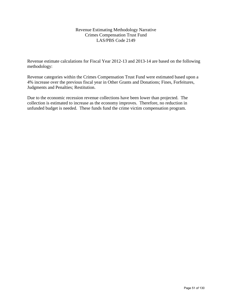### Revenue Estimating Methodology Narrative Crimes Compensation Trust Fund LAS/PBS Code 2149

Revenue estimate calculations for Fiscal Year 2012-13 and 2013-14 are based on the following methodology:

Revenue categories within the Crimes Compensation Trust Fund were estimated based upon a 4% increase over the previous fiscal year in Other Grants and Donations; Fines, Forfeitures, Judgments and Penalties; Restitution.

Due to the economic recession revenue collections have been lower than projected. The collection is estimated to increase as the economy improves. Therefore, no reduction in unfunded budget is needed. These funds fund the crime victim compensation program.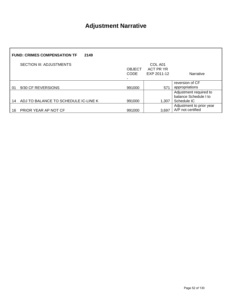## **Adjustment Narrative**

| <b>FUND: CRIMES COMPENSATION TF</b><br>2149 |                                      |               |                      |                                                                |
|---------------------------------------------|--------------------------------------|---------------|----------------------|----------------------------------------------------------------|
|                                             | <b>SECTION III: ADJUSTMENTS</b>      | <b>OBJECT</b> | COL A01<br>ACT PR YR |                                                                |
|                                             |                                      | <b>CODE</b>   | EXP 2011-12          | Narrative                                                      |
|                                             |                                      |               |                      |                                                                |
|                                             |                                      |               |                      | reversion of CF                                                |
| 01                                          | 9/30 CF REVERSIONS                   | 991000        | 571                  | appropriations                                                 |
| 14                                          | ADJ TO BALANCE TO SCHEDULE IC-LINE K | 991000        | 1.307                | Adjustment required to<br>balance Schedule I to<br>Schedule IC |
|                                             |                                      |               |                      | Adjustment to prior year                                       |
| 16                                          | PRIOR YEAR AP NOT CF                 | 991000        | 3,697                | A/P not certified                                              |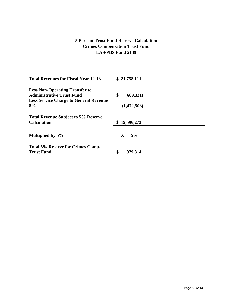### **5 Percent Trust Fund Reserve Calculation Crimes Compensation Trust Fund LAS/PBS Fund 2149**

| \$21,758,111     |
|------------------|
|                  |
| \$<br>(689, 331) |
|                  |
| (1,472,508)      |
|                  |
| \$19,596,272     |
| 5%<br>X          |
|                  |
| œ<br>979,814     |
|                  |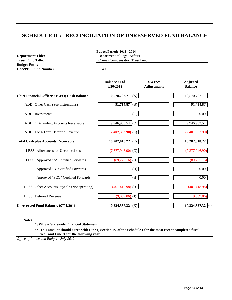### **SCHEDULE IC: RECONCILIATION OF UNRESERVED FUND BALANCE**

| <b>Department Title:</b>                          | <b>Budget Period: 2013 - 2014</b><br>Department of Legal Affairs<br><b>Crimes Compensation Trust Fund</b> |                             |                                   |
|---------------------------------------------------|-----------------------------------------------------------------------------------------------------------|-----------------------------|-----------------------------------|
| <b>Trust Fund Title:</b><br><b>Budget Entity:</b> |                                                                                                           |                             |                                   |
| <b>LAS/PBS Fund Number:</b>                       | 2149                                                                                                      |                             |                                   |
|                                                   | <b>Balance as of</b><br>6/30/2012                                                                         | SWFS*<br><b>Adjustments</b> | <b>Adjusted</b><br><b>Balance</b> |
| Chief Financial Officer's (CFO) Cash Balance      | 10,570,702.71 (A)                                                                                         |                             | 10,570,702.71                     |
| ADD: Other Cash (See Instructions)                | $91,714.87$ (B)                                                                                           |                             | 91,714.87                         |
| ADD: Investments                                  | (C)                                                                                                       |                             | 0.00                              |
| ADD: Outstanding Accounts Receivable              | 9,946,963.54 (D)                                                                                          |                             | 9,946,963.54                      |
| ADD: Long-Term Deferred Revenue                   | $(2,407,362.90)$ <sup>(E)</sup>                                                                           |                             | (2,407,362.90)                    |
| <b>Total Cash plus Accounts Receivable</b>        | 18,202,018.22 (F)                                                                                         |                             | 18,202,018.22                     |
| <b>LESS</b> Allowances for Uncollectibles         | $(7,377,946.90)$ (G)                                                                                      |                             | (7,377,946.90)                    |
| LESS Approved "A" Certified Forwards              | $(89,225.16)$ (H)                                                                                         |                             | (89, 225.16)                      |
| Approved "B" Certified Forwards                   | (H)                                                                                                       |                             | 0.00                              |
| Approved "FCO" Certified Forwards                 | (H)                                                                                                       |                             | 0.00                              |
| LESS: Other Accounts Payable (Nonoperating)       | $(401, 418.98)$ (I)                                                                                       |                             | (401, 418.98)                     |
| LESS: Deferred Revenue                            | $(9,089.86)$ (J)                                                                                          |                             | (9,089.86)                        |
| Unreserved Fund Balance, 07/01/2011               | 10,324,337.32 (K)                                                                                         |                             | 10,324,337.32<br>$\ast$ $\ast$    |

**Notes:**

**\*SWFS = Statewide Financial Statement** 

**\*\* This amount should agree with Line I, Section IV of the Schedule I for the most recent completed fiscal year and Line A for the following year.**

*Office of Policy and Budget - July 2012*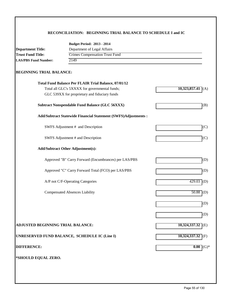#### **RECONCILIATION: BEGINNING TRIAL BALANCE TO SCHEDULE I and IC**

|                                   | <b>Budget Period: 2013 - 2014</b>                                    |                     |  |
|-----------------------------------|----------------------------------------------------------------------|---------------------|--|
| <b>Department Title:</b>          | Department of Legal Affairs<br><b>Crimes Compensation Trust Fund</b> |                     |  |
| <b>Trust Fund Title:</b>          |                                                                      |                     |  |
| <b>LAS/PBS Fund Number:</b>       | 2149                                                                 |                     |  |
| <b>BEGINNING TRIAL BALANCE:</b>   |                                                                      |                     |  |
|                                   | Total Fund Balance Per FLAIR Trial Balance, 07/01/12                 |                     |  |
|                                   | Total all GLC's 5XXXX for governmental funds;                        | $10,323,857.41$ (A) |  |
|                                   | GLC 539XX for proprietary and fiduciary funds                        |                     |  |
|                                   | <b>Subtract Nonspendable Fund Balance (GLC 56XXX)</b>                | (B)                 |  |
|                                   | Add/Subtract Statewide Financial Statement (SWFS)Adjustments :       |                     |  |
|                                   | SWFS Adjustment # and Description                                    | (C)                 |  |
|                                   | SWFS Adjustment # and Description                                    | (C)                 |  |
|                                   | <b>Add/Subtract Other Adjustment(s):</b>                             |                     |  |
|                                   | Approved "B" Carry Forward (Encumbrances) per LAS/PBS                | (D)                 |  |
|                                   | Approved "C" Carry Forward Total (FCO) per LAS/PBS                   | (D)                 |  |
|                                   | A/P not C/F-Operating Categories                                     | 429.03<br>(D)       |  |
|                                   | <b>Compensated Absences Liability</b>                                | 50.88<br>(D)        |  |
|                                   |                                                                      | (D)                 |  |
|                                   |                                                                      | (D)                 |  |
| ADJUSTED BEGINNING TRIAL BALANCE: |                                                                      | $10,324,337.32$ (E) |  |
|                                   | UNRESERVED FUND BALANCE, SCHEDULE IC (Line I)                        | 10,324,337.32 (F)   |  |
| <b>DIFFERENCE:</b>                |                                                                      | 0.00<br>$(G)*$      |  |
|                                   |                                                                      |                     |  |
| *SHOULD EQUAL ZERO.               |                                                                      |                     |  |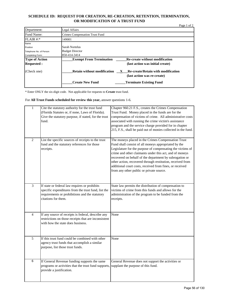#### **SCHEDULE ID: REQUEST FOR CREATION, RE-CREATION, RETENTION, TERMINATION, OR MODIFICATION OF A TRUST FUND**

|                         |                                                                                                                     | Page 1 of 2 |
|-------------------------|---------------------------------------------------------------------------------------------------------------------|-------------|
| Department:             | Legal Affairs                                                                                                       |             |
| Fund Name:              | <b>Crimes Compensation Trust Fund</b>                                                                               |             |
| $FLAIR$ #:*             | 149001                                                                                                              |             |
| Name                    |                                                                                                                     |             |
| Position                | Sarah Nortelus                                                                                                      |             |
| Telephone No. of Person | <b>Budget Director</b>                                                                                              |             |
| Completing Form:        | 850-414-3414                                                                                                        |             |
| <b>Type of Action</b>   | <b>Exempt From Termination</b><br><b>Re-create without modification</b>                                             |             |
| <b>Requested:</b>       | (last action was initial create)                                                                                    |             |
| (Check one)             | <b>Retain without modification</b><br><b>Re-create/Retain with modification</b><br>X<br>(last action was re-create) |             |
|                         | <b>Create New Fund</b><br><b>Terminate Existing Fund</b>                                                            |             |

\* Enter ONLY the six-digit code. Not applicable for requests to **Create** trust fund.

For **All Trust Funds scheduled for review this year,** answer questions 1-6.

| $\mathbf{1}$   | Cite the statutory authority for the trust fund<br>(Florida Statutes or, if none, Laws of Florida).<br>Give the statutory purpose, if stated, for the trust<br>fund.          | Chapter 960.21 F.S., creates the Crimes Compensation<br>Trust Fund. Money placed in the funds are for the<br>compensation of victims of crime. All administrative costs<br>associated with running the crime victim's assistance<br>program and the service charge provided for in chapter<br>215, F.S., shall be paid out of monies collected in the fund.                                                                                                          |
|----------------|-------------------------------------------------------------------------------------------------------------------------------------------------------------------------------|----------------------------------------------------------------------------------------------------------------------------------------------------------------------------------------------------------------------------------------------------------------------------------------------------------------------------------------------------------------------------------------------------------------------------------------------------------------------|
| $\overline{2}$ | List the specific sources of receipts to the trust<br>fund and the statutory references for those<br>receipts.                                                                | The moneys placed in the Crimes Compensation Trust<br>Fund shall consist of all moneys appropriated by the<br>Legislature for the purpose of compensating the victims of<br>crime and other claimants under this act, and of moneys<br>recovered on behalf of the department by subrogation or<br>other action, recovered through restitution, received from<br>additional court costs, received from fines, or received<br>from any other public or private source. |
| $\overline{3}$ | If state or federal law requires or prohibits<br>specific expenditures from the trust fund, list the<br>requirements or prohibitions and the statutory<br>citations for them. | State law permits the distribution of compensation to<br>victims of crime from this funds and allows for the<br>administration of the program to be funded from the<br>receipts.                                                                                                                                                                                                                                                                                     |
| $\overline{4}$ | If any source of receipts is federal, describe any<br>restrictions on those receipts that are inconsistent<br>with how the state does business.                               | None                                                                                                                                                                                                                                                                                                                                                                                                                                                                 |
| $\overline{5}$ | If this trust fund could be combined with other<br>agency trust funds that accomplish a similar<br>purpose, list those trust funds.                                           | None                                                                                                                                                                                                                                                                                                                                                                                                                                                                 |
| 6              | If General Revenue funding supports the same<br>programs or activities that the trust fund supports,<br>provide a justification.                                              | General Revenue does not support the activities or<br>supplant the purpose of this fund.                                                                                                                                                                                                                                                                                                                                                                             |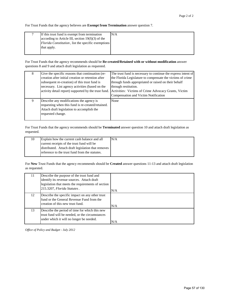For Trust Funds that the agency believes are **Exempt from Termination** answer question 7.

| If this trust fund is exempt from termination              | N/A |
|------------------------------------------------------------|-----|
| according to Article III, section $19(f)(3)$ of the        |     |
| <i>Florida Constitution</i> , list the specific exemptions |     |
| that apply.                                                |     |
|                                                            |     |

For Trust Funds that the agency recommends should be **Re-created/Retained with or without modification** answer questions 8 and 9 and attach draft legislation as requested.

| 8 | Give the specific reasons that continuation (re-<br>creation after initial creation or retention after<br>subsequent re-creation) of this trust fund is<br>necessary. List agency activities (based on the<br>activity detail report) supported by the trust fund. | The trust fund is necessary to continue the express intent of<br>the Florida Legislature to compensate the victims of crime<br>through funds appropriated or raised on their behalf<br>through restitution.<br>Activities: Victims of Crime Advocacy Grants, Victim<br>Compensation and Victim Notification |
|---|--------------------------------------------------------------------------------------------------------------------------------------------------------------------------------------------------------------------------------------------------------------------|-------------------------------------------------------------------------------------------------------------------------------------------------------------------------------------------------------------------------------------------------------------------------------------------------------------|
| 9 | Describe any modifications the agency is<br>requesting when this fund is re-created/retained.<br>Attach draft legislation to accomplish the<br>requested change.                                                                                                   | None                                                                                                                                                                                                                                                                                                        |

For Trust Funds that the agency recommends should be **Terminated** answer question 10 and attach draft legislation as requested.

| 10 | Explain how the current cash balance and all       | N/A |
|----|----------------------------------------------------|-----|
|    | current receipts of the trust fund will be         |     |
|    | distributed. Attach draft legislation that removes |     |
|    | reference to the trust fund from the statutes.     |     |
|    |                                                    |     |

For **New** Trust Funds that the agency recommends should be **Created** answer questions 11-13 and attach draft legislation as requested.

| 11 | Describe the purpose of the trust fund and<br>identify its revenue sources. Attach draft<br>legislation that meets the requirements of section<br>215.3207, Florida Statutes. | N/A |
|----|-------------------------------------------------------------------------------------------------------------------------------------------------------------------------------|-----|
| 12 | Describe the specific impact on any other trust<br>fund or the General Revenue Fund from the<br>creation of this new trust fund.                                              | N/A |
| 13 | Describe the period of time for which this new<br>trust fund will be needed, or the circumstances<br>under which it will no longer be needed.                                 | N/A |

*Office of Policy and Budget - July 2012*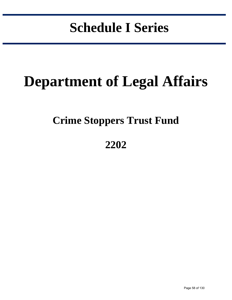# **Schedule I Series**

in the control of the control of the control of the control of the control of the control of the control of the control of the control of the control of the control of the control of the control of the control of the contr

# **Department of Legal Affairs**

## **Crime Stoppers Trust Fund**

## **2202**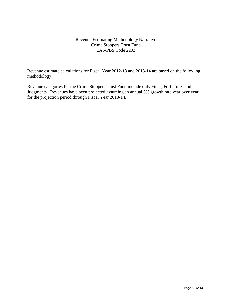#### Revenue Estimating Methodology Narrative Crime Stoppers Trust Fund LAS/PBS Code 2202

Revenue estimate calculations for Fiscal Year 2012-13 and 2013-14 are based on the following methodology:

Revenue categories for the Crime Stoppers Trust Fund include only Fines, Forfeitures and Judgments. Revenues have been projected assuming an annual 3% growth rate year over year for the projection period through Fiscal Year 2013-14.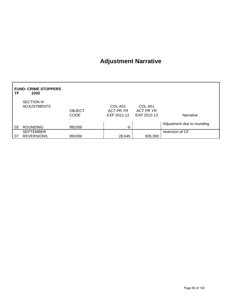## **Adjustment Narrative**

| ΤF | <b>FUND: CRIME STOPPERS</b><br>2202   |                              |                                     |                                     |                            |
|----|---------------------------------------|------------------------------|-------------------------------------|-------------------------------------|----------------------------|
|    | SECTION III:<br><b>ADJUSTMENTS</b>    | <b>OBJECT</b><br><b>CODE</b> | COL A01<br>ACT PR YR<br>EXP 2011-12 | COL A01<br>ACT PR YR<br>EXP 2012-13 | Narrative                  |
| 03 | <b>ROUNDING</b>                       | 991000                       | -6                                  |                                     | Adjustment due to rounding |
| 07 | <b>SEPTEMBER</b><br><b>REVERSIONS</b> | 991000                       | 28,045                              | 835,350                             | reversion of CF            |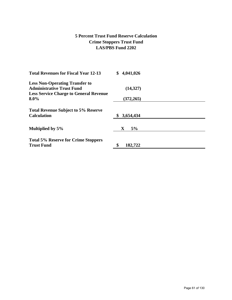### **5 Percent Trust Fund Reserve Calculation Crime Stoppers Trust Fund LAS/PBS Fund 2202**

| <b>Total Revenues for Fiscal Year 12-13</b>                      | \$<br>4,041,026   |
|------------------------------------------------------------------|-------------------|
| <b>Less Non-Operating Transfer to</b>                            |                   |
| <b>Administrative Trust Fund</b>                                 | (14,327)          |
| <b>Less Service Charge to General Revenue</b>                    |                   |
| $8.0\%$                                                          | (372, 265)        |
| <b>Total Revenue Subject to 5% Reserve</b><br><b>Calculation</b> | 3,654,434         |
| Multiplied by 5%                                                 | 5%<br>$\mathbf X$ |
| <b>Total 5% Reserve for Crime Stoppers</b><br><b>Trust Fund</b>  | ¢<br>182,722      |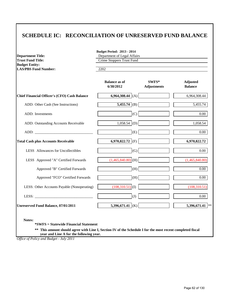### **SCHEDULE IC: RECONCILIATION OF UNRESERVED FUND BALANCE**

| <b>Department Title:</b><br><b>Trust Fund Title:</b>                                                                                                                                                                           | Department of Legal Affairs<br>Crime Stoppers Trust Fund<br>2202 |                             |                                   |  |
|--------------------------------------------------------------------------------------------------------------------------------------------------------------------------------------------------------------------------------|------------------------------------------------------------------|-----------------------------|-----------------------------------|--|
| <b>Budget Entity:</b><br><b>LAS/PBS Fund Number:</b>                                                                                                                                                                           |                                                                  |                             |                                   |  |
|                                                                                                                                                                                                                                | <b>Balance as of</b><br>6/30/2012                                | SWFS*<br><b>Adjustments</b> | <b>Adjusted</b><br><b>Balance</b> |  |
| <b>Chief Financial Officer's (CFO) Cash Balance</b>                                                                                                                                                                            | 6,964,308.44 (A)                                                 |                             | 6,964,308.44                      |  |
| ADD: Other Cash (See Instructions)                                                                                                                                                                                             | $\overline{5,455.74}$ (B)                                        |                             | $\overline{5,455.74}$             |  |
| ADD: Investments                                                                                                                                                                                                               | (C)                                                              |                             | 0.00                              |  |
| ADD: Outstanding Accounts Receivable                                                                                                                                                                                           | 1,058.54 (D)                                                     |                             | 1,058.54                          |  |
| ADD: The contract of the contract of the contract of the contract of the contract of the contract of the contract of the contract of the contract of the contract of the contract of the contract of the contract of the contr | (E)                                                              |                             | $0.00\,$                          |  |
| <b>Total Cash plus Accounts Receivable</b>                                                                                                                                                                                     | 6,970,822.72 (F)                                                 |                             | 6,970,822.72                      |  |
| LESS Allowances for Uncollectibles                                                                                                                                                                                             | (G)                                                              |                             | $0.00\,$                          |  |
| LESS Approved "A" Certified Forwards                                                                                                                                                                                           | $(1,465,840.80)$ (H)                                             |                             | (1,465,840.80)                    |  |
| Approved "B" Certified Forwards                                                                                                                                                                                                | (H)                                                              |                             | $\overline{0.00}$                 |  |
| Approved "FCO" Certified Forwards                                                                                                                                                                                              | (H)                                                              |                             | $0.00\,$                          |  |
| LESS: Other Accounts Payable (Nonoperating)                                                                                                                                                                                    | $(108,310.51)$ (I)                                               |                             | (108, 310.51)                     |  |
| LESS: $\qquad \qquad$                                                                                                                                                                                                          | (J)                                                              |                             | $0.00\,$                          |  |
| Unreserved Fund Balance, 07/01/2011                                                                                                                                                                                            | 5,396,671.41 (K)                                                 |                             | 5,396,671.41 **                   |  |

**\*\* This amount should agree with Line I, Section IV of the Schedule I for the most recent completed fiscal** 

 **year and Line A for the following year.**

*Office of Policy and Budget - July 2011*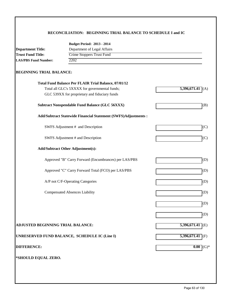#### **RECONCILIATION: BEGINNING TRIAL BALANCE TO SCHEDULE I and IC**

|                                          | <b>Budget Period: 2013 - 2014</b>                              |                                 |  |
|------------------------------------------|----------------------------------------------------------------|---------------------------------|--|
| <b>Department Title:</b>                 | Department of Legal Affairs                                    |                                 |  |
| <b>Trust Fund Title:</b>                 | Crime Stoppers Trust Fund                                      |                                 |  |
| 2202<br><b>LAS/PBS Fund Number:</b>      |                                                                |                                 |  |
| <b>BEGINNING TRIAL BALANCE:</b>          |                                                                |                                 |  |
|                                          | <b>Total Fund Balance Per FLAIR Trial Balance, 07/01/12</b>    |                                 |  |
|                                          | Total all GLC's 5XXXX for governmental funds;                  | $5,396,671.41$ (A)              |  |
|                                          | GLC 539XX for proprietary and fiduciary funds                  |                                 |  |
|                                          | <b>Subtract Nonspendable Fund Balance (GLC 56XXX)</b>          | (B)                             |  |
|                                          | Add/Subtract Statewide Financial Statement (SWFS)Adjustments : |                                 |  |
|                                          | SWFS Adjustment # and Description                              | (C)                             |  |
|                                          | SWFS Adjustment # and Description                              | (C)                             |  |
|                                          | <b>Add/Subtract Other Adjustment(s):</b>                       |                                 |  |
|                                          | Approved "B" Carry Forward (Encumbrances) per LAS/PBS          | (D)                             |  |
|                                          | Approved "C" Carry Forward Total (FCO) per LAS/PBS             | (D)                             |  |
|                                          | A/P not C/F-Operating Categories                               | (D)                             |  |
|                                          | <b>Compensated Absences Liability</b>                          | (D)                             |  |
|                                          |                                                                | (D)                             |  |
|                                          |                                                                | (D)                             |  |
| <b>ADJUSTED BEGINNING TRIAL BALANCE:</b> |                                                                | 5,396,671.41<br>$\mathsf{I}(E)$ |  |
|                                          | UNRESERVED FUND BALANCE, SCHEDULE IC (Line I)                  | $5,396,671.41$ (F)              |  |
| <b>DIFFERENCE:</b>                       |                                                                | 0.00<br>$(G)*$                  |  |
| *SHOULD EQUAL ZERO.                      |                                                                |                                 |  |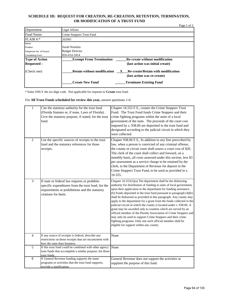#### **SCHEDULE ID: REQUEST FOR CREATION, RE-CREATION, RETENTION, TERMINATION, OR MODIFICATION OF A TRUST FUND**

|                         |                                                                                                           | Page 1 of 2 |
|-------------------------|-----------------------------------------------------------------------------------------------------------|-------------|
| Department:             | Legal Affairs                                                                                             |             |
| Fund Name:              | Crime Stoppers Trust Fund                                                                                 |             |
| $FLAIR$ #:*             | 202001                                                                                                    |             |
| Name                    |                                                                                                           |             |
| Position                | Sarah Nortelus                                                                                            |             |
| Telephone No. of Person | <b>Budget Director</b>                                                                                    |             |
| Completing Form:        | 850-414-3414                                                                                              |             |
| <b>Type of Action</b>   | <b>Exempt From Termination</b><br><b>Re-create without modification</b>                                   |             |
| <b>Requested:</b>       | (last action was initial create)                                                                          |             |
| (Check one)             | <b>Retain without modification</b><br>X Re-create/Retain with modification<br>(last action was re-create) |             |
|                         | <b>Create New Fund</b><br><b>Terminate Existing Fund</b>                                                  |             |

\* Enter ONLY the six-digit code. Not applicable for requests to **Create** trust fund.

For **All Trust Funds scheduled for review this year,** answer questions 1-6.

| $\mathbf{1}$   | Cite the statutory authority for the trust fund<br>(Florida Statutes or, if none, Laws of Florida).<br>Give the statutory purpose, if stated, for the trust<br>fund.          | Chapter 16.555 F.S., creates the Crime Stoppers Trust<br>Fund. The Trust Fund funds Crime Stoppers and their<br>crime fighting programs within the units of a local<br>government of the state. The proceeds of the court cost<br>imposed by s. 938.06 are deposited in the trust fund and<br>designated according to the judicial circuit in which they<br>were collected.                                                                                                                                                                                                                                                                                                                                                                                                                                 |
|----------------|-------------------------------------------------------------------------------------------------------------------------------------------------------------------------------|-------------------------------------------------------------------------------------------------------------------------------------------------------------------------------------------------------------------------------------------------------------------------------------------------------------------------------------------------------------------------------------------------------------------------------------------------------------------------------------------------------------------------------------------------------------------------------------------------------------------------------------------------------------------------------------------------------------------------------------------------------------------------------------------------------------|
| $\overline{2}$ | List the specific sources of receipts to the trust<br>fund and the statutory references for those<br>receipts.                                                                | Chapter 938.06 F.S., In addition to any fine prescribed by<br>law, when a person is convicted of any criminal offense,<br>the county or circuit court shall assess a court cost of \$20.<br>The clerk of the court shall collect and forward, on a<br>monthly basis, all costs assessed under this section, less \$3<br>per assessment as a service charge to be retained by the<br>clerk, to the Department of Revenue for deposit in the<br>Crime Stoppers Trust Fund, to be used as provided in s.<br>16.555.                                                                                                                                                                                                                                                                                            |
| $\overline{3}$ | If state or federal law requires or prohibits<br>specific expenditures from the trust fund, list the<br>requirements or prohibitions and the statutory<br>citations for them. | Chapter $16.555(5)(a)$ The department shall be the disbursing<br>authority for distribution of funding to units of local government,<br>upon their application to the department for funding assistance.<br>(b) Funds deposited in the trust fund pursuant to paragraph $(4)(b)$<br>shall be disbursed as provided in this paragraph. Any county may<br>apply to the department for a grant from the funds collected in the<br>judicial circuit in which the county is located under s. 938.06. A<br>grant may be awarded only to counties which are served by an<br>official member of the Florida Association of Crime Stoppers and<br>may only be used to support Crime Stoppers and their crime<br>fighting programs. Only one such official member shall be<br>eligible for support within any county. |
| $\overline{4}$ | If any source of receipts is federal, describe any<br>restrictions on those receipts that are inconsistent with<br>how the state does business.                               | None                                                                                                                                                                                                                                                                                                                                                                                                                                                                                                                                                                                                                                                                                                                                                                                                        |
| $\overline{5}$ | If this trust fund could be combined with other agency<br>trust funds that accomplish a similar purpose, list those<br>trust funds.                                           | None                                                                                                                                                                                                                                                                                                                                                                                                                                                                                                                                                                                                                                                                                                                                                                                                        |
| 6              | If General Revenue funding supports the same<br>programs or activities that the trust fund supports,<br>provide a justification.                                              | General Revenue does not support the activities or<br>supplant the purpose of this fund.                                                                                                                                                                                                                                                                                                                                                                                                                                                                                                                                                                                                                                                                                                                    |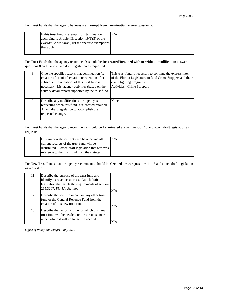For Trust Funds that the agency believes are **Exempt from Termination** answer question 7.

| If this trust fund is exempt from termination       | N/A |
|-----------------------------------------------------|-----|
| according to Article III, section $19(f)(3)$ of the |     |
| Florida Constitution, list the specific exemptions  |     |
| that apply.                                         |     |
|                                                     |     |

For Trust Funds that the agency recommends should be **Re-created/Retained with or without modification** answer questions 8 and 9 and attach draft legislation as requested.

| 8 | Give the specific reasons that continuation (re-<br>creation after initial creation or retention after<br>subsequent re-creation) of this trust fund is<br>necessary. List agency activities (based on the<br>activity detail report) supported by the trust fund. | This trust fund is necessary to continue the express intent<br>of the Florida Legislature to fund Crime Stoppers and their<br>crime fighting programs.<br>Activities: Crime Stoppers |
|---|--------------------------------------------------------------------------------------------------------------------------------------------------------------------------------------------------------------------------------------------------------------------|--------------------------------------------------------------------------------------------------------------------------------------------------------------------------------------|
| 9 | Describe any modifications the agency is<br>requesting when this fund is re-created/retained.<br>Attach draft legislation to accomplish the<br>requested change.                                                                                                   | None                                                                                                                                                                                 |

For Trust Funds that the agency recommends should be **Terminated** answer question 10 and attach draft legislation as requested.

| 10 | Explain how the current cash balance and all       | N/A |
|----|----------------------------------------------------|-----|
|    | current receipts of the trust fund will be         |     |
|    | distributed. Attach draft legislation that removes |     |
|    | reference to the trust fund from the statutes.     |     |
|    |                                                    |     |

For **New** Trust Funds that the agency recommends should be **Created** answer questions 11-13 and attach draft legislation as requested.

| 11 | Describe the purpose of the trust fund and<br>identify its revenue sources. Attach draft<br>legislation that meets the requirements of section<br>215.3207, Florida Statutes. | N/A |
|----|-------------------------------------------------------------------------------------------------------------------------------------------------------------------------------|-----|
| 12 | Describe the specific impact on any other trust<br>fund or the General Revenue Fund from the<br>creation of this new trust fund.                                              | N/A |
| 13 | Describe the period of time for which this new<br>trust fund will be needed, or the circumstances<br>under which it will no longer be needed.                                 | N/A |

*Office of Policy and Budget - July 2012*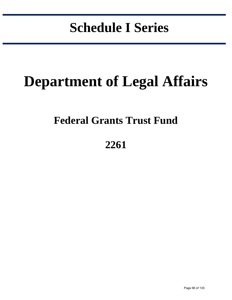# **Schedule I Series**

in the control of the control of the control of the control of the control of the control of the control of the control of the control of the control of the control of the control of the control of the control of the contr

# **Department of Legal Affairs**

## **Federal Grants Trust Fund**

## **2261**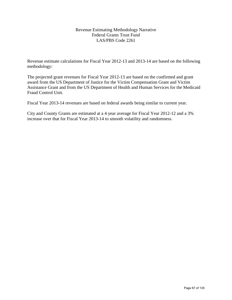### Revenue Estimating Methodology Narrative Federal Grants Trust Fund LAS/PBS Code 2261

Revenue estimate calculations for Fiscal Year 2012-13 and 2013-14 are based on the following methodology:

The projected grant revenues for Fiscal Year 2012-13 are based on the confirmed and grant award from the US Department of Justice for the Victim Compensation Grant and Victim Assistance Grant and from the US Department of Health and Human Services for the Medicaid Fraud Control Unit.

Fiscal Year 2013-14 revenues are based on federal awards being similar to current year.

City and County Grants are estimated at a 4 year average for Fiscal Year 2012-12 and a 3% increase over that for Fiscal Year 2013-14 to smooth volatility and randomness.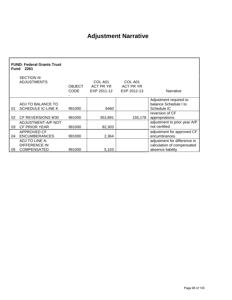## **Adjustment Narrative**

|     | <b>FUND: Federal Grants Trust</b><br><b>Fund 2261</b>        |                              |                                     |                                     |                                                                                 |
|-----|--------------------------------------------------------------|------------------------------|-------------------------------------|-------------------------------------|---------------------------------------------------------------------------------|
|     | SECTION III:<br><b>ADJUSTMENTS</b>                           | <b>OBJECT</b><br><b>CODE</b> | COL A01<br>ACT PR YR<br>EXP 2011-12 | COL A01<br>ACT PR YR<br>EXP 2012-13 | Narrative                                                                       |
| 01  | ADJ TO BALANCE TO<br><b>SCHEDULE IC-LINE K</b>               | 991000                       | 6460                                |                                     | Adjustment required to<br>balance Schedule I to<br>Schedule IC                  |
| 02. | CF REVERSIONS 9/30                                           | 991000                       | 353,891                             | 155,178                             | reversion of CF<br>appropriations                                               |
| 03  | ADJUSTMENT-A/P NOT<br><b>CF PRIOR YEAR</b>                   | 991000                       | 82,303                              |                                     | adjustment to prior year A/P<br>not certified                                   |
| 04  | APPROVED CF<br><b>ENCUMBERANCES</b>                          | 991000                       | 2,364                               |                                     | adjustment for approved CF<br>encumbrances                                      |
| 05  | ADJ TO LINE A-<br><b>DIFFERENCE IN</b><br><b>COMPENSATED</b> | 991000                       | 5,103                               |                                     | adjustment for difference in<br>calculation of compensated<br>absence liability |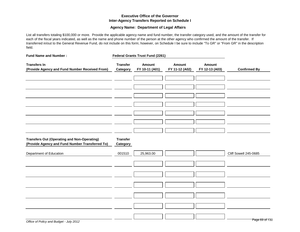#### **Executive Office of the Governor Inter-Agency Transfers Reported on Schedule I**

#### **Agency Name: Department of Legal Affairs**

List all transfers totaling \$100,000 or more. Provide the applicable agency name and fund number, the transfer category used, and the amount of the transfer for each of the fiscal years indicated, as well as the name and phone number of the person at the other agency who confirmed the amount of the transfer. If transferred in/out to the General Revenue Fund, do not include on this form; however, on Schedule I be sure to include "To GR" or "From GR" in the description field.

| <b>Fund Name and Number:</b>                                                                          |                             | Federal Grants Trust Fund (2261) |                                 |                          |                       |
|-------------------------------------------------------------------------------------------------------|-----------------------------|----------------------------------|---------------------------------|--------------------------|-----------------------|
| <b>Transfers In</b><br>(Provide Agency and Fund Number Received From)                                 | <b>Transfer</b><br>Category | Amount<br>FY 10-11 (A01)         | <b>Amount</b><br>FY 11-12 (A02) | Amount<br>FY 12-13 (A03) | <b>Confirmed By</b>   |
|                                                                                                       |                             |                                  |                                 |                          |                       |
|                                                                                                       |                             |                                  |                                 |                          |                       |
|                                                                                                       |                             |                                  |                                 |                          |                       |
|                                                                                                       |                             |                                  |                                 |                          |                       |
|                                                                                                       |                             |                                  |                                 |                          |                       |
|                                                                                                       |                             |                                  |                                 |                          |                       |
|                                                                                                       |                             |                                  |                                 |                          |                       |
|                                                                                                       |                             |                                  |                                 |                          |                       |
|                                                                                                       |                             |                                  |                                 |                          |                       |
| <b>Transfers Out (Operating and Non-Operating)</b><br>(Provide Agency and Fund Number Transferred To) | <b>Transfer</b><br>Category |                                  |                                 |                          |                       |
| Department of Education                                                                               | 001510                      | 25,963.00                        |                                 |                          | Cliff Sowell 245-0685 |
|                                                                                                       |                             |                                  |                                 |                          |                       |
|                                                                                                       |                             |                                  |                                 |                          |                       |
|                                                                                                       |                             |                                  |                                 |                          |                       |
|                                                                                                       |                             |                                  |                                 |                          |                       |
|                                                                                                       |                             |                                  |                                 |                          |                       |
|                                                                                                       |                             |                                  |                                 |                          |                       |
|                                                                                                       |                             |                                  |                                 |                          |                       |
|                                                                                                       |                             |                                  |                                 |                          |                       |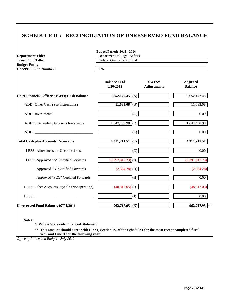### **SCHEDULE IC: RECONCILIATION OF UNRESERVED FUND BALANCE**

| <b>Department Title:</b><br><b>Trust Fund Title:</b> | <b>Budget Period: 2013 - 2014</b><br>Department of Legal Affairs<br><b>Federal Grants Trust Fund</b> |                             |                                   |  |  |
|------------------------------------------------------|------------------------------------------------------------------------------------------------------|-----------------------------|-----------------------------------|--|--|
| <b>Budget Entity:</b><br><b>LAS/PBS Fund Number:</b> | 2261                                                                                                 |                             |                                   |  |  |
|                                                      | <b>Balance as of</b><br>6/30/2012                                                                    | SWFS*<br><b>Adjustments</b> | <b>Adjusted</b><br><b>Balance</b> |  |  |
| <b>Chief Financial Officer's (CFO) Cash Balance</b>  | 2,652,147.45 (A)                                                                                     |                             | 2,652,147.45                      |  |  |
| ADD: Other Cash (See Instructions)                   | $\overline{11,633.08}$ (B)                                                                           |                             | 11,633.08                         |  |  |
| ADD: Investments                                     | (C)                                                                                                  |                             | $0.00\,$                          |  |  |
| ADD: Outstanding Accounts Receivable                 | $1,647,430.98$ (D)                                                                                   |                             | 1,647,430.98                      |  |  |
|                                                      | (E)                                                                                                  |                             | $0.00\,$                          |  |  |
| <b>Total Cash plus Accounts Receivable</b>           | 4,311,211.51 (F)                                                                                     |                             | 4,311,211.51                      |  |  |
| LESS Allowances for Uncollectibles                   | (G)                                                                                                  |                             | $0.00\,$                          |  |  |
| LESS Approved "A" Certified Forwards                 | $(3,297,812.23)$ (H)                                                                                 |                             | (3,297,812.23)                    |  |  |
| Approved "B" Certified Forwards                      | $(2,364.28)$ (H)                                                                                     |                             | (2,364.28)                        |  |  |
| Approved "FCO" Certified Forwards                    | (H)                                                                                                  |                             | $0.00\,$                          |  |  |
| LESS: Other Accounts Payable (Nonoperating)          | $(48,317.05)$ (I)                                                                                    |                             | (48,317.05)                       |  |  |
|                                                      | (J)                                                                                                  |                             | $0.00\,$                          |  |  |
| Unreserved Fund Balance, 07/01/2011                  | 962,717.95 (K)                                                                                       |                             | 962,717.95                        |  |  |

**\*\* This amount should agree with Line I, Section IV of the Schedule I for the most recent completed fiscal year and Line A for the following year.**

*Office of Policy and Budget - July 2012*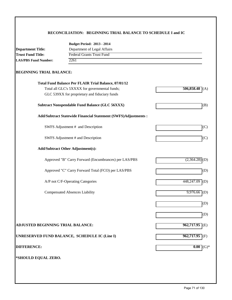#### **RECONCILIATION: BEGINNING TRIAL BALANCE TO SCHEDULE I and IC**

|                                   | <b>Budget Period: 2013 - 2014</b>                              |                   |  |  |
|-----------------------------------|----------------------------------------------------------------|-------------------|--|--|
| <b>Department Title:</b>          | Department of Legal Affairs                                    |                   |  |  |
| <b>Trust Fund Title:</b>          | <b>Federal Grants Trust Fund</b>                               |                   |  |  |
| <b>LAS/PBS Fund Number:</b>       | 2261                                                           |                   |  |  |
| <b>BEGINNING TRIAL BALANCE:</b>   |                                                                |                   |  |  |
|                                   | Total Fund Balance Per FLAIR Trial Balance, 07/01/12           |                   |  |  |
|                                   | Total all GLC's 5XXXX for governmental funds;                  | 506,858.48<br>(A) |  |  |
|                                   | GLC 539XX for proprietary and fiduciary funds                  |                   |  |  |
|                                   | <b>Subtract Nonspendable Fund Balance (GLC 56XXX)</b>          | (B)               |  |  |
|                                   | Add/Subtract Statewide Financial Statement (SWFS)Adjustments : |                   |  |  |
|                                   | SWFS Adjustment # and Description                              | (C)               |  |  |
|                                   | SWFS Adjustment # and Description                              | (C)               |  |  |
|                                   | <b>Add/Subtract Other Adjustment(s):</b>                       |                   |  |  |
|                                   | Approved "B" Carry Forward (Encumbrances) per LAS/PBS          | (2,364.28)<br>(D) |  |  |
|                                   | Approved "C" Carry Forward Total (FCO) per LAS/PBS             | (D)               |  |  |
|                                   | A/P not C/F-Operating Categories                               | 448,247.09<br>(D) |  |  |
|                                   | <b>Compensated Absences Liability</b>                          | $9,976.66$ (D)    |  |  |
|                                   |                                                                | (D)               |  |  |
|                                   |                                                                | (D)               |  |  |
| ADJUSTED BEGINNING TRIAL BALANCE: |                                                                | $962,717.95$ (E)  |  |  |
|                                   | UNRESERVED FUND BALANCE, SCHEDULE IC (Line I)                  | $962,717.95$ (F)  |  |  |
| <b>DIFFERENCE:</b>                |                                                                | 0.00<br>$(G)*$    |  |  |
| *SHOULD EQUAL ZERO.               |                                                                |                   |  |  |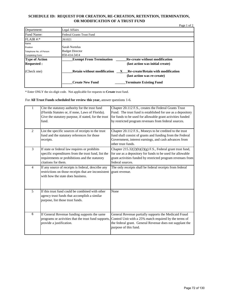#### **SCHEDULE ID: REQUEST FOR CREATION, RE-CREATION, RETENTION, TERMINATION, OR MODIFICATION OF A TRUST FUND**

|                         |                                                                                                                                | Page 1 of 2 |
|-------------------------|--------------------------------------------------------------------------------------------------------------------------------|-------------|
| Department:             | Legal Affairs                                                                                                                  |             |
| Fund Name:              | <b>Federal Grants Trust Fund</b>                                                                                               |             |
| FLAIR #:                | 261021                                                                                                                         |             |
| Name                    |                                                                                                                                |             |
| Position                | Sarah Nortelus                                                                                                                 |             |
| Telephone No. of Person | <b>Budget Director</b>                                                                                                         |             |
| Completing Form:        | 850-414-3414                                                                                                                   |             |
| <b>Type of Action</b>   | <b>Re-create without modification</b><br><b>Exempt From Termination</b>                                                        |             |
| <b>Requested:</b>       | (last action was initial create)                                                                                               |             |
| (Check one)             | <b>Retain without modification</b><br><b>Re-create/Retain with modification</b><br>$\mathbf{X}$<br>(last action was re-create) |             |
|                         | <b>Create New Fund</b><br><b>Terminate Existing Fund</b>                                                                       |             |

\* Enter ONLY the six-digit code. Not applicable for requests to **Create** trust fund.

For **All Trust Funds scheduled for review this year,** answer questions 1-6.

|                | Cite the statutory authority for the trust fund<br>(Florida Statutes or, if none, Laws of Florida).<br>Give the statutory purpose, if stated, for the trust<br>fund.          | Chapter 20.112 F.S., creates the Federal Grants Trust<br>Fund. The trust fund is established for use as a depository<br>for funds to be used for allowable grant activities funded<br>by restricted program revenues from federal sources. |
|----------------|-------------------------------------------------------------------------------------------------------------------------------------------------------------------------------|--------------------------------------------------------------------------------------------------------------------------------------------------------------------------------------------------------------------------------------------|
| $\overline{2}$ | List the specific sources of receipts to the trust<br>fund and the statutory references for those<br>receipts.                                                                | Chapter 20.112 F.S., Moneys to be credited to the trust<br>fund shall consist of grants and funding from the Federal<br>Government, interest earnings, and cash advances from<br>other trust funds.                                        |
| 3              | If state or federal law requires or prohibits<br>specific expenditures from the trust fund, list the<br>requirements or prohibitions and the statutory<br>citations for them. | Chapter 215.32(2)(b)(2)(g) F.S., Federal grant trust fund,<br>for use as a depository for funds to be used for allowable<br>grant activities funded by restricted program revenues from<br>federal sources.                                |
| $\overline{4}$ | If any source of receipts is federal, describe any<br>restrictions on those receipts that are inconsistent<br>with how the state does business.                               | The only receipts shall be federal receipts from federal<br>grant revenue.                                                                                                                                                                 |
| 5              | If this trust fund could be combined with other<br>agency trust funds that accomplish a similar<br>purpose, list those trust funds.                                           | None                                                                                                                                                                                                                                       |
| 6              | If General Revenue funding supports the same<br>programs or activities that the trust fund supports,<br>provide a justification.                                              | General Revenue partially supports the Medicaid Fraud<br>Control Unit with a 25% match required by the terms of<br>the federal grant. General Revenue does not supplant the<br>purpose of this fund.                                       |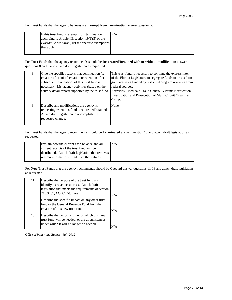For Trust Funds that the agency believes are **Exempt from Termination** answer question 7.

| If this trust fund is exempt from termination       | N/A |
|-----------------------------------------------------|-----|
| according to Article III, section $19(f)(3)$ of the |     |
| Florida Constitution, list the specific exemptions  |     |
| that apply.                                         |     |
|                                                     |     |

For Trust Funds that the agency recommends should be **Re-created/Retained with or without modification** answer questions 8 and 9 and attach draft legislation as requested.

| 8 | Give the specific reasons that continuation (re-<br>creation after initial creation or retention after<br>subsequent re-creation) of this trust fund is<br>necessary. List agency activities (based on the<br>activity detail report) supported by the trust fund. | This trust fund is necessary to continue the express intent<br>of the Florida Legislature to segregate funds to be used for<br>grant activates funded by restricted program revenues from<br>federal sources.<br>Activities: Medicaid Fraud Control, Victims Notification,<br>Investigation and Prosecution of Multi Circuit Organized<br>Crime. |
|---|--------------------------------------------------------------------------------------------------------------------------------------------------------------------------------------------------------------------------------------------------------------------|--------------------------------------------------------------------------------------------------------------------------------------------------------------------------------------------------------------------------------------------------------------------------------------------------------------------------------------------------|
| 9 | Describe any modifications the agency is<br>requesting when this fund is re-created/retained.<br>Attach draft legislation to accomplish the<br>requested change.                                                                                                   | None                                                                                                                                                                                                                                                                                                                                             |

For Trust Funds that the agency recommends should be **Terminated** answer question 10 and attach draft legislation as requested.

| Explain how the current cash balance and all       | N/A |
|----------------------------------------------------|-----|
| current receipts of the trust fund will be         |     |
| distributed. Attach draft legislation that removes |     |
| reference to the trust fund from the statutes.     |     |

For **New** Trust Funds that the agency recommends should be **Created** answer questions 11-13 and attach draft legislation as requested.

| 11. | Describe the purpose of the trust fund and<br>identify its revenue sources. Attach draft<br>legislation that meets the requirements of section<br>215.3207, Florida Statutes. | N/A |
|-----|-------------------------------------------------------------------------------------------------------------------------------------------------------------------------------|-----|
| 12  | Describe the specific impact on any other trust<br>fund or the General Revenue Fund from the<br>creation of this new trust fund.                                              | N/A |
| 13  | Describe the period of time for which this new<br>trust fund will be needed, or the circumstances<br>under which it will no longer be needed.                                 | N/A |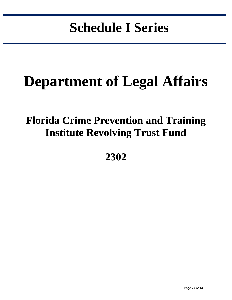# **Schedule I Series**

in the control of the control of the control of the control of the control of the control of the control of the control of the control of the control of the control of the control of the control of the control of the contr

# **Department of Legal Affairs**

## **Florida Crime Prevention and Training Institute Revolving Trust Fund**

**2302**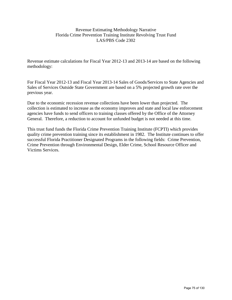#### Revenue Estimating Methodology Narrative Florida Crime Prevention Training Institute Revolving Trust Fund LAS/PBS Code 2302

Revenue estimate calculations for Fiscal Year 2012-13 and 2013-14 are based on the following methodology:

For Fiscal Year 2012-13 and Fiscal Year 2013-14 Sales of Goods/Services to State Agencies and Sales of Services Outside State Government are based on a 5% projected growth rate over the previous year.

Due to the economic recession revenue collections have been lower than projected. The collection is estimated to increase as the economy improves and state and local law enforcement agencies have funds to send officers to training classes offered by the Office of the Attorney General. Therefore, a reduction to account for unfunded budget is not needed at this time.

This trust fund funds the Florida Crime Prevention Training Institute (FCPTI) which provides quality crime prevention training since its establishment in 1982. The Institute continues to offer successful Florida Practitioner Designated Programs in the following fields: Crime Prevention, Crime Prevention through Environmental Design, Elder Crime, School Resource Officer and Victims Services.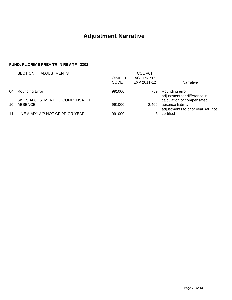### **Adjustment Narrative**

|    | FUND: FL.CRIME PREV TR IN REV TF 2302            |                       |                                     |                                                                                 |  |
|----|--------------------------------------------------|-----------------------|-------------------------------------|---------------------------------------------------------------------------------|--|
|    | SECTION III: ADJUSTMENTS                         | <b>OBJECT</b><br>CODE | COL A01<br>ACT PR YR<br>EXP 2011-12 | Narrative                                                                       |  |
| 04 | <b>Rounding Error</b>                            | 991000                | -69                                 | Rounding error                                                                  |  |
| 10 | SWFS ADJUSTMENT TO COMPENSATED<br><b>ABSENCE</b> | 991000                | 2,469                               | adjustment for difference in<br>calculation of compensated<br>absence liability |  |
|    | LINE A ADJ-A/P NOT CF PRIOR YEAR                 | 991000                | 3                                   | adjustments to prior year A/P not<br>certified                                  |  |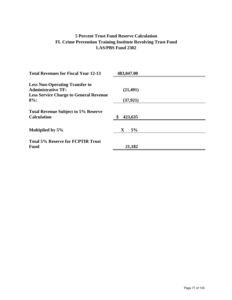#### **5 Percent Trust Fund Reserve Calculation FL Crime Prevention Training Institute Revolving Trust Fund LAS/PBS Fund 2302**

| <b>Total Revenues for Fiscal Year 12-13</b>   | 483,047.00        |  |
|-----------------------------------------------|-------------------|--|
| <b>Less Non-Operating Transfer to</b>         |                   |  |
| <b>Administrative TF:</b>                     | (21, 491)         |  |
| <b>Less Service Charge to General Revenue</b> |                   |  |
| $8%$ :                                        | (37, 921)         |  |
| <b>Total Revenue Subject to 5% Reserve</b>    |                   |  |
| <b>Calculation</b>                            | \$<br>423,635     |  |
|                                               |                   |  |
| Multiplied by 5%                              | 5%<br>$\mathbf X$ |  |
| <b>Total 5% Reserve for FCPTIR Trust</b>      |                   |  |
| <b>Fund</b>                                   | 21,182            |  |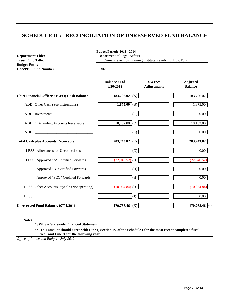#### **SCHEDULE IC: RECONCILIATION OF UNRESERVED FUND BALANCE**

| <b>Department Title:</b><br><b>Trust Fund Title:</b> | Department of Legal Affairs<br>FL Crime Prevention Training Institute Revolving Trust Fund |                             |                                   |  |
|------------------------------------------------------|--------------------------------------------------------------------------------------------|-----------------------------|-----------------------------------|--|
| <b>Budget Entity:</b><br><b>LAS/PBS Fund Number:</b> | 2302                                                                                       |                             |                                   |  |
|                                                      | <b>Balance as of</b><br>6/30/2012                                                          | SWFS*<br><b>Adjustments</b> | <b>Adjusted</b><br><b>Balance</b> |  |
| Chief Financial Officer's (CFO) Cash Balance         | 183,706.02 (A)                                                                             |                             | 183,706.02                        |  |
| ADD: Other Cash (See Instructions)                   | 1,875.00 (B)                                                                               |                             | 1,875.00                          |  |
| ADD: Investments                                     | (C)                                                                                        |                             | 0.00                              |  |
| ADD: Outstanding Accounts Receivable                 | $18,162.80$ (D)                                                                            |                             | 18,162.80                         |  |
|                                                      | (E)                                                                                        |                             | 0.00                              |  |
| <b>Total Cash plus Accounts Receivable</b>           | 203,743.82 (F)                                                                             |                             | 203,743.82                        |  |
| LESS Allowances for Uncollectibles                   | (G)                                                                                        |                             | 0.00                              |  |
| LESS Approved "A" Certified Forwards                 | $(22,940.52)$ (H)                                                                          |                             | (22,940.52)                       |  |
| Approved "B" Certified Forwards                      | (H)                                                                                        |                             | 0.00                              |  |
| Approved "FCO" Certified Forwards                    | (H)                                                                                        |                             | $0.00\,$                          |  |
| LESS: Other Accounts Payable (Nonoperating)          | $(10,034.84)$ <sup>(I)</sup>                                                               |                             | (10,034.84)                       |  |
|                                                      | (J)                                                                                        |                             | $0.00\,$                          |  |
| Unreserved Fund Balance, 07/01/2011                  | 170,768.46 (K)                                                                             |                             | 170,768.46                        |  |

**\*SWFS = Statewide Financial Statement** 

**\*\* This amount should agree with Line I, Section IV of the Schedule I for the most recent completed fiscal year and Line A for the following year.**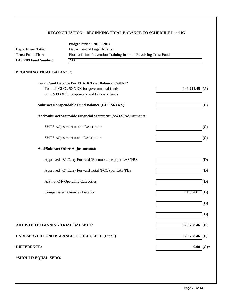#### **RECONCILIATION: BEGINNING TRIAL BALANCE TO SCHEDULE I and IC**

| Florida Crime Prevention Training Institute Revolving Trust Fund<br>$149,214.45$ <sup>(A)</sup> |
|-------------------------------------------------------------------------------------------------|
|                                                                                                 |
|                                                                                                 |
|                                                                                                 |
|                                                                                                 |
|                                                                                                 |
|                                                                                                 |
|                                                                                                 |
| (B)                                                                                             |
| Add/Subtract Statewide Financial Statement (SWFS)Adjustments :                                  |
| (C)                                                                                             |
| (C)                                                                                             |
|                                                                                                 |
| Approved "B" Carry Forward (Encumbrances) per LAS/PBS<br>(D)                                    |
| Approved "C" Carry Forward Total (FCO) per LAS/PBS<br>(D)                                       |
| (D)                                                                                             |
| $21,554.01$ (D)                                                                                 |
| (D)                                                                                             |
| (D)                                                                                             |
| $170,768.46$ (E)                                                                                |
| $170,768.46$ (F)                                                                                |
| 0.00<br>$\rm I(G)^*$                                                                            |
|                                                                                                 |
|                                                                                                 |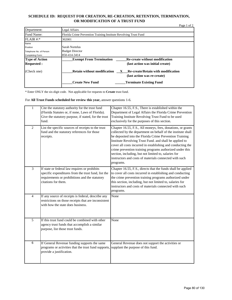#### **SCHEDULE ID: REQUEST FOR CREATION, RE-CREATION, RETENTION, TERMINATION, OR MODIFICATION OF A TRUST FUND**

|                         | Page 1 of 2                                                                                                             |
|-------------------------|-------------------------------------------------------------------------------------------------------------------------|
| Department:             | Legal Affairs                                                                                                           |
| Fund Name:              | Florida Crime Prevention Training Institute Revolving Trust Fund                                                        |
| $FLAIR$ #:*             | 302001                                                                                                                  |
| Name                    |                                                                                                                         |
| Position                | Sarah Nortelus                                                                                                          |
| Telephone No. of Person | <b>Budget Director</b>                                                                                                  |
| Completing Form:        | 850-414-3414                                                                                                            |
| <b>Type of Action</b>   | <b>Exempt From Termination</b><br><b>Re-create without modification</b>                                                 |
| <b>Requested:</b>       | (last action was initial create)                                                                                        |
| (Check one)             | <b>Retain without modification</b><br>Re-create/Retain with modification<br>$\mathbf{X}$<br>(last action was re-create) |
|                         | <b>Create New Fund</b><br><b>Terminate Existing Fund</b>                                                                |

\* Enter ONLY the six-digit code. Not applicable for requests to **Create** trust fund.

For **All Trust Funds scheduled for review this year,** answer questions 1-6.

| $\mathbf{1}$   | Cite the statutory authority for the trust fund<br>(Florida Statutes or, if none, Laws of Florida).<br>Give the statutory purpose, if stated, for the trust<br>fund.          | Chapter 16.55, F.S., There is established within the<br>Department of Legal Affairs the Florida Crime Prevention<br>Training Institute Revolving Trust Fund to be used<br>exclusively for the purposes of this section.                                                                                                                                                                                                                                                                                     |
|----------------|-------------------------------------------------------------------------------------------------------------------------------------------------------------------------------|-------------------------------------------------------------------------------------------------------------------------------------------------------------------------------------------------------------------------------------------------------------------------------------------------------------------------------------------------------------------------------------------------------------------------------------------------------------------------------------------------------------|
| $\overline{2}$ | List the specific sources of receipts to the trust<br>fund and the statutory references for those<br>receipts.                                                                | Chapter 16.55, F.S., All moneys, fees, donations, or grants<br>collected by the department on behalf of the institute shall<br>be deposited into the Florida Crime Prevention Training<br>Institute Revolving Trust Fund. and shall be applied to<br>cover all costs incurred in establishing and conducting the<br>crime prevention training programs authorized under this<br>section, including, but not limited to, salaries for<br>instructors and costs of materials connected with such<br>programs. |
| 3              | If state or federal law requires or prohibits<br>specific expenditures from the trust fund, list the<br>requirements or prohibitions and the statutory<br>citations for them. | Chapter 16.55, F.S., directs that the funds shall be applied<br>to cover all costs incurred in establishing and conducting<br>the crime prevention training programs authorized under<br>this section, including, but not limited to, salaries for<br>instructors and costs of materials connected with such<br>programs.                                                                                                                                                                                   |
| $\overline{4}$ | If any source of receipts is federal, describe any<br>restrictions on those receipts that are inconsistent<br>with how the state does business.                               | None                                                                                                                                                                                                                                                                                                                                                                                                                                                                                                        |
| 5              | If this trust fund could be combined with other<br>agency trust funds that accomplish a similar<br>purpose, list those trust funds.                                           | None                                                                                                                                                                                                                                                                                                                                                                                                                                                                                                        |
| 6              | If General Revenue funding supports the same<br>programs or activities that the trust fund supports, supplant the purpose of this fund.<br>provide a justification.           | General Revenue does not support the activities or                                                                                                                                                                                                                                                                                                                                                                                                                                                          |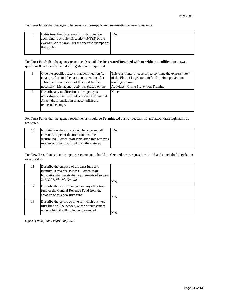For Trust Funds that the agency believes are **Exempt from Termination** answer question 7.

| If this trust fund is exempt from termination       | N/A |
|-----------------------------------------------------|-----|
| according to Article III, section $19(f)(3)$ of the |     |
| Florida Constitution, list the specific exemptions  |     |
| that apply.                                         |     |
|                                                     |     |

For Trust Funds that the agency recommends should be **Re-created/Retained with or without modification** answer questions 8 and 9 and attach draft legislation as requested.

| 8 | Give the specific reasons that continuation (re-<br>creation after initial creation or retention after<br>subsequent re-creation) of this trust fund is<br>necessary. List agency activities (based on the | This trust fund is necessary to continue the express intent<br>of the Florida Legislature to fund a crime prevention<br>training program.<br>Activities: Crime Prevention Training |
|---|------------------------------------------------------------------------------------------------------------------------------------------------------------------------------------------------------------|------------------------------------------------------------------------------------------------------------------------------------------------------------------------------------|
|   | Describe any modifications the agency is<br>requesting when this fund is re-created/retained.<br>Attach draft legislation to accomplish the<br>requested change.                                           | None                                                                                                                                                                               |

For Trust Funds that the agency recommends should be **Terminated** answer question 10 and attach draft legislation as requested.

| Explain how the current cash balance and all       | N/A |
|----------------------------------------------------|-----|
| current receipts of the trust fund will be         |     |
| distributed. Attach draft legislation that removes |     |
| reference to the trust fund from the statutes.     |     |

For **New** Trust Funds that the agency recommends should be **Created** answer questions 11-13 and attach draft legislation as requested.

| 11 | Describe the purpose of the trust fund and<br>identify its revenue sources. Attach draft<br>legislation that meets the requirements of section<br>215.3207, Florida Statutes. | N/A |
|----|-------------------------------------------------------------------------------------------------------------------------------------------------------------------------------|-----|
| 12 | Describe the specific impact on any other trust<br>fund or the General Revenue Fund from the<br>creation of this new trust fund.                                              | N/A |
| 13 | Describe the period of time for which this new<br>trust fund will be needed, or the circumstances<br>under which it will no longer be needed.                                 | N/A |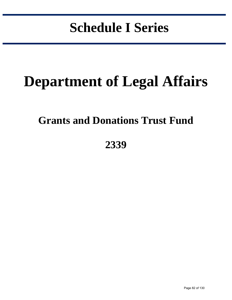# **Schedule I Series**

in the control of the control of the control of the control of the control of the control of the control of the control of the control of the control of the control of the control of the control of the control of the contr

# **Department of Legal Affairs**

### **Grants and Donations Trust Fund**

**2339**

Page 82 of 130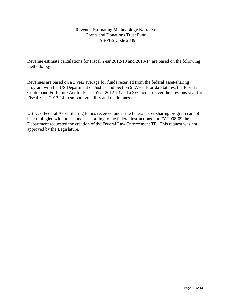#### Revenue Estimating Methodology Narrative Grants and Donations Trust Fund LAS/PBS Code 2339

Revenue estimate calculations for Fiscal Year 2012-13 and 2013-14 are based on the following methodology:

Revenues are based on a 3 year average for funds received from the federal asset-sharing program with the US Department of Justice and Section 937.701 Florida Statutes, the Florida Contraband Forfeiture Act for Fiscal Year 2012-13 and a 3% increase over the previous year for Fiscal Year 2013-14 to smooth volatility and randomness.

US DOJ Federal Asset Sharing Funds received under the federal asset-sharing program cannot be co-mingled with other funds, according to the federal instructions. In FY 2008-09 the Department requested the creation of the Federal Law Enforcement TF. This request was not approved by the Legislature.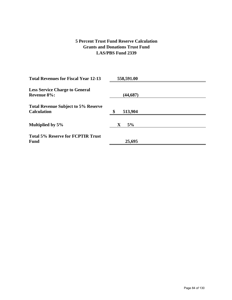#### **5 Percent Trust Fund Reserve Calculation Grants and Donations Trust Fund LAS/PBS Fund 2339**

| <b>Total Revenues for Fiscal Year 12-13</b> | 558,591.00    |  |
|---------------------------------------------|---------------|--|
| <b>Less Service Charge to General</b>       |               |  |
| <b>Revenue 8%:</b>                          |               |  |
|                                             | (44, 687)     |  |
| <b>Total Revenue Subject to 5% Reserve</b>  |               |  |
| <b>Calculation</b>                          | 513,904<br>\$ |  |
|                                             |               |  |
|                                             |               |  |
| Multiplied by 5%                            | 5%<br>X       |  |
|                                             |               |  |
| <b>Total 5% Reserve for FCPTIR Trust</b>    |               |  |
| <b>Fund</b>                                 | 25,695        |  |
|                                             |               |  |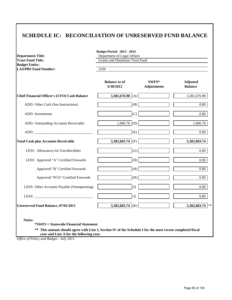#### **SCHEDULE IC: RECONCILIATION OF UNRESERVED FUND BALANCE**

| <b>Department Title:</b><br><b>Trust Fund Title:</b> | Department of Legal Affairs<br><b>Grants and Donations Trust Fund</b> |                             |                                   |
|------------------------------------------------------|-----------------------------------------------------------------------|-----------------------------|-----------------------------------|
| <b>Budget Entity:</b>                                |                                                                       |                             |                                   |
| <b>LAS/PBS Fund Number:</b>                          | 2339                                                                  |                             |                                   |
|                                                      | <b>Balance as of</b><br>6/30/2012                                     | SWFS*<br><b>Adjustments</b> | <b>Adjusted</b><br><b>Balance</b> |
| <b>Chief Financial Officer's (CFO) Cash Balance</b>  | 3,381,676.98 (A)                                                      |                             | 3,381,676.98                      |
| ADD: Other Cash (See Instructions)                   | (B)                                                                   |                             | $0.00\,$                          |
| ADD: Investments                                     | (C)                                                                   |                             | 0.00                              |
| ADD: Outstanding Accounts Receivable                 | $1,006.76$ (D)                                                        |                             | 1,006.76                          |
|                                                      | (E)                                                                   |                             | 0.00                              |
| <b>Total Cash plus Accounts Receivable</b>           | 3,382,683.74 (F)                                                      |                             | 3,382,683.74                      |
| LESS Allowances for Uncollectibles                   | (G)                                                                   |                             | 0.00                              |
| LESS Approved "A" Certified Forwards                 | (H)                                                                   |                             | 0.00                              |
| Approved "B" Certified Forwards                      | (H)                                                                   |                             | $\overline{0.00}$                 |
| Approved "FCO" Certified Forwards                    | (H)                                                                   |                             | $0.00\,$                          |
| LESS: Other Accounts Payable (Nonoperating)          | (I)                                                                   |                             | $0.00\,$                          |
| LESS: $\overline{\phantom{a}}$                       | (J)                                                                   |                             | 0.00                              |
| <b>Unreserved Fund Balance, 07/01/2011</b>           | 3,382,683.74 (K)                                                      |                             | 3,382,683.74 **                   |

**= Statewide Financial Statement** 

**\*\* This amount should agree with Line I, Section IV of the Schedule I for the most recent completed fiscal year and Line A for the following year.**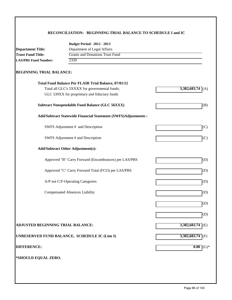#### **RECONCILIATION: BEGINNING TRIAL BALANCE TO SCHEDULE I and IC**

|                                                         | <b>Budget Period: 2012 - 2013</b>                              |                    |
|---------------------------------------------------------|----------------------------------------------------------------|--------------------|
| Department of Legal Affairs<br><b>Department Title:</b> |                                                                |                    |
| <b>Trust Fund Title:</b>                                | <b>Grants and Donations Trust Fund</b>                         |                    |
| <b>LAS/PBS Fund Number:</b>                             | 2339                                                           |                    |
| <b>BEGINNING TRIAL BALANCE:</b>                         |                                                                |                    |
|                                                         | Total Fund Balance Per FLAIR Trial Balance, 07/01/12           |                    |
|                                                         | Total all GLC's 5XXXX for governmental funds;                  | $3,382,683.74$ (A) |
|                                                         | GLC 539XX for proprietary and fiduciary funds                  |                    |
|                                                         | <b>Subtract Nonspendable Fund Balance (GLC 56XXX)</b>          | (B)                |
|                                                         | Add/Subtract Statewide Financial Statement (SWFS)Adjustments : |                    |
|                                                         | SWFS Adjustment # and Description                              | (C)                |
|                                                         | SWFS Adjustment # and Description                              | (C)                |
|                                                         | <b>Add/Subtract Other Adjustment(s):</b>                       |                    |
|                                                         | Approved "B" Carry Forward (Encumbrances) per LAS/PBS          | (D)                |
|                                                         | Approved "C" Carry Forward Total (FCO) per LAS/PBS             | (D)                |
|                                                         | A/P not C/F-Operating Categories                               | (D)                |
|                                                         | <b>Compensated Absences Liability</b>                          | (D)                |
|                                                         |                                                                | (D)                |
|                                                         |                                                                | (D)                |
| ADJUSTED BEGINNING TRIAL BALANCE:                       |                                                                | $3,382,683.74$ (E) |
|                                                         | UNRESERVED FUND BALANCE, SCHEDULE IC (Line I)                  | $3,382,683.74$ (F) |
| <b>DIFFERENCE:</b>                                      |                                                                | 0.00<br>$(G)*$     |
|                                                         |                                                                |                    |
| *SHOULD EQUAL ZERO.                                     |                                                                |                    |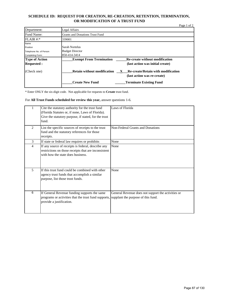#### **SCHEDULE ID: REQUEST FOR CREATION, RE-CREATION, RETENTION, TERMINATION, OR MODIFICATION OF A TRUST FUND**

| Department:             | Legal Affairs                                                                                           |
|-------------------------|---------------------------------------------------------------------------------------------------------|
| Fund Name:              | <b>Grants and Donations Trust Fund</b>                                                                  |
| FLAIR #:                | 339001                                                                                                  |
| Name                    |                                                                                                         |
| Position                | Sarah Nortelus                                                                                          |
| Telephone No. of Person | <b>Budget Director</b>                                                                                  |
| Completing Form:        | 850-414-3414                                                                                            |
| <b>Type of Action</b>   | <b>Exempt From Termination</b><br><b>Re-create without modification</b>                                 |
| <b>Requested:</b>       | (last action was initial create)                                                                        |
| (Check one)             | Re-create/Retain with modification<br><b>Retain without modification</b><br>(last action was re-create) |
|                         |                                                                                                         |

\* Enter ONLY the six-digit code. Not applicable for requests to **Create** trust fund.

For **All Trust Funds scheduled for review this year,** answer questions 1-6.

|                | Cite the statutory authority for the trust fund<br>(Florida Statutes or, if none, Laws of Florida).<br>Give the statutory purpose, if stated, for the trust<br>fund. | Laws of Florida                                                                          |
|----------------|----------------------------------------------------------------------------------------------------------------------------------------------------------------------|------------------------------------------------------------------------------------------|
| 2              | List the specific sources of receipts to the trust<br>fund and the statutory references for those<br>receipts.                                                       | Non-Federal Grants and Donations                                                         |
| 3              | If state or federal law requires or prohibits                                                                                                                        | None                                                                                     |
| $\overline{4}$ | If any source of receipts is federal, describe any<br>restrictions on those receipts that are inconsistent<br>with how the state does business.                      | None                                                                                     |
| 5              | If this trust fund could be combined with other<br>agency trust funds that accomplish a similar<br>purpose, list those trust funds.                                  | None                                                                                     |
| 6              | If General Revenue funding supports the same<br>programs or activities that the trust fund supports,<br>provide a justification.                                     | General Revenue does not support the activities or<br>supplant the purpose of this fund. |

Page 1 of 2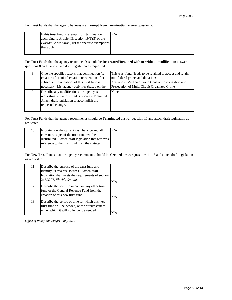For Trust Funds that the agency believes are **Exempt from Termination** answer question 7.

| If this trust fund is exempt from termination       | N/A |
|-----------------------------------------------------|-----|
| according to Article III, section $19(f)(3)$ of the |     |
| Florida Constitution, list the specific exemptions  |     |
| that apply.                                         |     |
|                                                     |     |

For Trust Funds that the agency recommends should be **Re-created/Retained with or without modification** answer questions 8 and 9 and attach draft legislation as requested.

| 8 | Give the specific reasons that continuation (re-                                                                                                                 | This trust fund Needs to be retained to accept and retain |
|---|------------------------------------------------------------------------------------------------------------------------------------------------------------------|-----------------------------------------------------------|
|   | creation after initial creation or retention after                                                                                                               | non-federal grants and donations.                         |
|   | subsequent re-creation) of this trust fund is                                                                                                                    | Activities: Medicaid Fraud Control, Investigation and     |
|   | necessary. List agency activities (based on the                                                                                                                  | Presecution of Multi Circuit Organized Crime              |
| 9 | Describe any modifications the agency is<br>requesting when this fund is re-created/retained.<br>Attach draft legislation to accomplish the<br>requested change. | None                                                      |

For Trust Funds that the agency recommends should be **Terminated** answer question 10 and attach draft legislation as requested.

| 10 | Explain how the current cash balance and all       | N/A |
|----|----------------------------------------------------|-----|
|    | current receipts of the trust fund will be         |     |
|    | distributed. Attach draft legislation that removes |     |
|    | reference to the trust fund from the statutes.     |     |

For **New** Trust Funds that the agency recommends should be **Created** answer questions 11-13 and attach draft legislation as requested.

| 11 | Describe the purpose of the trust fund and<br>identify its revenue sources. Attach draft<br>legislation that meets the requirements of section<br>215.3207, Florida Statutes. | N/A |
|----|-------------------------------------------------------------------------------------------------------------------------------------------------------------------------------|-----|
| 12 | Describe the specific impact on any other trust<br>fund or the General Revenue Fund from the<br>creation of this new trust fund.                                              | N/A |
| 13 | Describe the period of time for which this new<br>trust fund will be needed, or the circumstances<br>under which it will no longer be needed.                                 | N/A |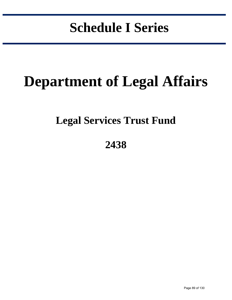# **Schedule I Series**

in the control of the control of the control of the control of the control of the control of the control of the control of the control of the control of the control of the control of the control of the control of the contr

# **Department of Legal Affairs**

### **Legal Services Trust Fund**

### **2438**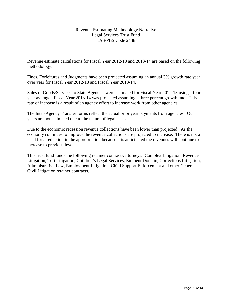#### Revenue Estimating Methodology Narrative Legal Services Trust Fund LAS/PBS Code 2438

Revenue estimate calculations for Fiscal Year 2012-13 and 2013-14 are based on the following methodology:

Fines, Forfeitures and Judgments have been projected assuming an annual 3% growth rate year over year for Fiscal Year 2012-13 and Fiscal Year 2013-14.

Sales of Goods/Services to State Agencies were estimated for Fiscal Year 2012-13 using a four year average. Fiscal Year 2013-14 was projected assuming a three percent growth rate. This rate of increase is a result of an agency effort to increase work from other agencies.

The Inter-Agency Transfer forms reflect the actual prior year payments from agencies. Out years are not estimated due to the nature of legal cases.

Due to the economic recession revenue collections have been lower than projected. As the economy continues to improve the revenue collections are projected to increase. There is not a need for a reduction in the appropriation because it is anticipated the revenues will continue to increase to previous levels.

This trust fund funds the following retainer contracts/attorneys: Complex Litigation, Revenue Litigation, Tort Litigation, Children's Legal Services, Eminent Domain, Corrections Litigation, Administrative Law, Employment Litigation, Child Support Enforcement and other General Civil Litigation retainer contracts.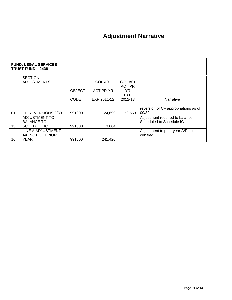### **Adjustment Narrative**

|    | <b>FUND: LEGAL SERVICES</b><br>TRUST FUND 2438 |               |             |                          |                                                             |  |  |
|----|------------------------------------------------|---------------|-------------|--------------------------|-------------------------------------------------------------|--|--|
|    | SECTION III:<br><b>ADJUSTMENTS</b>             |               | COL A01     | COL A01<br><b>ACT PR</b> |                                                             |  |  |
|    |                                                | <b>OBJECT</b> | ACT PR YR   | YR.<br>EXP               |                                                             |  |  |
|    |                                                | <b>CODE</b>   | EXP 2011-12 | 2012-13                  | Narrative                                                   |  |  |
| 01 | CF REVERSIONS 9/30                             | 991000        | 24,690      | 58,553                   | reversion of CF appropriations as of<br>09/30               |  |  |
|    | <b>ADJUSTMENT TO</b><br><b>BALANCE TO</b>      |               |             |                          | Adjustment required to balance<br>Schedule I to Schedule IC |  |  |
| 13 | <b>SCHEDULE IC</b>                             | 991000        | 3,664       |                          |                                                             |  |  |
|    | LINE A ADJUSTMENT-<br>A/P NOT CF PRIOR         |               |             |                          | Adjustment to prior year A/P not<br>certified               |  |  |
| 16 | <b>YEAR</b>                                    | 991000        | 241,420     |                          |                                                             |  |  |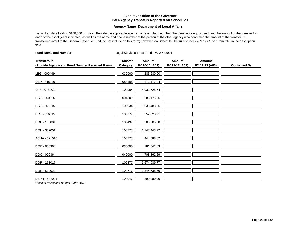#### **Executive Office of the Governor Inter-Agency Transfers Reported on Schedule I**

#### **Agency Name Department of Legal Affairs**

List all transfers totaling \$100,000 or more. Provide the applicable agency name and fund number, the transfer category used, and the amount of the transfer for each of the fiscal years indicated, as well as the name and phone number of the person at the other agency who confirmed the amount of the transfer. If transferred in/out to the General Revenue Fund, do not include on this form; however, on Schedule I be sure to include "To GR" or "From GR" in the description field.

| <b>Fund Name and Number:</b>                                                                                                                                                                                                                                                       | Legal Services Trust Fund - 60-2-438001 |                          |                          |                          |                     |
|------------------------------------------------------------------------------------------------------------------------------------------------------------------------------------------------------------------------------------------------------------------------------------|-----------------------------------------|--------------------------|--------------------------|--------------------------|---------------------|
| <b>Transfers In</b><br>(Provide Agency and Fund Number Received From)                                                                                                                                                                                                              | <b>Transfer</b><br>Category             | Amount<br>FY 10-11 (A01) | Amount<br>FY 11-12 (A02) | Amount<br>FY 12-13 (A03) | <b>Confirmed By</b> |
| LEG - 000499                                                                                                                                                                                                                                                                       | 030000                                  | 285,630.00               |                          |                          |                     |
| DEP - 348020                                                                                                                                                                                                                                                                       | 084108                                  | 271,177.44               |                          |                          |                     |
| DFS - 078001                                                                                                                                                                                                                                                                       | 100904                                  | 4,931,728.64             |                          |                          |                     |
| DCF - 000326                                                                                                                                                                                                                                                                       | 001800                                  | 288,175.56               |                          |                          |                     |
| DCF - 261015                                                                                                                                                                                                                                                                       | 103034                                  | 8,036,488.25             |                          |                          |                     |
| DCF - 516015                                                                                                                                                                                                                                                                       | 100777                                  | 252,520.21               |                          |                          |                     |
| DOH - 168001                                                                                                                                                                                                                                                                       | 100497                                  | 208,985.50               |                          |                          |                     |
| DOH - 352001                                                                                                                                                                                                                                                                       | 100777                                  | 1,147,443.72             |                          |                          |                     |
| ACHA - 021010                                                                                                                                                                                                                                                                      | 100777                                  | 444,588.82               |                          |                          |                     |
| DOC - 000364                                                                                                                                                                                                                                                                       | 030000                                  | 181,542.83               |                          |                          |                     |
| DOC - 000364                                                                                                                                                                                                                                                                       | 040000                                  | 708,862.29               |                          |                          |                     |
| DOR - 261017                                                                                                                                                                                                                                                                       | 102877                                  | 6,674,989.77             |                          |                          |                     |
| DOR - 510022                                                                                                                                                                                                                                                                       | 100777                                  | 1,344,738.56             |                          |                          |                     |
| DBPR - 547001<br>$O(t)$ = $\leq$ $\leq$ $D-l$ = $\leq$ $\leq$ $\leq$ $D$ = $l$ $\leq$ $\leq$ $\leq$ $\leq$ $\leq$ $\leq$ $\leq$ $\leq$ $\leq$ $\leq$ $\leq$ $\leq$ $\leq$ $\leq$ $\leq$ $\leq$ $\leq$ $\leq$ $\leq$ $\leq$ $\leq$ $\leq$ $\leq$ $\leq$ $\leq$ $\leq$ $\leq$ $\leq$ | 100047                                  | 899,080.00               |                          |                          |                     |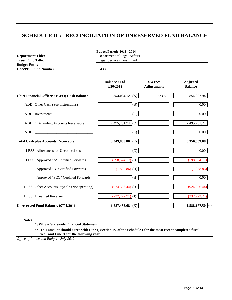#### **SCHEDULE IC: RECONCILIATION OF UNRESERVED FUND BALANCE**

| <b>Department Title:</b>                                                                                                                                                                                                       | <b>Budget Period: 2013 - 2014</b><br>Department of Legal Affairs<br><b>Legal Services Trust Fund</b><br>2438 |                             |                                   |  |  |
|--------------------------------------------------------------------------------------------------------------------------------------------------------------------------------------------------------------------------------|--------------------------------------------------------------------------------------------------------------|-----------------------------|-----------------------------------|--|--|
| <b>Trust Fund Title:</b>                                                                                                                                                                                                       |                                                                                                              |                             |                                   |  |  |
| <b>Budget Entity:</b><br><b>LAS/PBS Fund Number:</b>                                                                                                                                                                           |                                                                                                              |                             |                                   |  |  |
|                                                                                                                                                                                                                                | <b>Balance as of</b><br>6/30/2012                                                                            | SWFS*<br><b>Adjustments</b> | <b>Adjusted</b><br><b>Balance</b> |  |  |
| <b>Chief Financial Officer's (CFO) Cash Balance</b>                                                                                                                                                                            | 854,084.12 $(A)$                                                                                             | 723.82                      | 854,807.94                        |  |  |
| ADD: Other Cash (See Instructions)                                                                                                                                                                                             | (B)                                                                                                          |                             | 0.00                              |  |  |
| ADD: Investments                                                                                                                                                                                                               | (C)                                                                                                          |                             | 0.00                              |  |  |
| ADD: Outstanding Accounts Receivable                                                                                                                                                                                           | 2,495,781.74<br>(D)                                                                                          |                             | 2,495,781.74                      |  |  |
| ADD: The contract of the contract of the contract of the contract of the contract of the contract of the contract of the contract of the contract of the contract of the contract of the contract of the contract of the contr | (E)                                                                                                          |                             | 0.00                              |  |  |
| <b>Total Cash plus Accounts Receivable</b>                                                                                                                                                                                     | 3,349,865.86<br>(F)                                                                                          |                             | 3,350,589.68                      |  |  |
| LESS Allowances for Uncollectibles                                                                                                                                                                                             | (G)                                                                                                          |                             | $0.00\,$                          |  |  |
| LESS Approved "A" Certified Forwards                                                                                                                                                                                           | $(598, 524.17)$ (H)                                                                                          |                             | (598, 524.17)                     |  |  |
| Approved "B" Certified Forwards                                                                                                                                                                                                | $(1,838.86)$ (H)                                                                                             |                             | (1,838.86)                        |  |  |
| Approved "FCO" Certified Forwards                                                                                                                                                                                              | (H)                                                                                                          |                             | $0.00\,$                          |  |  |
| LESS: Other Accounts Payable (Nonoperating)                                                                                                                                                                                    | $(924, 326.44)$ <sup>(I)</sup>                                                                               |                             | (924, 326.44)                     |  |  |
| <b>LESS: Unearned Revenue</b>                                                                                                                                                                                                  | $(237,722.71)$ (J)                                                                                           |                             | (237, 722.71)                     |  |  |
| Unreserved Fund Balance, 07/01/2011                                                                                                                                                                                            | 1,587,453.68 (K)                                                                                             |                             | $\ast$ $\ast$<br>1,588,177.50     |  |  |

**Notes:**

**\*SWFS = Statewide Financial Statement** 

**\*\* This amount should agree with Line I, Section IV of the Schedule I for the most recent completed fiscal year and Line A for the following year.**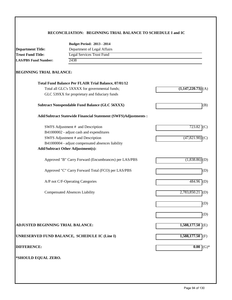#### **RECONCILIATION: BEGINNING TRIAL BALANCE TO SCHEDULE I and IC**

|                                                   | <b>Budget Period: 2013 - 2014</b>                              |                             |  |  |  |
|---------------------------------------------------|----------------------------------------------------------------|-----------------------------|--|--|--|
| <b>Department Title:</b>                          | Department of Legal Affairs                                    |                             |  |  |  |
| <b>Trust Fund Title:</b>                          | <b>Legal Services Trust Fund</b>                               |                             |  |  |  |
| 2438<br><b>LAS/PBS Fund Number:</b>               |                                                                |                             |  |  |  |
| <b>BEGINNING TRIAL BALANCE:</b>                   |                                                                |                             |  |  |  |
|                                                   | <b>Total Fund Balance Per FLAIR Trial Balance, 07/01/12</b>    |                             |  |  |  |
|                                                   | Total all GLC's 5XXXX for governmental funds;                  | $(1,147,220.73)$ (A)        |  |  |  |
|                                                   | GLC 539XX for proprietary and fiduciary funds                  |                             |  |  |  |
|                                                   | <b>Subtract Nonspendable Fund Balance (GLC 56XXX)</b>          | (B)                         |  |  |  |
|                                                   | Add/Subtract Statewide Financial Statement (SWFS)Adjustments : |                             |  |  |  |
|                                                   | SWFS Adjustment # and Description                              | 723.82<br>(C)               |  |  |  |
|                                                   | B41000002 - adjust cash and expenditures                       |                             |  |  |  |
|                                                   | SWFS Adjustment # and Description                              | (47, 821.90)                |  |  |  |
| B41000004 - adjust compensated absences liability |                                                                |                             |  |  |  |
|                                                   | <b>Add/Subtract Other Adjustment(s):</b>                       |                             |  |  |  |
|                                                   | Approved "B" Carry Forward (Encumbrances) per LAS/PBS          | $(1,838.86)$ (D)            |  |  |  |
|                                                   | Approved "C" Carry Forward Total (FCO) per LAS/PBS             | (D)                         |  |  |  |
|                                                   | A/P not C/F-Operating Categories                               | $484.96$ (D)                |  |  |  |
|                                                   | <b>Compensated Absences Liability</b>                          | 2,783,850.21<br>$\vert$ (D) |  |  |  |
|                                                   |                                                                | (D)                         |  |  |  |
|                                                   |                                                                | (D)                         |  |  |  |
| <b>ADJUSTED BEGINNING TRIAL BALANCE:</b>          |                                                                | $1,588,177.50$ (E)          |  |  |  |
|                                                   | UNRESERVED FUND BALANCE, SCHEDULE IC (Line I)                  | $1,588,177.50$ (F)          |  |  |  |
| <b>DIFFERENCE:</b>                                |                                                                | 0.00<br>$(G)*$              |  |  |  |
|                                                   |                                                                |                             |  |  |  |
| *SHOULD EQUAL ZERO.                               |                                                                |                             |  |  |  |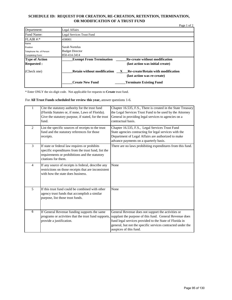#### **SCHEDULE ID: REQUEST FOR CREATION, RE-CREATION, RETENTION, TERMINATION, OR MODIFICATION OF A TRUST FUND**

| Department:             | Legal Affairs                                                                                                  |
|-------------------------|----------------------------------------------------------------------------------------------------------------|
| Fund Name:              | Legal Services Trust Fund                                                                                      |
| FLAIR #:                | 438001                                                                                                         |
| Name                    |                                                                                                                |
| Position                | Sarah Nortelus                                                                                                 |
| Telephone No. of Person | <b>Budget Director</b>                                                                                         |
| Completing Form:        | 850-414-3414                                                                                                   |
| <b>Type of Action</b>   | <b>Exempt From Termination</b><br><b>Re-create without modification</b>                                        |
| <b>Requested:</b>       | (last action was initial create)                                                                               |
| (Check one)             | <b>Retain without modification</b><br><b>Re-create/Retain with modification</b><br>(last action was re-create) |
|                         | <b>Create New Fund</b><br><b>Terminate Existing Fund</b>                                                       |

\* Enter ONLY the six-digit code. Not applicable for requests to **Create** trust fund.

For **All Trust Funds scheduled for review this year,** answer questions 1-6.

| 1              | Cite the statutory authority for the trust fund<br>(Florida Statutes or, if none, Laws of Florida).<br>Give the statutory purpose, if stated, for the trust<br>fund.          | Chapter 16.535, F.S., There is created in the State Treasury<br>the Legal Services Trust Fund to be used by the Attorney<br>General in providing legal services to agencies on a<br>contractual basis.                                                            |
|----------------|-------------------------------------------------------------------------------------------------------------------------------------------------------------------------------|-------------------------------------------------------------------------------------------------------------------------------------------------------------------------------------------------------------------------------------------------------------------|
| $\overline{2}$ | List the specific sources of receipts to the trust<br>fund and the statutory references for those<br>receipts.                                                                | Chapter 16.535, F.S., Legal Services Trust Fund<br>State agencies contracting for legal services with the<br>Department of Legal Affairs are authorized to make<br>advance payments on a quarterly basis.                                                         |
| 3              | If state or federal law requires or prohibits<br>specific expenditures from the trust fund, list the<br>requirements or prohibitions and the statutory<br>citations for them. | There are no laws prohibiting expenditures from this fund.                                                                                                                                                                                                        |
| $\overline{4}$ | If any source of receipts is federal, describe any<br>restrictions on those receipts that are inconsistent<br>with how the state does business.                               | None                                                                                                                                                                                                                                                              |
| 5              | If this trust fund could be combined with other<br>agency trust funds that accomplish a similar<br>purpose, list those trust funds.                                           | None                                                                                                                                                                                                                                                              |
| 6              | If General Revenue funding supports the same<br>programs or activities that the trust fund supports,<br>provide a justification.                                              | General Revenue does not support the activities or<br>supplant the purpose of this fund. General Revenue does<br>fund legal services provided to the State of Florida in<br>general, but not the specific services contracted under the<br>auspices of this fund. |

Page 1 of 2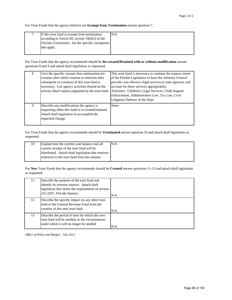For Trust Funds that the agency believes are **Exempt from Termination** answer question 7.

| If this trust fund is exempt from termination              | N/A |
|------------------------------------------------------------|-----|
| according to Article III, section $19(f)(3)$ of the        |     |
| <i>Florida Constitution</i> , list the specific exemptions |     |
| that apply.                                                |     |
|                                                            |     |

For Trust Funds that the agency recommends should be **Re-created/Retained with or without modification** answer questions 8 and 9 and attach draft legislation as requested.

| 8 | Give the specific reasons that continuation (re-<br>creation after initial creation or retention after<br>subsequent re-creation) of this trust fund is<br>necessary. List agency activities (based on the<br>activity detail report) supported by the trust fund. | This trust fund is necessary to continue the express intent<br>of the Florida Legislature to have the Attorney General<br>provide cost-effective legal services to state agencies and<br>account for these services appropriately.<br>Activities: Children's Legal Services, Child Support<br>Enforcement, Administrative Law, Tax Law, Civil<br>Litigation Defense of the State |
|---|--------------------------------------------------------------------------------------------------------------------------------------------------------------------------------------------------------------------------------------------------------------------|----------------------------------------------------------------------------------------------------------------------------------------------------------------------------------------------------------------------------------------------------------------------------------------------------------------------------------------------------------------------------------|
| 9 | Describe any modifications the agency is<br>requesting when this fund is re-created/retained.<br>Attach draft legislation to accomplish the<br>requested change.                                                                                                   | None                                                                                                                                                                                                                                                                                                                                                                             |

For Trust Funds that the agency recommends should be **Terminated** answer question 10 and attach draft legislation as requested.

| Explain how the current cash balance and all       | N/A |
|----------------------------------------------------|-----|
| current receipts of the trust fund will be         |     |
| distributed. Attach draft legislation that removes |     |
| reference to the trust fund from the statutes.     |     |

For **New** Trust Funds that the agency recommends should be **Created** answer questions 11-13 and attach draft legislation as requested.

| 11. | Describe the purpose of the trust fund and<br>identify its revenue sources. Attach draft<br>legislation that meets the requirements of section<br>215.3207, Florida Statutes. | N/A |
|-----|-------------------------------------------------------------------------------------------------------------------------------------------------------------------------------|-----|
| 12  | Describe the specific impact on any other trust<br>fund or the General Revenue Fund from the<br>creation of this new trust fund.                                              | N/A |
| 13  | Describe the period of time for which this new<br>trust fund will be needed, or the circumstances<br>under which it will no longer be needed.                                 | N/A |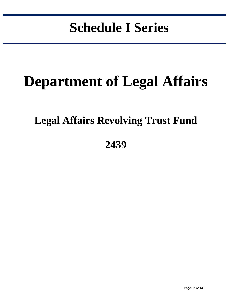# **Schedule I Series**

in the control of the control of the control of the control of the control of the control of the control of the control of the control of the control of the control of the control of the control of the control of the contr

# **Department of Legal Affairs**

### **Legal Affairs Revolving Trust Fund**

**2439**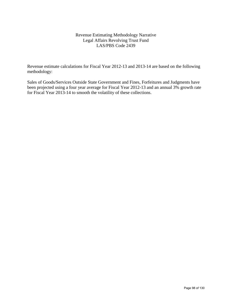#### Revenue Estimating Methodology Narrative Legal Affairs Revolving Trust Fund LAS/PBS Code 2439

Revenue estimate calculations for Fiscal Year 2012-13 and 2013-14 are based on the following methodology:

Sales of Goods/Services Outside State Government and Fines, Forfeitures and Judgments have been projected using a four year average for Fiscal Year 2012-13 and an annual 3% growth rate for Fiscal Year 2013-14 to smooth the volatility of these collections.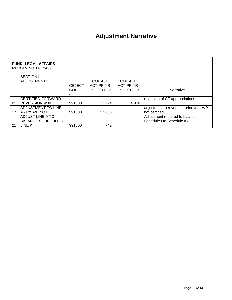### **Adjustment Narrative**

| <b>FUND: LEGAL AFFAIRS</b><br><b>REVOLVING TF 2439</b> |                                    |                              |                                     |                                     |                                        |  |  |
|--------------------------------------------------------|------------------------------------|------------------------------|-------------------------------------|-------------------------------------|----------------------------------------|--|--|
|                                                        | SECTION III:<br><b>ADJUSTMENTS</b> | <b>OBJECT</b><br><b>CODE</b> | COL A01<br>ACT PR YR<br>EXP 2011-12 | COL A01<br>ACT PR YR<br>EXP 2012-13 | <b>Narrative</b>                       |  |  |
|                                                        | <b>CERTIFIED FORWARD</b>           |                              |                                     |                                     | reversion of CF appropriations         |  |  |
| 01                                                     | REVERSION 9/30                     | 991000                       | 3.224                               | 4,076                               |                                        |  |  |
|                                                        | ADJUSTMENT TO LINE                 |                              |                                     |                                     | adjustment to reverse a prior year A/P |  |  |
| 17                                                     | A - PY A/P NOT CF                  | 991000                       | 17,858                              |                                     | not certified                          |  |  |
|                                                        | ADJUST LINE A TO                   |                              |                                     |                                     | Adjustment required to balance         |  |  |
|                                                        | <b>BALANCE SCHEDULE IC</b>         |                              |                                     |                                     | Schedule I to Schedule IC              |  |  |
| 21                                                     | LINE K                             | 991000                       | -42                                 |                                     |                                        |  |  |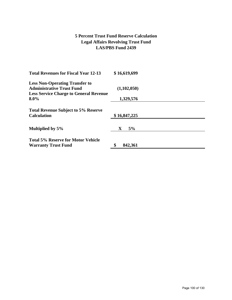#### **5 Percent Trust Fund Reserve Calculation Legal Affairs Revolving Trust Fund LAS/PBS Fund 2439**

| <b>Total Revenues for Fiscal Year 12-13</b>   | \$16,619,699  |
|-----------------------------------------------|---------------|
| <b>Less Non-Operating Transfer to</b>         |               |
| <b>Administrative Trust Fund</b>              | (1,102,050)   |
| <b>Less Service Charge to General Revenue</b> |               |
| $8.0\%$                                       | 1,329,576     |
| <b>Total Revenue Subject to 5% Reserve</b>    |               |
| <b>Calculation</b>                            | \$16,847,225  |
| Multiplied by 5%                              | 5%<br>X       |
| <b>Total 5% Reserve for Motor Vehicle</b>     |               |
| <b>Warranty Trust Fund</b>                    | \$<br>842,361 |
|                                               |               |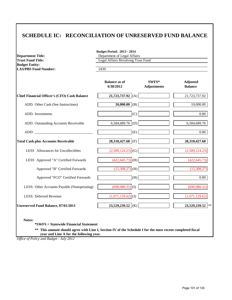#### **SCHEDULE IC: RECONCILIATION OF UNRESERVED FUND BALANCE**

| <b>Department Title:</b><br><b>Trust Fund Title:</b> | <b>Budget Period: 2013 - 2014</b><br>Department of Legal Affairs<br>Legal Affairs Revolving Trust Fund<br>2439 |                               |                                   |  |  |
|------------------------------------------------------|----------------------------------------------------------------------------------------------------------------|-------------------------------|-----------------------------------|--|--|
| <b>Budget Entity:</b><br><b>LAS/PBS Fund Number:</b> |                                                                                                                |                               |                                   |  |  |
|                                                      | <b>Balance as of</b><br>6/30/2012                                                                              | $SWFS*$<br><b>Adjustments</b> | <b>Adjusted</b><br><b>Balance</b> |  |  |
| <b>Chief Financial Officer's (CFO) Cash Balance</b>  | 21,723,737.92 (A)                                                                                              |                               | 21,723,737.92                     |  |  |
| ADD: Other Cash (See Instructions)                   | $10,000.00$ (B)                                                                                                |                               | 10,000.00                         |  |  |
| <b>ADD</b> : Investments                             | (C)                                                                                                            |                               | $0.00\,$                          |  |  |
| ADD: Outstanding Accounts Receivable                 | 6,584,689.76 (D)                                                                                               |                               | 6,584,689.76                      |  |  |
|                                                      | (E)                                                                                                            |                               | 0.00                              |  |  |
| <b>Total Cash plus Accounts Receivable</b>           | 28,318,427.68 (F)                                                                                              |                               | 28,318,427.68                     |  |  |
| LESS Allowances for Uncollectibles                   | $(2,589,124.23)$ (G)                                                                                           |                               | (2,589,124.23)                    |  |  |
| LESS Approved "A" Certified Forwards                 | $(422, 645.73)$ (H)                                                                                            |                               | (422, 645.73)                     |  |  |
| Approved "B" Certified Forwards                      | $(15,308.27)$ (H)                                                                                              |                               | (15,308.27)                       |  |  |
| Approved "FCO" Certified Forwards                    | (H)                                                                                                            |                               | $0.00\,$                          |  |  |
| LESS: Other Accounts Payable (Nonoperating)          | $(690,980.31)$ <sup>(I)</sup>                                                                                  |                               | (690, 980.31)                     |  |  |
| <b>LESS: Deferred Revenue</b>                        | $(1,071,129.62)$ <sub>(J)</sub>                                                                                |                               | (1,071,129.62)                    |  |  |
| Unreserved Fund Balance, 07/01/2011                  | 23,529,239.52 (K)                                                                                              |                               | 23,529,239.52                     |  |  |

**Notes:**

**\*SWFS = Statewide Financial Statement** 

**\*\* This amount should agree with Line I, Section IV of the Schedule I for the most recent completed fiscal year and Line A for the following year.**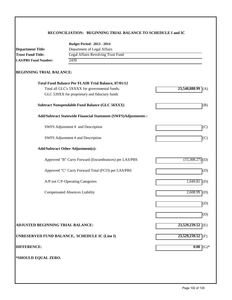#### **RECONCILIATION: BEGINNING TRIAL BALANCE TO SCHEDULE I and IC**

| 23,540,888.99<br>(A)<br>(B) |
|-----------------------------|
|                             |
|                             |
|                             |
|                             |
|                             |
|                             |
|                             |
|                             |
|                             |
| (C)                         |
| (C)                         |
|                             |
| (15,308.27)<br>(D)          |
| (D)                         |
| 1,049.81<br>(D)             |
| $2,608.99$ (D)              |
| (D)                         |
| (D)                         |
| 23,529,239.52<br>(E)        |
| $23,529,239.52$ (F)         |
| 0.00<br>$(G)*$              |
|                             |
|                             |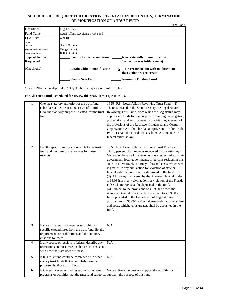#### **SCHEDULE ID: REQUEST FOR CREATION, RE-CREATION, RETENTION, TERMINATION, OR MODIFICATION OF A TRUST FUND**

|                         | Page 1 of 2                                                                                                    |  |
|-------------------------|----------------------------------------------------------------------------------------------------------------|--|
| Department:             | Legal Affairs                                                                                                  |  |
| Fund Name:              | Legal Affairs Revolving Trust Fund                                                                             |  |
| FLAIR #:                | 439001                                                                                                         |  |
| Name                    |                                                                                                                |  |
| Position                | Sarah Nortelus                                                                                                 |  |
| Telephone No. of Person | <b>Budget Director</b>                                                                                         |  |
| Completing Form:        | 850-414-3414                                                                                                   |  |
| <b>Type of Action</b>   | <b>Exempt From Termination</b><br><b>Re-create without modification</b>                                        |  |
| <b>Requested:</b>       | (last action was initial create)                                                                               |  |
| (Check one)             | <b>Retain without modification</b><br><b>Re-create/Retain with modification</b><br>(last action was re-create) |  |
|                         | <b>Create New Fund</b><br><b>Terminate Existing Fund</b>                                                       |  |

\* Enter ONLY the six-digit code. Not applicable for requests to **Create** trust fund.

For **All Trust Funds scheduled for review this year,** answer questions 1-6.

| $\mathbf{1}$            | Cite the statutory authority for the trust fund<br>(Florida Statutes or, if none, Laws of Florida).<br>Give the statutory purpose, if stated, for the trust<br>fund.          | 16.53, F.S. Legal Affairs Revolving Trust Fund - (1)<br>There is created in the State Treasury the Legal Affairs<br>Revolving Trust Fund, from which the Legislature may<br>appropriate funds for the purpose of funding investigation,<br>prosecution, and enforcement by the Attorney General of<br>the provisions of the Racketeer Influenced and Corrupt<br>Organization Act, the Florida Deceptive and Unfair Trade<br>Practices Act, the Florida False Claims Act, or state or<br>federal antitrust laws.                                                                                                                                                                                                                                                                                                                                                                                                                        |
|-------------------------|-------------------------------------------------------------------------------------------------------------------------------------------------------------------------------|----------------------------------------------------------------------------------------------------------------------------------------------------------------------------------------------------------------------------------------------------------------------------------------------------------------------------------------------------------------------------------------------------------------------------------------------------------------------------------------------------------------------------------------------------------------------------------------------------------------------------------------------------------------------------------------------------------------------------------------------------------------------------------------------------------------------------------------------------------------------------------------------------------------------------------------|
| 2                       | List the specific sources of receipts to the trust<br>fund and the statutory references for those<br>receipts.                                                                | 16.53, F.S. Legal Affairs Revolving Trust Fund -(2)<br>Thirty percent of all moneys recovered by the Attorney<br>General on behalf of the state, its agencies, or units of state<br>government, local governments, or persons resident in this<br>state or, alternatively, attorneys' fees and costs, whichever<br>is greater, in any civil action for violation of state or<br>federal antitrust laws shall be deposited in the fund.<br>(3) All moneys recovered by the Attorney General under<br>s. 68.086(1) in any civil action for violation of the Florida<br>False Claims Act shall be deposited in the fund.<br>(4) Subject to the provisions of s. 895.09, when the<br>Attorney General files an action pursuant to s. 895.05,<br>funds provided to the Department of Legal Affairs<br>pursuant to s. 895.09(2)(a) or, alternatively, attorneys' fees<br>and costs, whichever is greater, shall be deposited in the<br>fund. |
| $\overline{\mathbf{3}}$ | If state or federal law requires or prohibits<br>specific expenditures from the trust fund, list the<br>requirements or prohibitions and the statutory<br>citations for them. | N/A                                                                                                                                                                                                                                                                                                                                                                                                                                                                                                                                                                                                                                                                                                                                                                                                                                                                                                                                    |
| 4                       | If any source of receipts is federal, describe any<br>restrictions on those receipts that are inconsistent<br>with how the state does business.                               | $\overline{N}/A$                                                                                                                                                                                                                                                                                                                                                                                                                                                                                                                                                                                                                                                                                                                                                                                                                                                                                                                       |
| 5                       | If this trust fund could be combined with other<br>agency trust funds that accomplish a similar<br>purpose, list those trust funds.                                           | N/A                                                                                                                                                                                                                                                                                                                                                                                                                                                                                                                                                                                                                                                                                                                                                                                                                                                                                                                                    |
| $\overline{6}$          | If General Revenue funding supports the same<br>programs or activities that the trust fund supports, supplant the purpose of this fund.                                       | General Revenue does not support the activities or                                                                                                                                                                                                                                                                                                                                                                                                                                                                                                                                                                                                                                                                                                                                                                                                                                                                                     |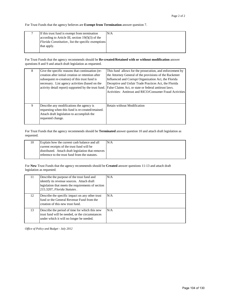For Trust Funds that the agency believes are **Exempt from Termination** answer question 7.

| If this trust fund is exempt from termination              | N/A |
|------------------------------------------------------------|-----|
| according to Article III, section $19(f)(3)$ of the        |     |
| <i>Florida Constitution</i> , list the specific exemptions |     |
| that apply.                                                |     |
|                                                            |     |

For Trust Funds that the agency recommends should be **Re-created/Retained with or without modification** answer questions 8 and 9 and attach draft legislation as requested.

| 8 | Give the specific reasons that continuation (re-<br>creation after initial creation or retention after<br>subsequent re-creation) of this trust fund is<br>necessary. List agency activities (based on the<br>activity detail report) supported by the trust fund. | This fund allows for the prosecution, and enforcement by<br>the Attorney General of the provisions of the Racketeer<br>Influenced and Corrupt Organization Act, the Florida<br>Deceptive and Unfair Trade Practices Act, the Florida<br>False Claims Act, or state or federal antitrust laws.<br>Activities: Antitrust and RICO/Consumer Fraud Activities |
|---|--------------------------------------------------------------------------------------------------------------------------------------------------------------------------------------------------------------------------------------------------------------------|-----------------------------------------------------------------------------------------------------------------------------------------------------------------------------------------------------------------------------------------------------------------------------------------------------------------------------------------------------------|
| 9 | Describe any modifications the agency is<br>requesting when this fund is re-created/retained.<br>Attach draft legislation to accomplish the<br>requested change.                                                                                                   | Retain without Modification                                                                                                                                                                                                                                                                                                                               |

For Trust Funds that the agency recommends should be **Terminated** answer question 10 and attach draft legislation as requested.

| 10 | Explain how the current cash balance and all       | N/A |
|----|----------------------------------------------------|-----|
|    | current receipts of the trust fund will be         |     |
|    | distributed. Attach draft legislation that removes |     |
|    | reference to the trust fund from the statutes.     |     |

For **New** Trust Funds that the agency recommends should be **Created** answer questions 11-13 and attach draft legislation as requested.

| 11 | Describe the purpose of the trust fund and<br>identify its revenue sources. Attach draft<br>legislation that meets the requirements of section<br>215.3207, Florida Statutes. | N/A |
|----|-------------------------------------------------------------------------------------------------------------------------------------------------------------------------------|-----|
| 12 | Describe the specific impact on any other trust<br>fund or the General Revenue Fund from the<br>creation of this new trust fund.                                              | N/A |
| 13 | Describe the period of time for which this new<br>trust fund will be needed, or the circumstances<br>under which it will no longer be needed.                                 | N/A |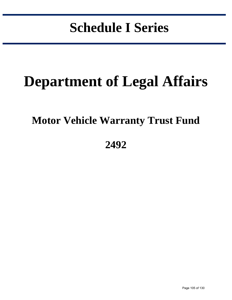# **Schedule I Series**

in the control of the control of the control of the control of the control of the control of the control of the control of the control of the control of the control of the control of the control of the control of the contr

# **Department of Legal Affairs**

### **Motor Vehicle Warranty Trust Fund**

### **2492**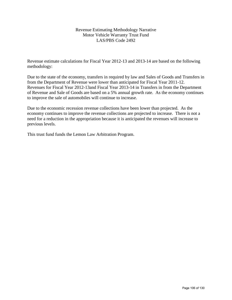#### Revenue Estimating Methodology Narrative Motor Vehicle Warranty Trust Fund LAS/PBS Code 2492

Revenue estimate calculations for Fiscal Year 2012-13 and 2013-14 are based on the following methodology:

Due to the state of the economy, transfers in required by law and Sales of Goods and Transfers in from the Department of Revenue were lower than anticipated for Fiscal Year 2011-12. Revenues for Fiscal Year 2012-13and Fiscal Year 2013-14 in Transfers in from the Department of Revenue and Sale of Goods are based on a 5% annual growth rate. As the economy continues to improve the sale of automobiles will continue to increase.

Due to the economic recession revenue collections have been lower than projected. As the economy continues to improve the revenue collections are projected to increase. There is not a need for a reduction in the appropriation because it is anticipated the revenues will increase to previous levels.

This trust fund funds the Lemon Law Arbitration Program.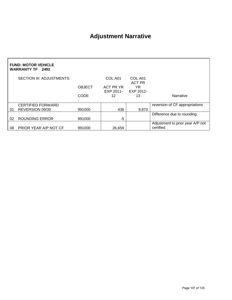### **Adjustment Narrative**

| <b>FUND: MOTOR VEHICLE</b><br><b>WARRANTY TF</b> 2492 |                                 |               |           |                     |                                               |
|-------------------------------------------------------|---------------------------------|---------------|-----------|---------------------|-----------------------------------------------|
|                                                       | <b>SECTION III: ADJUSTMENTS</b> |               | COL A01   | COL A01             |                                               |
|                                                       |                                 | <b>OBJECT</b> | ACT PR YR | <b>ACT PR</b><br>YR |                                               |
|                                                       |                                 |               | EXP 2011- | EXP 2012-           |                                               |
|                                                       |                                 | <b>CODE</b>   | 12        | 13                  | Narrative                                     |
|                                                       |                                 |               |           |                     |                                               |
|                                                       | <b>CERTIFIED FORWARD</b>        |               |           |                     | reversion of CF appropriations                |
| 01                                                    | REVERSION 09/30                 | 991000        | 436       | 9,870               |                                               |
|                                                       |                                 |               |           |                     | Difference due to rounding                    |
| 02                                                    | <b>ROUNDING ERROR</b>           | 991000        | -5        |                     |                                               |
| 08                                                    | PRIOR YEAR A/P NOT CF           | 991000        | 26,659    |                     | Adjustment to prior year A/P not<br>certified |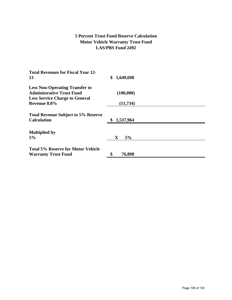#### **5 Percent Trust Fund Reserve Calculation Motor Vehicle Warranty Trust Fund LAS/PBS Fund 2492**

| <b>Total Revenues for Fiscal Year 12-</b>                                                                          |                   |
|--------------------------------------------------------------------------------------------------------------------|-------------------|
| 13                                                                                                                 | 1,649,698<br>\$   |
| <b>Less Non-Operating Transfer to</b><br><b>Administrative Trust Fund</b><br><b>Less Service Charge to General</b> | (100,000)         |
| Revenue 8.0%                                                                                                       | (11, 734)         |
| <b>Total Revenue Subject to 5% Reserve</b>                                                                         |                   |
| <b>Calculation</b>                                                                                                 | 1,537,964         |
| <b>Multiplied by</b>                                                                                               |                   |
| 5%                                                                                                                 | 5%<br>$\mathbf X$ |
| <b>Total 5% Reserve for Motor Vehicle</b>                                                                          |                   |
| <b>Warranty Trust Fund</b>                                                                                         | 76,898            |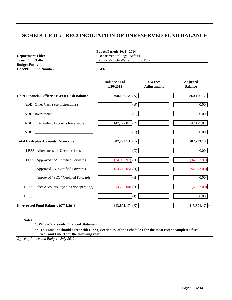#### **SCHEDULE IC: RECONCILIATION OF UNRESERVED FUND BALANCE**

| <b>Department Title:</b><br><b>Trust Fund Title:</b> | Department of Legal Affairs<br>Motor Vehicle Warranty Trust Fund |                             |                                   |
|------------------------------------------------------|------------------------------------------------------------------|-----------------------------|-----------------------------------|
| <b>Budget Entity:</b>                                |                                                                  |                             |                                   |
| <b>LAS/PBS Fund Number:</b>                          | 2492                                                             |                             |                                   |
|                                                      | <b>Balance as of</b><br>6/30/2012                                | SWFS*<br><b>Adjustments</b> | <b>Adjusted</b><br><b>Balance</b> |
| <b>Chief Financial Officer's (CFO) Cash Balance</b>  | 360,166.12 $(A)$                                                 |                             | 360,166.12                        |
| ADD: Other Cash (See Instructions)                   | (B)                                                              |                             | $0.00\,$                          |
| ADD: Investments                                     | (C)                                                              |                             | $0.00\,$                          |
| ADD: Outstanding Accounts Receivable                 | (D)<br>147,127.01                                                |                             | 147, 127.01                       |
|                                                      | (E)                                                              |                             | $0.00\,$                          |
| <b>Total Cash plus Accounts Receivable</b>           | 507,293.13 (F)                                                   |                             | 507,293.13                        |
| LESS Allowances for Uncollectibles                   | (G)                                                              |                             | 0.00                              |
| LESS Approved "A" Certified Forwards                 | $(34,962.91)$ (H)                                                |                             | (34,962.91)                       |
| Approved "B" Certified Forwards                      | $(54,247.05)$ (H)                                                |                             | (54,247.05)                       |
| Approved "FCO" Certified Forwards                    | (H)                                                              |                             | $0.00\,$                          |
| LESS: Other Accounts Payable (Nonoperating)          | $(4,282.00)$ (I)                                                 |                             | (4,282.00)                        |
|                                                      | (J)                                                              |                             | $0.00\,$                          |
| <b>Unreserved Fund Balance, 07/01/2011</b>           | 413,801.17 (K)                                                   |                             | 413,801.17 **                     |

**\*SWFS = Statewide Financial Statement** 

**\*\* This amount should agree with Line I, Section IV of the Schedule I for the most recent completed fiscal year and Line A for the following year.**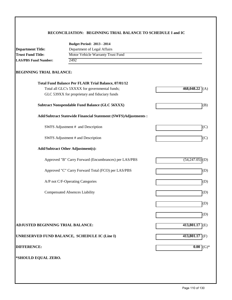#### **RECONCILIATION: BEGINNING TRIAL BALANCE TO SCHEDULE I and IC**

| <b>Department Title:</b><br><b>Trust Fund Title:</b><br><b>LAS/PBS Fund Number:</b> | Department of Legal Affairs                                    |                     |  |
|-------------------------------------------------------------------------------------|----------------------------------------------------------------|---------------------|--|
|                                                                                     |                                                                |                     |  |
|                                                                                     | Motor Vehicle Warranty Trust Fund<br>2492                      |                     |  |
|                                                                                     |                                                                |                     |  |
| <b>BEGINNING TRIAL BALANCE:</b>                                                     |                                                                |                     |  |
|                                                                                     | <b>Total Fund Balance Per FLAIR Trial Balance, 07/01/12</b>    |                     |  |
|                                                                                     | Total all GLC's 5XXXX for governmental funds;                  | 468,048.22<br>(A)   |  |
|                                                                                     | GLC 539XX for proprietary and fiduciary funds                  |                     |  |
|                                                                                     | <b>Subtract Nonspendable Fund Balance (GLC 56XXX)</b>          | (B)                 |  |
|                                                                                     | Add/Subtract Statewide Financial Statement (SWFS)Adjustments : |                     |  |
|                                                                                     | SWFS Adjustment # and Description                              | (C)                 |  |
|                                                                                     | SWFS Adjustment # and Description                              | (C)                 |  |
|                                                                                     | <b>Add/Subtract Other Adjustment(s):</b>                       |                     |  |
|                                                                                     | Approved "B" Carry Forward (Encumbrances) per LAS/PBS          | (54, 247.05)<br>(D) |  |
|                                                                                     | Approved "C" Carry Forward Total (FCO) per LAS/PBS             | (D)                 |  |
|                                                                                     | A/P not C/F-Operating Categories                               | (D)                 |  |
|                                                                                     | <b>Compensated Absences Liability</b>                          | (D)                 |  |
|                                                                                     |                                                                | (D)                 |  |
|                                                                                     |                                                                | (D)                 |  |
| ADJUSTED BEGINNING TRIAL BALANCE:                                                   |                                                                | $413,801.17$ (E)    |  |
|                                                                                     | UNRESERVED FUND BALANCE, SCHEDULE IC (Line I)                  | 413,801.17 (F)      |  |
| <b>DIFFERENCE:</b>                                                                  |                                                                | $0.00$ (G)*         |  |
| *SHOULD EQUAL ZERO.                                                                 |                                                                |                     |  |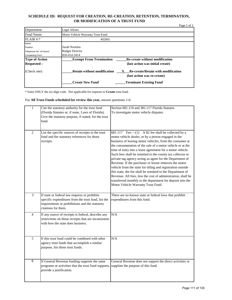#### **SCHEDULE ID: REQUEST FOR CREATION, RE-CREATION, RETENTION, TERMINATION, OR MODIFICATION OF A TRUST FUND**

|                         |                                    | Page 1 of 2                                                              |
|-------------------------|------------------------------------|--------------------------------------------------------------------------|
| Department:             | Legal Affairs                      |                                                                          |
| Fund Name:              | Motor Vehicle Warranty Trust Fund  |                                                                          |
| $FLAIR$ #:*             | 492001                             |                                                                          |
| Name                    |                                    |                                                                          |
| Position                | Sarah Nortelus                     |                                                                          |
| Telephone No. of Person | <b>Budget Director</b>             |                                                                          |
| Completing Form:        | 850-414-3414                       |                                                                          |
| <b>Type of Action</b>   | <b>Exempt From Termination</b>     | <b>Re-create without modification</b>                                    |
| <b>Requested:</b>       |                                    | (last action was initial create)                                         |
| (Check one)             | <b>Retain without modification</b> | <b>Re-create/Retain with modification</b><br>(last action was re-create) |
|                         | <b>Create New Fund</b>             | <b>Terminate Existing Fund</b>                                           |

\* Enter ONLY the six-digit code. Not applicable for requests to **Create** trust fund.

For **All Trust Funds scheduled for review this year,** answer questions 1-6.

| $\mathbf{1}$   | Cite the statutory authority for the trust fund                                                                                                                               | Section 681.110 and 381.117 Florida Statutes.                                                                                                                                                                                                                                                                                                                                                                                                                                                                                                                                                                                                                                                                                                                                          |
|----------------|-------------------------------------------------------------------------------------------------------------------------------------------------------------------------------|----------------------------------------------------------------------------------------------------------------------------------------------------------------------------------------------------------------------------------------------------------------------------------------------------------------------------------------------------------------------------------------------------------------------------------------------------------------------------------------------------------------------------------------------------------------------------------------------------------------------------------------------------------------------------------------------------------------------------------------------------------------------------------------|
|                | (Florida Statutes or, if none, Laws of Florida).<br>Give the statutory purpose, if stated, for the trust                                                                      | To investigate motor vehicle disputes.                                                                                                                                                                                                                                                                                                                                                                                                                                                                                                                                                                                                                                                                                                                                                 |
|                | fund.                                                                                                                                                                         |                                                                                                                                                                                                                                                                                                                                                                                                                                                                                                                                                                                                                                                                                                                                                                                        |
|                |                                                                                                                                                                               |                                                                                                                                                                                                                                                                                                                                                                                                                                                                                                                                                                                                                                                                                                                                                                                        |
| $\overline{2}$ | List the specific sources of receipts to the trust<br>fund and the statutory references for those<br>receipts.                                                                | 681.117 Fee. $-(1)$ A \$2 fee shall be collected by a<br>motor vehicle dealer, or by a person engaged in the<br>business of leasing motor vehicles, from the consumer at<br>the consummation of the sale of a motor vehicle or at the<br>time of entry into a lease agreement for a motor vehicle.<br>Such fees shall be remitted to the county tax collector or<br>private tag agency acting as agent for the Department of<br>Revenue. If the purchaser or lessee removes the motor<br>vehicle from the state for titling and registration outside<br>this state, the fee shall be remitted to the Department of<br>Revenue. All fees, less the cost of administration, shall be<br>transferred monthly to the department for deposit into the<br>Motor Vehicle Warranty Trust Fund. |
|                |                                                                                                                                                                               |                                                                                                                                                                                                                                                                                                                                                                                                                                                                                                                                                                                                                                                                                                                                                                                        |
| $\overline{3}$ | If state or federal law requires or prohibits<br>specific expenditures from the trust fund, list the<br>requirements or prohibitions and the statutory<br>citations for them. | There are no known state or federal laws that prohibit<br>expenditures from this fund.                                                                                                                                                                                                                                                                                                                                                                                                                                                                                                                                                                                                                                                                                                 |
| $\overline{4}$ | If any source of receipts is federal, describe any                                                                                                                            | N/A                                                                                                                                                                                                                                                                                                                                                                                                                                                                                                                                                                                                                                                                                                                                                                                    |
|                | restrictions on those receipts that are inconsistent<br>with how the state does business.                                                                                     |                                                                                                                                                                                                                                                                                                                                                                                                                                                                                                                                                                                                                                                                                                                                                                                        |
|                |                                                                                                                                                                               |                                                                                                                                                                                                                                                                                                                                                                                                                                                                                                                                                                                                                                                                                                                                                                                        |
| 5              | If this trust fund could be combined with other                                                                                                                               | N/A                                                                                                                                                                                                                                                                                                                                                                                                                                                                                                                                                                                                                                                                                                                                                                                    |
|                | agency trust funds that accomplish a similar<br>purpose, list those trust funds.                                                                                              |                                                                                                                                                                                                                                                                                                                                                                                                                                                                                                                                                                                                                                                                                                                                                                                        |
|                |                                                                                                                                                                               |                                                                                                                                                                                                                                                                                                                                                                                                                                                                                                                                                                                                                                                                                                                                                                                        |
| $\overline{6}$ | If General Revenue funding supports the same                                                                                                                                  | General Revenue does not support the direct activities or                                                                                                                                                                                                                                                                                                                                                                                                                                                                                                                                                                                                                                                                                                                              |
|                | programs or activities that the trust fund supports, supplant the purpose of this fund.                                                                                       |                                                                                                                                                                                                                                                                                                                                                                                                                                                                                                                                                                                                                                                                                                                                                                                        |
|                | provide a justification.                                                                                                                                                      |                                                                                                                                                                                                                                                                                                                                                                                                                                                                                                                                                                                                                                                                                                                                                                                        |
|                |                                                                                                                                                                               |                                                                                                                                                                                                                                                                                                                                                                                                                                                                                                                                                                                                                                                                                                                                                                                        |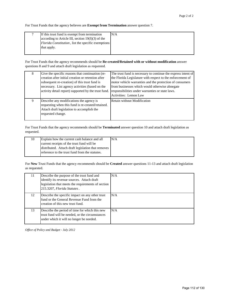For Trust Funds that the agency believes are **Exempt from Termination** answer question 7.

| If this trust fund is exempt from termination              | N/A |
|------------------------------------------------------------|-----|
| according to Article III, section $19(f)(3)$ of the        |     |
| <i>Florida Constitution</i> , list the specific exemptions |     |
| that apply.                                                |     |
|                                                            |     |

For Trust Funds that the agency recommends should be **Re-created/Retained with or without modification** answer questions 8 and 9 and attach draft legislation as requested.

| 8 | Give the specific reasons that continuation (re-<br>creation after initial creation or retention after<br>subsequent re-creation) of this trust fund is<br>necessary. List agency activities (based on the<br>activity detail report) supported by the trust fund. | The trust fund is necessary to continue the express intent of<br>the Florida Legislature with respect to the enforcement of<br>motor vehicle warranties and the protection of consumers<br>from businesses which would otherwise abnegate<br>responsibilities under warranties or state laws.<br>Activities: Lemon Law |
|---|--------------------------------------------------------------------------------------------------------------------------------------------------------------------------------------------------------------------------------------------------------------------|------------------------------------------------------------------------------------------------------------------------------------------------------------------------------------------------------------------------------------------------------------------------------------------------------------------------|
| 9 | Describe any modifications the agency is<br>requesting when this fund is re-created/retained.<br>Attach draft legislation to accomplish the<br>requested change.                                                                                                   | Retain without Modification                                                                                                                                                                                                                                                                                            |

For Trust Funds that the agency recommends should be **Terminated** answer question 10 and attach draft legislation as requested.

| 10 | Explain how the current cash balance and all       | N/A |
|----|----------------------------------------------------|-----|
|    | current receipts of the trust fund will be         |     |
|    | distributed. Attach draft legislation that removes |     |
|    | reference to the trust fund from the statutes.     |     |
|    |                                                    |     |

For **New** Trust Funds that the agency recommends should be **Created** answer questions 11-13 and attach draft legislation as requested.

| 11. | Describe the purpose of the trust fund and<br>identify its revenue sources. Attach draft<br>legislation that meets the requirements of section<br>215.3207, Florida Statutes. | N/A |
|-----|-------------------------------------------------------------------------------------------------------------------------------------------------------------------------------|-----|
| 12  | Describe the specific impact on any other trust<br>fund or the General Revenue Fund from the<br>creation of this new trust fund.                                              | N/A |
| 13  | Describe the period of time for which this new<br>trust fund will be needed, or the circumstances<br>under which it will no longer be needed.                                 | N/A |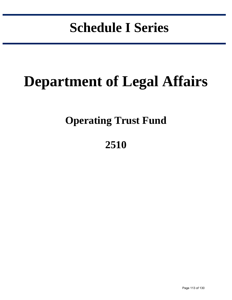# **Schedule I Series**

in the control of the control of the control of the control of the control of the control of the control of the control of the control of the control of the control of the control of the control of the control of the contr

# **Department of Legal Affairs**

## **Operating Trust Fund**

## **2510**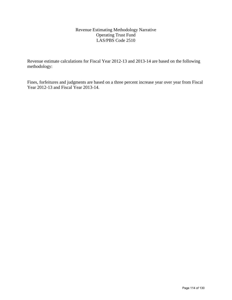#### Revenue Estimating Methodology Narrative Operating Trust Fund LAS/PBS Code 2510

Revenue estimate calculations for Fiscal Year 2012-13 and 2013-14 are based on the following methodology:

Fines, forfeitures and judgments are based on a three percent increase year over year from Fiscal Year 2012-13 and Fiscal Year 2013-14.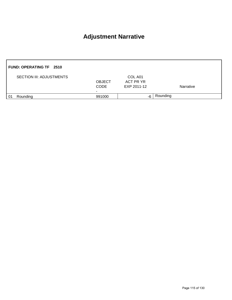### **Adjustment Narrative**

|     | <b>FUND: OPERATING TF 2510</b>  |                                                          |                                     |           |
|-----|---------------------------------|----------------------------------------------------------|-------------------------------------|-----------|
|     | <b>SECTION III: ADJUSTMENTS</b> | <b>OBJECT</b><br><b>CODE</b><br>$\overline{\phantom{0}}$ | COL A01<br>ACT PR YR<br>EXP 2011-12 | Narrative |
| -01 | Rounding                        | 991000                                                   | -6                                  | Rounding  |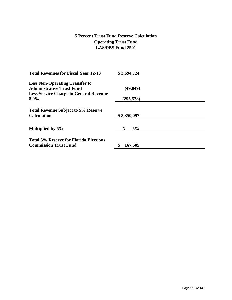#### **5 Percent Trust Fund Reserve Calculation Operating Trust Fund LAS/PBS Fund 2501**

| <b>Total Revenues for Fiscal Year 12-13</b>   | \$3,694,724       |  |
|-----------------------------------------------|-------------------|--|
| <b>Less Non-Operating Transfer to</b>         |                   |  |
| <b>Administrative Trust Fund</b>              | (49, 049)         |  |
| <b>Less Service Charge to General Revenue</b> |                   |  |
| $8.0\%$                                       | (295, 578)        |  |
| <b>Total Revenue Subject to 5% Reserve</b>    |                   |  |
| <b>Calculation</b>                            | \$3,350,097       |  |
| Multiplied by 5%                              | 5%<br>$\mathbf X$ |  |
| <b>Total 5% Reserve for Florida Elections</b> |                   |  |
| <b>Commission Trust Fund</b>                  | 167,505           |  |
|                                               |                   |  |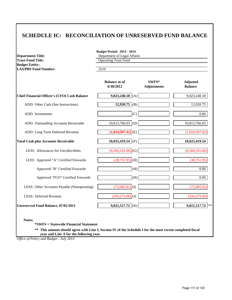#### **SCHEDULE IC: RECONCILIATION OF UNRESERVED FUND BALANCE**

| <b>Department Title:</b>                          | <b>Budget Period: 2013 - 2014</b><br>Department of Legal Affairs |                             |                                   |  |
|---------------------------------------------------|------------------------------------------------------------------|-----------------------------|-----------------------------------|--|
| <b>Trust Fund Title:</b><br><b>Budget Entity:</b> | <b>Operating Trust Fund</b>                                      |                             |                                   |  |
| <b>LAS/PBS Fund Number:</b>                       | 2510                                                             |                             |                                   |  |
|                                                   | <b>Balance as of</b><br>6/30/2012                                | SWFS*<br><b>Adjustments</b> | <b>Adjusted</b><br><b>Balance</b> |  |
| Chief Financial Officer's (CFO) Cash Balance      | $9,023,240.18$ (A)                                               |                             | 9,023,240.18                      |  |
| ADD: Other Cash (See Instructions)                | $12,920.75$ (B)                                                  |                             | 12,920.75                         |  |
| ADD: Investments                                  | (C)                                                              |                             | 0.00                              |  |
| ADD: Outstanding Accounts Receivable              | $10,813,766.03$ (D)                                              |                             | 10,813,766.03                     |  |
| ADD: Long Term Deferred Revenue                   | $(1,824,507.42)$ <sub>(E)</sub>                                  |                             | (1,824,507.42)                    |  |
| <b>Total Cash plus Accounts Receivable</b>        | 18,025,419.54 (F)                                                |                             | 18,025,419.54                     |  |
| LESS Allowances for Uncollectibles                | $(8,566,191.06)$ (G)                                             |                             | (8,566,191.06)                    |  |
| LESS Approved "A" Certified Forwards              | $(38,751.95)$ (H)                                                |                             | (38, 751.95)                      |  |
| Approved "B" Certified Forwards                   | (H)                                                              |                             | 0.00                              |  |
| Approved "FCO" Certified Forwards                 | (H)                                                              |                             | 0.00                              |  |
| LESS: Other Accounts Payable (Nonoperating)       | $(72,685.81)$ (I)                                                |                             | (72, 685.81)                      |  |
| <b>LESS: Deferred Revenue</b>                     | $(326, 273.00)$ <sub>(J)</sub>                                   |                             | (326, 273.00)                     |  |
| Unreserved Fund Balance, 07/01/2011               | $9,021,517.72$ (K)                                               |                             | 9,021,517.72<br>$\ast$ $\ast$     |  |

**Notes:**

**\*SWFS = Statewide Financial Statement** 

**\*\* This amount should agree with Line I, Section IV of the Schedule I for the most recent completed fiscal year and Line A for the following year.**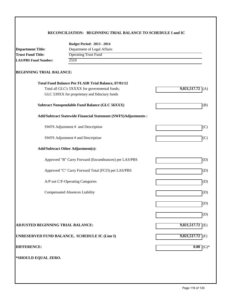#### **RECONCILIATION: BEGINNING TRIAL BALANCE TO SCHEDULE I and IC**

|                                   | <b>Budget Period: 2013 - 2014</b>                              |                     |
|-----------------------------------|----------------------------------------------------------------|---------------------|
| <b>Department Title:</b>          | Department of Legal Affairs                                    |                     |
| <b>Trust Fund Title:</b>          | <b>Operating Trust Fund</b>                                    |                     |
| <b>LAS/PBS Fund Number:</b>       | 2510                                                           |                     |
| <b>BEGINNING TRIAL BALANCE:</b>   |                                                                |                     |
|                                   | Total Fund Balance Per FLAIR Trial Balance, 07/01/12           |                     |
|                                   | Total all GLC's 5XXXX for governmental funds;                  | 9,021,517.72<br>(A) |
|                                   | GLC 539XX for proprietary and fiduciary funds                  |                     |
|                                   | <b>Subtract Nonspendable Fund Balance (GLC 56XXX)</b>          | (B)                 |
|                                   | Add/Subtract Statewide Financial Statement (SWFS)Adjustments : |                     |
|                                   | SWFS Adjustment # and Description                              | (C)                 |
|                                   | SWFS Adjustment # and Description                              | (C)                 |
|                                   | <b>Add/Subtract Other Adjustment(s):</b>                       |                     |
|                                   | Approved "B" Carry Forward (Encumbrances) per LAS/PBS          | (D)                 |
|                                   | Approved "C" Carry Forward Total (FCO) per LAS/PBS             | (D)                 |
|                                   | A/P not C/F-Operating Categories                               | (D)                 |
|                                   | <b>Compensated Absences Liability</b>                          | (D)                 |
|                                   |                                                                | (D)                 |
|                                   |                                                                | (D)                 |
| ADJUSTED BEGINNING TRIAL BALANCE: |                                                                | $9,021,517.72$ (E)  |
|                                   | UNRESERVED FUND BALANCE, SCHEDULE IC (Line I)                  | $9,021,517.72$ (F)  |
| <b>DIFFERENCE:</b>                |                                                                | 0.00<br>$(G)*$      |
| *SHOULD EQUAL ZERO.               |                                                                |                     |
|                                   |                                                                |                     |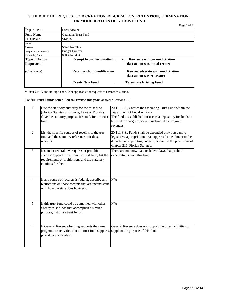#### **SCHEDULE ID: REQUEST FOR CREATION, RE-CREATION, RETENTION, TERMINATION, OR MODIFICATION OF A TRUST FUND**

| Department:             | Legal Affairs                      |                                                                          |
|-------------------------|------------------------------------|--------------------------------------------------------------------------|
| Fund Name:              | <b>Operating Trust Fund</b>        |                                                                          |
| FLAIR #:                | 510010                             |                                                                          |
| Name                    |                                    |                                                                          |
| Position                | Sarah Nortelus                     |                                                                          |
| Telephone No. of Person | <b>Budget Director</b>             |                                                                          |
| Completing Form:        | 850-414-3414                       |                                                                          |
|                         |                                    |                                                                          |
| <b>Type of Action</b>   | <b>Exempt From Termination</b>     | <b>Re-create without modification</b>                                    |
| <b>Requested:</b>       |                                    | (last action was initial create)                                         |
| (Check one)             | <b>Retain without modification</b> | <b>Re-create/Retain with modification</b><br>(last action was re-create) |

\* Enter ONLY the six-digit code. Not applicable for requests to **Create** trust fund.

For **All Trust Funds scheduled for review this year,** answer questions 1-6.

| 1              | Cite the statutory authority for the trust fund<br>(Florida Statutes or, if none, Laws of Florida).<br>Give the statutory purpose, if stated, for the trust<br>fund.          | 20.111 F.S., Creates the Operating Trust Fund within the<br>Department of Legal Affairs-<br>The fund is established for use as a depository for funds to<br>be used for program operations funded by program<br>revenues. |
|----------------|-------------------------------------------------------------------------------------------------------------------------------------------------------------------------------|---------------------------------------------------------------------------------------------------------------------------------------------------------------------------------------------------------------------------|
| $\overline{2}$ | List the specific sources of receipts to the trust<br>fund and the statutory references for those<br>receipts.                                                                | 20.111 F.S., Funds shall be expended only pursuant to<br>legislative appropriation or an approved amendment to the<br>department's operating budget pursuant to the provisions of<br>chapter 216, Florida Statutes.       |
| 3              | If state or federal law requires or prohibits<br>specific expenditures from the trust fund, list the<br>requirements or prohibitions and the statutory<br>citations for them. | There are no know state or federal laws that prohibit<br>expenditures from this fund.                                                                                                                                     |
| 4              | If any source of receipts is federal, describe any<br>restrictions on those receipts that are inconsistent<br>with how the state does business.                               | N/A                                                                                                                                                                                                                       |
| 5              | If this trust fund could be combined with other<br>agency trust funds that accomplish a similar<br>purpose, list those trust funds.                                           | N/A                                                                                                                                                                                                                       |
| 6              | If General Revenue funding supports the same<br>programs or activities that the trust fund supports,<br>provide a justification.                                              | General Revenue does not support the direct activities or<br>supplant the purpose of this fund.                                                                                                                           |

Page 1 of 2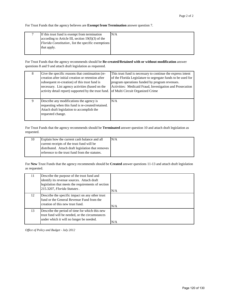For Trust Funds that the agency believes are **Exempt from Termination** answer question 7.

| If this trust fund is exempt from termination       | N/A |
|-----------------------------------------------------|-----|
| according to Article III, section $19(f)(3)$ of the |     |
| Florida Constitution, list the specific exemptions  |     |
| that apply.                                         |     |
|                                                     |     |

For Trust Funds that the agency recommends should be **Re-created/Retained with or without modification** answer questions 8 and 9 and attach draft legislation as requested.

| 8 | Give the specific reasons that continuation (re-<br>creation after initial creation or retention after<br>subsequent re-creation) of this trust fund is | This trust fund is necessary to continue the express intent<br>of the Florida Legislature to segregate funds to be used for<br>program operations funded by program revenues. |
|---|---------------------------------------------------------------------------------------------------------------------------------------------------------|-------------------------------------------------------------------------------------------------------------------------------------------------------------------------------|
|   | necessary. List agency activities (based on the                                                                                                         | Activities: Medicaid Fraud, Investigation and Prosecution                                                                                                                     |
|   | activity detail report) supported by the trust fund.                                                                                                    | of Multi Circuit Organized Crime                                                                                                                                              |
|   |                                                                                                                                                         |                                                                                                                                                                               |
| 9 | Describe any modifications the agency is                                                                                                                | N/A                                                                                                                                                                           |
|   | requesting when this fund is re-created/retained.                                                                                                       |                                                                                                                                                                               |
|   | Attach draft legislation to accomplish the                                                                                                              |                                                                                                                                                                               |
|   | requested change.                                                                                                                                       |                                                                                                                                                                               |

For Trust Funds that the agency recommends should be **Terminated** answer question 10 and attach draft legislation as requested.

| 10 | Explain how the current cash balance and all       | N/A |
|----|----------------------------------------------------|-----|
|    | current receipts of the trust fund will be         |     |
|    | distributed. Attach draft legislation that removes |     |
|    | reference to the trust fund from the statutes.     |     |

For **New** Trust Funds that the agency recommends should be **Created** answer questions 11-13 and attach draft legislation as requested.

| 11 | Describe the purpose of the trust fund and<br>identify its revenue sources. Attach draft<br>legislation that meets the requirements of section<br>215.3207, Florida Statutes. | N/A |
|----|-------------------------------------------------------------------------------------------------------------------------------------------------------------------------------|-----|
| 12 | Describe the specific impact on any other trust<br>fund or the General Revenue Fund from the<br>creation of this new trust fund.                                              | N/A |
| 13 | Describe the period of time for which this new<br>trust fund will be needed, or the circumstances<br>under which it will no longer be needed.                                 | N/A |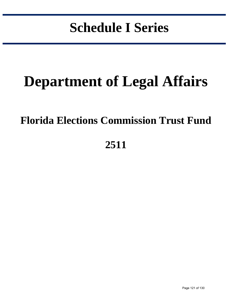# **Schedule I Series**

in the control of the control of the control of the control of the control of the control of the control of the control of the control of the control of the control of the control of the control of the control of the contr

# **Department of Legal Affairs**

## **Florida Elections Commission Trust Fund**

## **2511**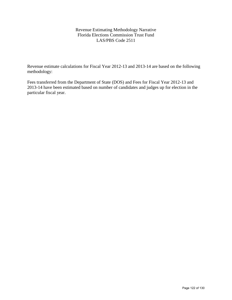Revenue Estimating Methodology Narrative Florida Elections Commission Trust Fund LAS/PBS Code 2511

Revenue estimate calculations for Fiscal Year 2012-13 and 2013-14 are based on the following methodology:

Fees transferred from the Department of State (DOS) and Fees for Fiscal Year 2012-13 and 2013-14 have been estimated based on number of candidates and judges up for election in the particular fiscal year.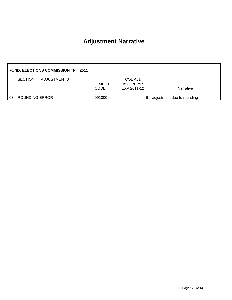### **Adjustment Narrative**

|    | <b>FUND: ELECTIONS COMMISSION TF 2511</b> |                              |                                     |                            |
|----|-------------------------------------------|------------------------------|-------------------------------------|----------------------------|
|    | <b>SECTION III: ADJUSTMENTS</b>           | <b>OBJECT</b><br><b>CODE</b> | COL A01<br>ACT PR YR<br>EXP 2011-12 | <b>Narrative</b>           |
| 03 | <b>ROUNDING ERROR</b>                     | 991000                       | -6                                  | adjustment due to rounding |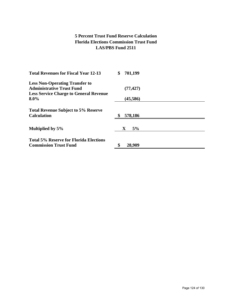#### **5 Percent Trust Fund Reserve Calculation Florida Elections Commission Trust Fund LAS/PBS Fund 2511**

| <b>Total Revenues for Fiscal Year 12-13</b>                                   | 701,199<br>\$ |  |
|-------------------------------------------------------------------------------|---------------|--|
| <b>Less Non-Operating Transfer to</b>                                         |               |  |
| <b>Administrative Trust Fund</b>                                              | (77, 427)     |  |
| <b>Less Service Charge to General Revenue</b>                                 |               |  |
| $8.0\%$                                                                       | (45, 586)     |  |
| <b>Total Revenue Subject to 5% Reserve</b>                                    |               |  |
| <b>Calculation</b>                                                            | 578,186       |  |
| Multiplied by 5%                                                              | 5%<br>X       |  |
| <b>Total 5% Reserve for Florida Elections</b><br><b>Commission Trust Fund</b> | 28,909        |  |
|                                                                               |               |  |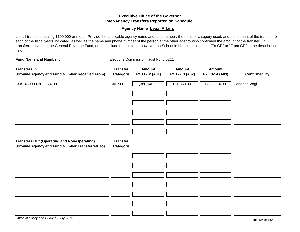#### **Executive Office of the Governor Inter-Agency Transfers Reported on Schedule I**

#### **Agency Name Legal Affairs**

List all transfers totaling \$100,000 or more. Provide the applicable agency name and fund number, the transfer category used, and the amount of the transfer for each of the fiscal years indicated, as well as the name and phone number of the person at the other agency who confirmed the amount of the transfer. If transferred in/out to the General Revenue Fund, do not include on this form; however, on Schedule I be sure to include "To GR" or "From GR" in the description field.

| <b>Fund Name and Number:</b>                                                                          |                             | Elections Commission Trust Fund 5211 |                                 |                                 |                     |
|-------------------------------------------------------------------------------------------------------|-----------------------------|--------------------------------------|---------------------------------|---------------------------------|---------------------|
| <b>Transfers In</b><br>(Provide Agency and Fund Number Received From)                                 | <b>Transfer</b><br>Category | <b>Amount</b><br>FY 11-12 (A01)      | <b>Amount</b><br>FY 12-13 (A02) | <b>Amount</b><br>FY 13-14 (A03) | <b>Confirmed By</b> |
| DOS 450000-20-2-537001                                                                                | 001500                      | 1,386,140.00                         | 131,368.00                      | 1,889,894.00                    | Johanna Vogl        |
|                                                                                                       |                             |                                      |                                 |                                 |                     |
|                                                                                                       |                             |                                      |                                 |                                 |                     |
|                                                                                                       |                             |                                      |                                 |                                 |                     |
| <b>Transfers Out (Operating and Non-Operating)</b><br>(Provide Agency and Fund Number Transferred To) | <b>Transfer</b><br>Category |                                      |                                 |                                 |                     |
|                                                                                                       |                             |                                      |                                 |                                 |                     |
|                                                                                                       |                             |                                      |                                 |                                 |                     |
|                                                                                                       |                             |                                      |                                 |                                 |                     |
|                                                                                                       |                             |                                      |                                 |                                 |                     |
|                                                                                                       |                             |                                      |                                 |                                 |                     |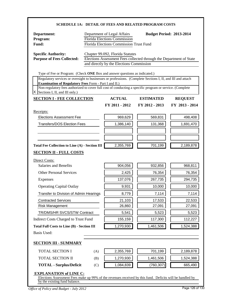| <b>SCHEDULE 1A: DETAIL OF FEES AND RELATED PROGRAM COSTS</b>                                                                                                                                                                                  |                                                                                                                                                  |                                                                              |                                                                     |                                                                                                                   |
|-----------------------------------------------------------------------------------------------------------------------------------------------------------------------------------------------------------------------------------------------|--------------------------------------------------------------------------------------------------------------------------------------------------|------------------------------------------------------------------------------|---------------------------------------------------------------------|-------------------------------------------------------------------------------------------------------------------|
| Department:<br>Program:<br>Fund:                                                                                                                                                                                                              | <b>Budget Period: 2013-2014</b><br>Department of Legal Affairs<br><b>Florida Elections Commission</b><br>Florida Elections Commission Trust Fund |                                                                              |                                                                     |                                                                                                                   |
| <b>Specific Authority:</b><br><b>Purpose of Fees Collected:</b>                                                                                                                                                                               |                                                                                                                                                  | Chapter 99.092, Florida Statutes<br>and directly by the Elections Commission | Elections Assessment Fees collected through the Department of State |                                                                                                                   |
| Type of Fee or Program: (Check ONE Box and answer questions as indicated.)                                                                                                                                                                    |                                                                                                                                                  |                                                                              |                                                                     |                                                                                                                   |
| Regulatory services or oversight to businesses or professions. (Complete Sections I, II, and III and attach                                                                                                                                   |                                                                                                                                                  |                                                                              |                                                                     |                                                                                                                   |
| Examination of Regulatory Fees Form - Part I and II.)<br>Non-regulatory fees authorized to cover full cost of conducting a specific program or service. (Complete<br>Sections I, II, and III only.)<br>х                                      |                                                                                                                                                  |                                                                              |                                                                     |                                                                                                                   |
| <b>SECTION I - FEE COLLECTION</b>                                                                                                                                                                                                             |                                                                                                                                                  | <b>ACTUAL</b>                                                                | <b>ESTIMATED</b>                                                    | <b>REQUEST</b>                                                                                                    |
|                                                                                                                                                                                                                                               |                                                                                                                                                  | FY 2011 - 2012                                                               | FY 2012 - 2013                                                      | FY 2013 - 2014                                                                                                    |
| Receipts:                                                                                                                                                                                                                                     |                                                                                                                                                  |                                                                              |                                                                     |                                                                                                                   |
| <b>Elections Assessment Fee</b>                                                                                                                                                                                                               |                                                                                                                                                  | 969,629                                                                      | 569,831                                                             | 498,408                                                                                                           |
| <b>Transfers/DOS Election Fees</b>                                                                                                                                                                                                            |                                                                                                                                                  | 1,386,140                                                                    | 131,368                                                             | 1,691,470                                                                                                         |
|                                                                                                                                                                                                                                               |                                                                                                                                                  |                                                                              |                                                                     |                                                                                                                   |
|                                                                                                                                                                                                                                               |                                                                                                                                                  |                                                                              |                                                                     |                                                                                                                   |
|                                                                                                                                                                                                                                               |                                                                                                                                                  |                                                                              |                                                                     |                                                                                                                   |
|                                                                                                                                                                                                                                               |                                                                                                                                                  | 2,355,769                                                                    | 701,199                                                             |                                                                                                                   |
|                                                                                                                                                                                                                                               |                                                                                                                                                  |                                                                              |                                                                     |                                                                                                                   |
|                                                                                                                                                                                                                                               |                                                                                                                                                  |                                                                              |                                                                     |                                                                                                                   |
| <b>Salaries and Benefits</b>                                                                                                                                                                                                                  |                                                                                                                                                  | 904,056                                                                      | 932,856                                                             |                                                                                                                   |
| <b>Other Personal Services</b>                                                                                                                                                                                                                |                                                                                                                                                  | 2,425                                                                        | 76,354                                                              |                                                                                                                   |
| <b>Expenses</b>                                                                                                                                                                                                                               |                                                                                                                                                  | 137,076                                                                      | 267,735                                                             |                                                                                                                   |
| <b>Operating Capital Outlay</b>                                                                                                                                                                                                               |                                                                                                                                                  | 9,931                                                                        | 10,000                                                              |                                                                                                                   |
| Transfer to Division of Admin Hearings                                                                                                                                                                                                        |                                                                                                                                                  | 8,779                                                                        | 7,114                                                               |                                                                                                                   |
| <b>Contracted Services</b>                                                                                                                                                                                                                    |                                                                                                                                                  | 21,103                                                                       | 17,533                                                              |                                                                                                                   |
| <b>Risk Management</b>                                                                                                                                                                                                                        |                                                                                                                                                  | 26,860                                                                       | 27,091                                                              |                                                                                                                   |
| TR/DMS/HR SVCS/STW Contract                                                                                                                                                                                                                   |                                                                                                                                                  | 5,541                                                                        | 5,523                                                               |                                                                                                                   |
|                                                                                                                                                                                                                                               |                                                                                                                                                  | 155,159                                                                      | 117,300                                                             |                                                                                                                   |
|                                                                                                                                                                                                                                               |                                                                                                                                                  | 1,270,930                                                                    | 1,461,506                                                           |                                                                                                                   |
|                                                                                                                                                                                                                                               |                                                                                                                                                  |                                                                              |                                                                     |                                                                                                                   |
| Total Fee Collection to Line (A) - Section III<br><b>SECTION II - FULL COSTS</b><br>Direct Costs:<br>Indirect Costs Charged to Trust Fund<br><b>Total Full Costs to Line (B) - Section III</b><br>Basis Used:<br><b>SECTION III - SUMMARY</b> |                                                                                                                                                  |                                                                              |                                                                     | 2,189,878<br>968,811<br>76,354<br>294,735<br>10,000<br>7,114<br>22,533<br>27,091<br>5,523<br>112,227<br>1,524,388 |
| <b>TOTAL SECTION I</b>                                                                                                                                                                                                                        | (A)                                                                                                                                              | 2,355,769                                                                    | 701,199                                                             |                                                                                                                   |
| <b>TOTAL SECTION II</b>                                                                                                                                                                                                                       | (B)                                                                                                                                              | 1,270,930                                                                    | 1,461,506                                                           | 2,189,878<br>1,524,388                                                                                            |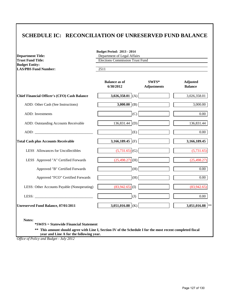### **SCHEDULE IC: RECONCILIATION OF UNRESERVED FUND BALANCE**

| <b>Department Title:</b>                             | <b>Budget Period: 2013 - 2014</b><br>Department of Legal Affairs<br><b>Elections Commission Trust Fund</b> |                             |                                   |  |  |
|------------------------------------------------------|------------------------------------------------------------------------------------------------------------|-----------------------------|-----------------------------------|--|--|
| <b>Trust Fund Title:</b>                             |                                                                                                            |                             |                                   |  |  |
| <b>Budget Entity:</b><br><b>LAS/PBS Fund Number:</b> | 2511                                                                                                       |                             |                                   |  |  |
|                                                      | <b>Balance as of</b><br>6/30/2012                                                                          | SWFS*<br><b>Adjustments</b> | <b>Adjusted</b><br><b>Balance</b> |  |  |
| <b>Chief Financial Officer's (CFO) Cash Balance</b>  | 3,026,358.01 (A)                                                                                           |                             | 3,026,358.01                      |  |  |
| ADD: Other Cash (See Instructions)                   | $3,000.00$ (B)                                                                                             |                             | $\overline{3,000.00}$             |  |  |
| ADD: Investments                                     | (C)                                                                                                        |                             | 0.00                              |  |  |
| ADD: Outstanding Accounts Receivable                 | $136,831.44$ (D)                                                                                           |                             | 136,831.44                        |  |  |
|                                                      | (E)                                                                                                        |                             | 0.00                              |  |  |
| <b>Total Cash plus Accounts Receivable</b>           | 3,166,189.45 (F)                                                                                           |                             | 3,166,189.45                      |  |  |
| LESS Allowances for Uncollectibles                   | $(5,731.65)$ (G)                                                                                           |                             | (5,731.65)                        |  |  |
| LESS Approved "A" Certified Forwards                 | $(25,498.27)$ (H)                                                                                          |                             | (25, 498.27)                      |  |  |
| Approved "B" Certified Forwards                      | (H)                                                                                                        |                             | 0.00                              |  |  |
| Approved "FCO" Certified Forwards                    | (H)                                                                                                        |                             | 0.00                              |  |  |
| LESS: Other Accounts Payable (Nonoperating)          | $(83,942.65)$ (I)                                                                                          |                             | (83,942.65)                       |  |  |
| LESS:                                                | (J)                                                                                                        |                             | $0.00\,$                          |  |  |
| <b>Unreserved Fund Balance, 07/01/2011</b>           | 3,051,016.88 (K)                                                                                           |                             | 3,051,016.88 $ **$                |  |  |

**\*SWFS = Statewide Financial Statement** 

**\*\* This amount should agree with Line I, Section IV of the Schedule I for the most recent completed fiscal year and Line A for the following year.**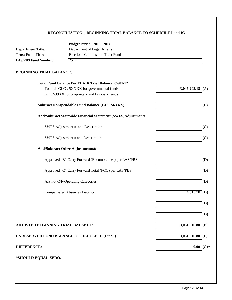#### **RECONCILIATION: BEGINNING TRIAL BALANCE TO SCHEDULE I and IC**

|                                     | <b>Budget Period: 2013 - 2014</b>                              |                          |
|-------------------------------------|----------------------------------------------------------------|--------------------------|
| <b>Department Title:</b>            | Department of Legal Affairs                                    |                          |
| <b>Trust Fund Title:</b>            | <b>Elections Commission Trust Fund</b>                         |                          |
| 2511<br><b>LAS/PBS Fund Number:</b> |                                                                |                          |
| <b>BEGINNING TRIAL BALANCE:</b>     |                                                                |                          |
|                                     | <b>Total Fund Balance Per FLAIR Trial Balance, 07/01/12</b>    |                          |
|                                     | Total all GLC's 5XXXX for governmental funds;                  | $3,046,203.18$ (A)       |
|                                     | GLC 539XX for proprietary and fiduciary funds                  |                          |
|                                     | <b>Subtract Nonspendable Fund Balance (GLC 56XXX)</b>          | (B)                      |
|                                     | Add/Subtract Statewide Financial Statement (SWFS)Adjustments : |                          |
|                                     | SWFS Adjustment # and Description                              | (C)                      |
|                                     | SWFS Adjustment # and Description                              | (C)                      |
|                                     | <b>Add/Subtract Other Adjustment(s):</b>                       |                          |
|                                     | Approved "B" Carry Forward (Encumbrances) per LAS/PBS          | (D)                      |
|                                     | Approved "C" Carry Forward Total (FCO) per LAS/PBS             | (D)                      |
|                                     | A/P not C/F-Operating Categories                               | (D)                      |
|                                     | <b>Compensated Absences Liability</b>                          | $4,813.70$ (D)           |
|                                     |                                                                | (D)                      |
|                                     |                                                                | (D)                      |
| ADJUSTED BEGINNING TRIAL BALANCE:   |                                                                | $3,051,016.88$ (E)       |
|                                     | UNRESERVED FUND BALANCE, SCHEDULE IC (Line I)                  | 3,051,016.88 (F)         |
| <b>DIFFERENCE:</b>                  |                                                                | 0.00<br>$\mathrm{(G)}^*$ |
| *SHOULD EQUAL ZERO.                 |                                                                |                          |
|                                     |                                                                |                          |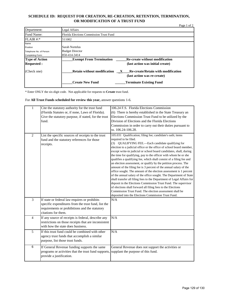#### **SCHEDULE ID: REQUEST FOR CREATION, RE-CREATION, RETENTION, TERMINATION, OR MODIFICATION OF A TRUST FUND**

|                         |                                                                                                                                | Page 1 of 2 |
|-------------------------|--------------------------------------------------------------------------------------------------------------------------------|-------------|
| Department:             | Legal Affairs                                                                                                                  |             |
| Fund Name:              | Florida Elections Commission Trust Fund                                                                                        |             |
| $FLAIR$ #:*             | 511002                                                                                                                         |             |
| Name                    |                                                                                                                                |             |
| Position                | Sarah Nortelus                                                                                                                 |             |
| Telephone No. of Person | <b>Budget Director</b>                                                                                                         |             |
| Completing Form:        | 850-414-3414                                                                                                                   |             |
| <b>Type of Action</b>   | <b>Exempt From Termination</b><br>Re-create without modification                                                               |             |
| <b>Requested:</b>       | (last action was initial create)                                                                                               |             |
| (Check one)             | <b>Retain without modification</b><br><b>Re-create/Retain with modification</b><br>$\mathbf{X}$<br>(last action was re-create) |             |
|                         | <b>Create New Fund</b><br><b>Terminate Existing Fund</b>                                                                       |             |

\* Enter ONLY the six-digit code. Not applicable for requests to **Create** trust fund.

For **All Trust Funds scheduled for review this year,** answer questions 1-6.

| $\,1$          | Cite the statutory authority for the trust fund<br>(Florida Statutes or, if none, Laws of Florida).<br>Give the statutory purpose, if stated, for the trust<br>fund.          | 106.24 F.S. Florida Elections Commission<br>(6) There is hereby established in the State Treasury an<br>Elections Commission Trust Fund to be utilized by the<br>Division of Elections and the Florida Elections<br>Commission in order to carry out their duties pursuant to<br>ss. 106.24-106.28.                                                                                                                                                                                                                                                                                                                                                                                                                                                                                                                                                                                                                                                                                                                                            |
|----------------|-------------------------------------------------------------------------------------------------------------------------------------------------------------------------------|------------------------------------------------------------------------------------------------------------------------------------------------------------------------------------------------------------------------------------------------------------------------------------------------------------------------------------------------------------------------------------------------------------------------------------------------------------------------------------------------------------------------------------------------------------------------------------------------------------------------------------------------------------------------------------------------------------------------------------------------------------------------------------------------------------------------------------------------------------------------------------------------------------------------------------------------------------------------------------------------------------------------------------------------|
| $\overline{2}$ | List the specific sources of receipts to the trust<br>fund and the statutory references for those<br>receipts.                                                                | 105.031 Qualification; filing fee; candidate's oath; items<br>required to be filed.<br>(3) QUALIFYING FEE.—Each candidate qualifying for<br>election to a judicial office or the office of school board member,<br>except write-in judicial or school board candidates, shall, during<br>the time for qualifying, pay to the officer with whom he or she<br>qualifies a qualifying fee, which shall consist of a filing fee and<br>an election assessment, or qualify by the petition process. The<br>amount of the filing fee is 3 percent of the annual salary of the<br>office sought. The amount of the election assessment is 1 percent<br>of the annual salary of the office sought. The Department of State<br>shall transfer all filing fees to the Department of Legal Affairs for<br>deposit in the Elections Commission Trust Fund. The supervisor<br>of elections shall forward all filing fees to the Elections<br>Commission Trust Fund. The election assessment shall be<br>deposited into the Elections Commission Trust Fund. |
| $\overline{3}$ | If state or federal law requires or prohibits<br>specific expenditures from the trust fund, list the<br>requirements or prohibitions and the statutory<br>citations for them. | N/A                                                                                                                                                                                                                                                                                                                                                                                                                                                                                                                                                                                                                                                                                                                                                                                                                                                                                                                                                                                                                                            |
| $\overline{4}$ | If any source of receipts is federal, describe any<br>restrictions on those receipts that are inconsistent<br>with how the state does business.                               | N/A                                                                                                                                                                                                                                                                                                                                                                                                                                                                                                                                                                                                                                                                                                                                                                                                                                                                                                                                                                                                                                            |
| 5              | If this trust fund could be combined with other<br>agency trust funds that accomplish a similar<br>purpose, list those trust funds.                                           | N/A                                                                                                                                                                                                                                                                                                                                                                                                                                                                                                                                                                                                                                                                                                                                                                                                                                                                                                                                                                                                                                            |
| $\overline{6}$ | If General Revenue funding supports the same<br>programs or activities that the trust fund supports,<br>provide a justification.                                              | General Revenue does not support the activities or<br>supplant the purpose of this fund.                                                                                                                                                                                                                                                                                                                                                                                                                                                                                                                                                                                                                                                                                                                                                                                                                                                                                                                                                       |